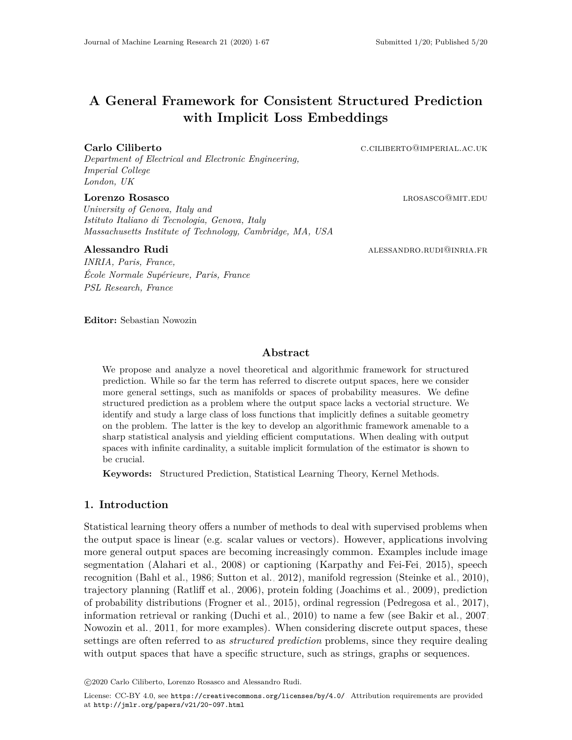# **A General Framework for Consistent Structured Prediction with Implicit Loss Embeddings**

#### **Carlo Ciliberto Carlo Ciliberto** c.ciliberto **c.ciliberto** c.ciliberto **c.ciliberto** c.ciliberto **c.ciliberto** c.ciliberto **c.ciliberto c.ciliberto c.ciliberto c.ciliberto c.ciliberto c.ciliberto c.ciliberto**

*Department of Electrical and Electronic Engineering, Imperial College London, UK*

### **Lorenzo Rosasco** and a later and a later and a later and a later and a later and a later and a later and a later and a later and a later and a later and a later and a later and a later and a later and a later and a later

*University of Genova, Italy and Istituto Italiano di Tecnologia, Genova, Italy Massachusetts Institute of Technology, Cambridge, MA, USA*

*INRIA, Paris, France, École Normale Supérieure, Paris, France PSL Research, France*

**Alessandro Rudi** and the control of the state alessandro Rudi alessandro.rudia.fr

**Editor:** Sebastian Nowozin

# **Abstract**

We propose and analyze a novel theoretical and algorithmic framework for structured prediction. While so far the term has referred to discrete output spaces, here we consider more general settings, such as manifolds or spaces of probability measures. We define structured prediction as a problem where the output space lacks a vectorial structure. We identify and study a large class of loss functions that implicitly defines a suitable geometry on the problem. The latter is the key to develop an algorithmic framework amenable to a sharp statistical analysis and yielding efficient computations. When dealing with output spaces with infinite cardinality, a suitable implicit formulation of the estimator is shown to be crucial.

**Keywords:** Structured Prediction, Statistical Learning Theory, Kernel Methods.

# **1. Introduction**

Statistical learning theory offers a number of methods to deal with supervised problems when the output space is linear (e.g. scalar values or vectors). However, applications involving more general output spaces are becoming increasingly common. Examples include image segmentation [\(Alahari et al., 2008\)](#page-29-0) or captioning [\(Karpathy and Fei-Fei, 2015\)](#page-31-0), speech recognition [\(Bahl et al., 1986;](#page-29-1) [Sutton et al., 2012\)](#page-34-0), manifold regression [\(Steinke et al., 2010\)](#page-34-1), trajectory planning [\(Ratliff et al., 2006\)](#page-33-0), protein folding [\(Joachims et al., 2009\)](#page-31-1), prediction of probability distributions [\(Frogner et al., 2015\)](#page-31-2), ordinal regression [\(Pedregosa et al., 2017\)](#page-33-1), information retrieval or ranking [\(Duchi et al., 2010\)](#page-30-0) to name a few (see [Bakir et al., 2007;](#page-29-2) [Nowozin et al., 2011,](#page-33-2) for more examples). When considering discrete output spaces, these settings are often referred to as *structured prediction* problems, since they require dealing with output spaces that have a specific structure, such as strings, graphs or sequences.

c 2020 Carlo Ciliberto, Lorenzo Rosasco and Alessandro Rudi.

License: CC-BY 4.0, see <https://creativecommons.org/licenses/by/4.0/>. Attribution requirements are provided at <http://jmlr.org/papers/v21/20-097.html>.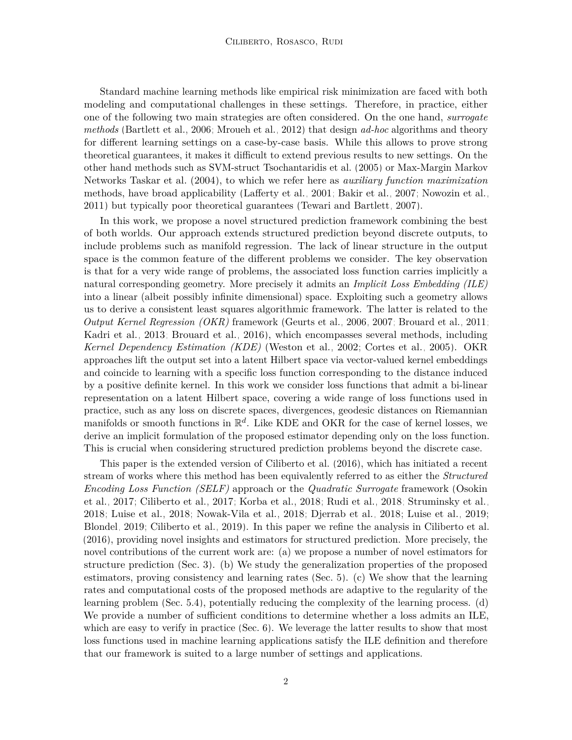Standard machine learning methods like empirical risk minimization are faced with both modeling and computational challenges in these settings. Therefore, in practice, either one of the following two main strategies are often considered. On the one hand, *surrogate methods* [\(Bartlett et al., 2006;](#page-29-3) [Mroueh et al., 2012\)](#page-32-0) that design *ad-hoc* algorithms and theory for different learning settings on a case-by-case basis. While this allows to prove strong theoretical guarantees, it makes it difficult to extend previous results to new settings. On the other hand methods such as SVM-struct [Tsochantaridis et al.](#page-34-2) [\(2005\)](#page-34-2) or Max-Margin Markov Networks [Taskar et al.](#page-34-3) [\(2004\)](#page-34-3), to which we refer here as *auxiliary function maximization* methods, have broad applicability [\(Lafferty et al., 2001;](#page-32-1) [Bakir et al., 2007;](#page-29-2) [Nowozin et al.,](#page-33-2) [2011\)](#page-33-2) but typically poor theoretical guarantees [\(Tewari and Bartlett, 2007\)](#page-34-4).

In this work, we propose a novel structured prediction framework combining the best of both worlds. Our approach extends structured prediction beyond discrete outputs, to include problems such as manifold regression. The lack of linear structure in the output space is the common feature of the different problems we consider. The key observation is that for a very wide range of problems, the associated loss function carries implicitly a natural corresponding geometry. More precisely it admits an *Implicit Loss Embedding (ILE)* into a linear (albeit possibly infinite dimensional) space. Exploiting such a geometry allows us to derive a consistent least squares algorithmic framework. The latter is related to the *Output Kernel Regression (OKR)* framework [\(Geurts et al., 2006,](#page-31-3) [2007;](#page-31-4) [Brouard et al., 2011;](#page-29-4) [Kadri et al., 2013;](#page-31-5) [Brouard et al., 2016\)](#page-30-1), which encompasses several methods, including *Kernel Dependency Estimation (KDE)* [\(Weston et al., 2002;](#page-35-0) [Cortes et al., 2005\)](#page-30-2). OKR approaches lift the output set into a latent Hilbert space via vector-valued kernel embeddings and coincide to learning with a specific loss function corresponding to the distance induced by a positive definite kernel. In this work we consider loss functions that admit a bi-linear representation on a latent Hilbert space, covering a wide range of loss functions used in practice, such as any loss on discrete spaces, divergences, geodesic distances on Riemannian manifolds or smooth functions in R *d* . Like KDE and OKR for the case of kernel losses, we derive an implicit formulation of the proposed estimator depending only on the loss function. This is crucial when considering structured prediction problems beyond the discrete case.

This paper is the extended version of [Ciliberto et al.](#page-30-3) [\(2016\)](#page-30-3), which has initiated a recent stream of works where this method has been equivalently referred to as either the *Structured Encoding Loss Function (SELF)* approach or the *Quadratic Surrogate* framework [\(Osokin](#page-33-3) [et al., 2017;](#page-33-3) [Ciliberto et al., 2017;](#page-30-4) [Korba et al., 2018;](#page-32-2) [Rudi et al., 2018;](#page-33-4) [Struminsky et al.,](#page-34-5) [2018;](#page-34-5) [Luise et al., 2018;](#page-32-3) [Nowak-Vila et al., 2018;](#page-33-5) [Djerrab et al., 2018;](#page-30-5) [Luise et al., 2019;](#page-32-4) [Blondel, 2019;](#page-29-5) [Ciliberto et al., 2019\)](#page-30-6). In this paper we refine the analysis in [Ciliberto et al.](#page-30-3) [\(2016\)](#page-30-3), providing novel insights and estimators for structured prediction. More precisely, the novel contributions of the current work are: (a) we propose a number of novel estimators for structure prediction [\(Sec. 3\)](#page-4-0). (b) We study the generalization properties of the proposed estimators, proving consistency and learning rates [\(Sec. 5\)](#page-18-0). (c) We show that the learning rates and computational costs of the proposed methods are adaptive to the regularity of the learning problem [\(Sec. 5.4\)](#page-21-0), potentially reducing the complexity of the learning process. (d) We provide a number of sufficient conditions to determine whether a loss admits an ILE, which are easy to verify in practice [\(Sec. 6\)](#page-24-0). We leverage the latter results to show that most loss functions used in machine learning applications satisfy the ILE definition and therefore that our framework is suited to a large number of settings and applications.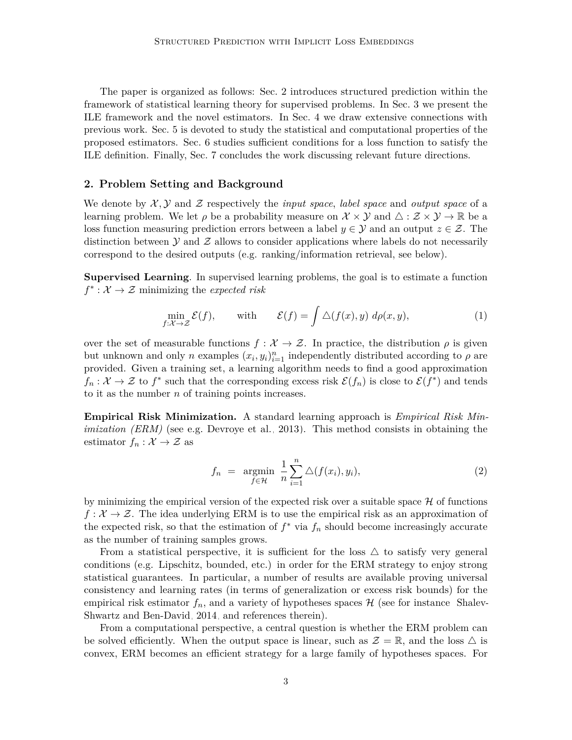The paper is organized as follows: [Sec. 2](#page-2-0) introduces structured prediction within the framework of statistical learning theory for supervised problems. In [Sec. 3](#page-4-0) we present the ILE framework and the novel estimators. In [Sec. 4](#page-13-0) we draw extensive connections with previous work. [Sec. 5](#page-18-0) is devoted to study the statistical and computational properties of the proposed estimators. [Sec. 6](#page-24-0) studies sufficient conditions for a loss function to satisfy the ILE definition. Finally, [Sec. 7](#page-28-0) concludes the work discussing relevant future directions.

#### <span id="page-2-0"></span>**2. Problem Setting and Background**

We denote by  $\mathcal{X}, \mathcal{Y}$  and  $\mathcal{Z}$  respectively the *input space*, *label space* and *output space* of a learning problem. We let  $\rho$  be a probability measure on  $\mathcal{X} \times \mathcal{Y}$  and  $\Delta : \mathcal{Z} \times \mathcal{Y} \to \mathbb{R}$  be a loss function measuring prediction errors between a label  $y \in \mathcal{Y}$  and an output  $z \in \mathcal{Z}$ . The distinction between  $\mathcal Y$  and  $\mathcal Z$  allows to consider applications where labels do not necessarily correspond to the desired outputs (e.g. ranking/information retrieval, see below).

**Supervised Learning**. In supervised learning problems, the goal is to estimate a function  $f^* : \mathcal{X} \to \mathcal{Z}$  minimizing the *expected risk* 

$$
\min_{f:\mathcal{X}\to\mathcal{Z}} \mathcal{E}(f), \quad \text{with} \quad \mathcal{E}(f) = \int \triangle(f(x), y) \, d\rho(x, y), \tag{1}
$$

over the set of measurable functions  $f: \mathcal{X} \to \mathcal{Z}$ . In practice, the distribution  $\rho$  is given but unknown and only *n* examples  $(x_i, y_i)_{i=1}^n$  independently distributed according to  $\rho$  are provided. Given a training set, a learning algorithm needs to find a good approximation  $f_n: \mathcal{X} \to \mathcal{Z}$  to  $f^*$  such that the corresponding excess risk  $\mathcal{E}(f_n)$  is close to  $\mathcal{E}(f^*)$  and tends to it as the number *n* of training points increases.

**Empirical Risk Minimization.** A standard learning approach is *Empirical Risk Minimization (ERM)* (see e.g. [Devroye et al., 2013\)](#page-30-7). This method consists in obtaining the estimator  $f_n : \mathcal{X} \to \mathcal{Z}$  as

<span id="page-2-2"></span><span id="page-2-1"></span>
$$
f_n = \underset{f \in \mathcal{H}}{\operatorname{argmin}} \frac{1}{n} \sum_{i=1}^n \Delta(f(x_i), y_i), \qquad (2)
$$

by minimizing the empirical version of the expected risk over a suitable space  $\mathcal H$  of functions  $f: \mathcal{X} \to \mathcal{Z}$ . The idea underlying ERM is to use the empirical risk as an approximation of the expected risk, so that the estimation of  $f^*$  via  $f_n$  should become increasingly accurate as the number of training samples grows.

From a statistical perspective, it is sufficient for the loss  $\triangle$  to satisfy very general conditions (e.g. Lipschitz, bounded, etc.) in order for the ERM strategy to enjoy strong statistical guarantees. In particular, a number of results are available proving universal consistency and learning rates (in terms of generalization or excess risk bounds) for the empirical risk estimator  $f_n$ , and a variety of hypotheses spaces  $\mathcal H$  (see for instance [Shalev-](#page-33-6)[Shwartz and Ben-David, 2014,](#page-33-6) and references therein).

From a computational perspective, a central question is whether the ERM problem can be solved efficiently. When the output space is linear, such as  $\mathcal{Z} = \mathbb{R}$ , and the loss  $\triangle$  is convex, ERM becomes an efficient strategy for a large family of hypotheses spaces. For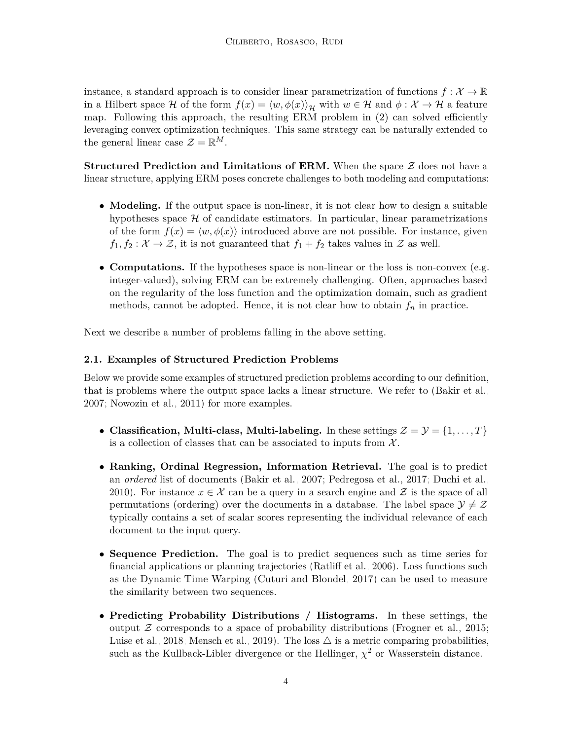instance, a standard approach is to consider linear parametrization of functions  $f: \mathcal{X} \to \mathbb{R}$ in a Hilbert space H of the form  $f(x) = \langle w, \phi(x) \rangle_{\mathcal{H}}$  with  $w \in \mathcal{H}$  and  $\phi : \mathcal{X} \to \mathcal{H}$  a feature map. Following this approach, the resulting ERM problem in [\(2\)](#page-2-1) can solved efficiently leveraging convex optimization techniques. This same strategy can be naturally extended to the general linear case  $\mathcal{Z} = \mathbb{R}^M$ .

**Structured Prediction and Limitations of ERM.** When the space  $\mathcal{Z}$  does not have a linear structure, applying ERM poses concrete challenges to both modeling and computations:

- **Modeling.** If the output space is non-linear, it is not clear how to design a suitable hypotheses space  $H$  of candidate estimators. In particular, linear parametrizations of the form  $f(x) = \langle w, \phi(x) \rangle$  introduced above are not possible. For instance, given  $f_1, f_2: \mathcal{X} \to \mathcal{Z}$ , it is not guaranteed that  $f_1 + f_2$  takes values in  $\mathcal{Z}$  as well.
- **Computations.** If the hypotheses space is non-linear or the loss is non-convex (e.g. integer-valued), solving ERM can be extremely challenging. Often, approaches based on the regularity of the loss function and the optimization domain, such as gradient methods, cannot be adopted. Hence, it is not clear how to obtain  $f_n$  in practice.

Next we describe a number of problems falling in the above setting.

# **2.1. Examples of Structured Prediction Problems**

Below we provide some examples of structured prediction problems according to our definition, that is problems where the output space lacks a linear structure. We refer to [\(Bakir et al.,](#page-29-2) [2007;](#page-29-2) [Nowozin et al., 2011\)](#page-33-2) for more examples.

- **Classification, Multi-class, Multi-labeling.** In these settings  $\mathcal{Z} = \mathcal{Y} = \{1, \ldots, T\}$ is a collection of classes that can be associated to inputs from  $\mathcal{X}$ .
- **Ranking, Ordinal Regression, Information Retrieval.** The goal is to predict an *ordered* list of documents [\(Bakir et al., 2007;](#page-29-2) [Pedregosa et al., 2017;](#page-33-1) [Duchi et al.,](#page-30-0) [2010\)](#page-30-0). For instance  $x \in \mathcal{X}$  can be a query in a search engine and  $\mathcal{Z}$  is the space of all permutations (ordering) over the documents in a database. The label space  $\mathcal{Y} \neq \mathcal{Z}$ typically contains a set of scalar scores representing the individual relevance of each document to the input query.
- **Sequence Prediction.** The goal is to predict sequences such as time series for financial applications or planning trajectories [\(Ratliff et al., 2006\)](#page-33-0). Loss functions such as the Dynamic Time Warping [\(Cuturi and Blondel, 2017\)](#page-30-8) can be used to measure the similarity between two sequences.
- **Predicting Probability Distributions / Histograms.** In these settings, the output  $Z$  corresponds to a space of probability distributions [\(Frogner et al., 2015;](#page-31-2) [Luise et al., 2018;](#page-32-3) [Mensch et al., 2019\)](#page-32-5). The loss  $\triangle$  is a metric comparing probabilities, such as the Kullback-Libler divergence or the Hellinger,  $\chi^2$  or Wasserstein distance.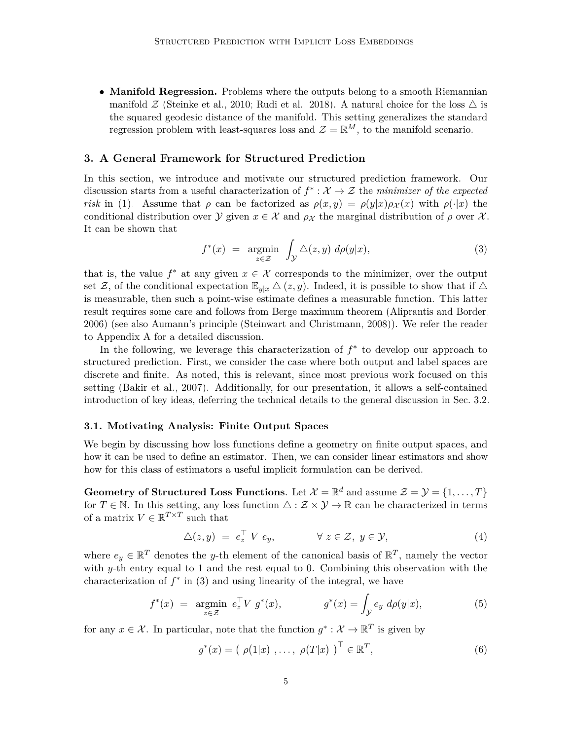• **Manifold Regression.** Problems where the outputs belong to a smooth Riemannian manifold  $\mathcal{Z}$  [\(Steinke et al., 2010;](#page-34-1) [Rudi et al., 2018\)](#page-33-4). A natural choice for the loss  $\triangle$  is the squared geodesic distance of the manifold. This setting generalizes the standard regression problem with least-squares loss and  $\mathcal{Z} = \mathbb{R}^M$ , to the manifold scenario.

# <span id="page-4-0"></span>**3. A General Framework for Structured Prediction**

In this section, we introduce and motivate our structured prediction framework. Our discussion starts from a useful characterization of  $f^* : \mathcal{X} \to \mathcal{Z}$  the *minimizer of the expected risk* in [\(1\).](#page-2-2) Assume that *ρ* can be factorized as  $\rho(x, y) = \rho(y|x)\rho_X(x)$  with  $\rho(\cdot|x)$  the conditional distribution over  $\mathcal Y$  given  $x \in \mathcal X$  and  $\rho_{\mathcal X}$  the marginal distribution of  $\rho$  over  $\mathcal X$ . It can be shown that

<span id="page-4-1"></span>
$$
f^*(x) = \underset{z \in \mathcal{Z}}{\operatorname{argmin}} \int_{\mathcal{Y}} \triangle(z, y) \, d\rho(y|x), \tag{3}
$$

that is, the value  $f^*$  at any given  $x \in \mathcal{X}$  corresponds to the minimizer, over the output set Z, of the conditional expectation  $\mathbb{E}_{y|x} \Delta(z, y)$ . Indeed, it is possible to show that if  $\Delta$ is measurable, then such a point-wise estimate defines a measurable function. This latter result requires some care and follows from Berge maximum theorem [\(Aliprantis and Border,](#page-29-6) [2006\)](#page-29-6) (see also Aumann's principle [\(Steinwart and Christmann, 2008\)](#page-34-6)). We refer the reader to [Appendix A](#page-37-0) for a detailed discussion.

In the following, we leverage this characterization of  $f^*$  to develop our approach to structured prediction. First, we consider the case where both output and label spaces are discrete and finite. As noted, this is relevant, since most previous work focused on this setting [\(Bakir et al., 2007\)](#page-29-2). Additionally, for our presentation, it allows a self-contained introduction of key ideas, deferring the technical details to the general discussion in [Sec. 3.2.](#page-7-0)

#### <span id="page-4-4"></span>**3.1. Motivating Analysis: Finite Output Spaces**

We begin by discussing how loss functions define a geometry on finite output spaces, and how it can be used to define an estimator. Then, we can consider linear estimators and show how for this class of estimators a useful implicit formulation can be derived.

**Geometry of Structured Loss Functions**. Let  $\mathcal{X} = \mathbb{R}^d$  and assume  $\mathcal{Z} = \mathcal{Y} = \{1, \ldots, T\}$ for  $T \in \mathbb{N}$ . In this setting, any loss function  $\Delta : \mathcal{Z} \times \mathcal{Y} \to \mathbb{R}$  can be characterized in terms of a matrix  $V \in \mathbb{R}^{T \times T}$  such that

<span id="page-4-3"></span>
$$
\Delta(z, y) = e_z^{\top} V e_y, \qquad \forall z \in \mathcal{Z}, y \in \mathcal{Y}, \qquad (4)
$$

where  $e_y \in \mathbb{R}^T$  denotes the *y*-th element of the canonical basis of  $\mathbb{R}^T$ , namely the vector with *y*-th entry equal to 1 and the rest equal to 0. Combining this observation with the characterization of  $f^*$  in [\(3\)](#page-4-1) and using linearity of the integral, we have

$$
f^*(x) = \underset{z \in \mathcal{Z}}{\operatorname{argmin}} \ e_z^{\top} V \ g^*(x), \qquad g^*(x) = \int_{\mathcal{Y}} e_y \ d\rho(y|x), \tag{5}
$$

for any  $x \in \mathcal{X}$ . In particular, note that the function  $g^* : \mathcal{X} \to \mathbb{R}^T$  is given by

<span id="page-4-2"></span>
$$
g^*(x) = ( \rho(1|x) , \dots, \rho(T|x) )^{\top} \in \mathbb{R}^T, \tag{6}
$$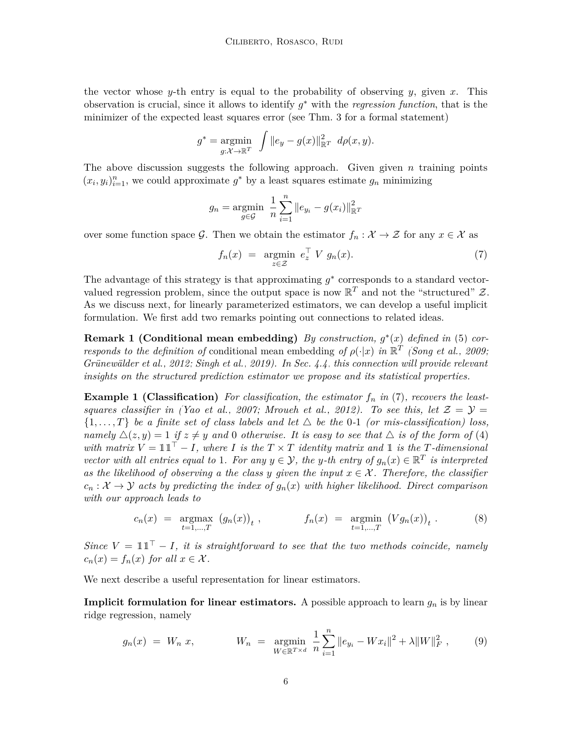the vector whose *y*-th entry is equal to the probability of observing *y*, given *x*. This observation is crucial, since it allows to identify *g* <sup>∗</sup> with the *regression function*, that is the minimizer of the expected least squares error (see [Thm. 3](#page-7-1) for a formal statement)

$$
g^* = \underset{g: \mathcal{X} \to \mathbb{R}^T}{\text{argmin}} \quad \int \|e_y - g(x)\|_{\mathbb{R}^T}^2 \ d\rho(x, y).
$$

The above discussion suggests the following approach. Given given *n* training points  $(x_i, y_i)_{i=1}^n$ , we could approximate  $g^*$  by a least squares estimate  $g_n$  minimizing

$$
g_n = \underset{g \in \mathcal{G}}{\text{argmin}} \ \frac{1}{n} \sum_{i=1}^n \|e_{y_i} - g(x_i)\|_{\mathbb{R}^T}^2
$$

over some function space G. Then we obtain the estimator  $f_n : \mathcal{X} \to \mathcal{Z}$  for any  $x \in \mathcal{X}$  as

<span id="page-5-0"></span>
$$
f_n(x) = \underset{z \in \mathcal{Z}}{\operatorname{argmin}} \ e_z^{\top} \ V \ g_n(x). \tag{7}
$$

The advantage of this strategy is that approximating  $g^*$  corresponds to a standard vectorvalued regression problem, since the output space is now  $\mathbb{R}^T$  and not the "structured"  $\mathcal{Z}$ . As we discuss next, for linearly parameterized estimators, we can develop a useful implicit formulation. We first add two remarks pointing out connections to related ideas.

**Remark 1 (Conditional mean embedding)** *By construction, g* ∗ (*x*) *defined in* [\(5\)](#page-4-2) *corresponds to the definition of* conditional mean embedding *of*  $\rho(\cdot|x)$  *in*  $\mathbb{R}^T$  *[\(Song et al., 2009;](#page-34-7) [Grünewälder et al., 2012;](#page-31-6) [Singh et al., 2019\)](#page-33-7). In [Sec. 4.4,](#page-17-0) this connection will provide relevant insights on the structured prediction estimator we propose and its statistical properties.*

**Example 1 (Classification)** For classification, the estimator  $f_n$  in [\(7\)](#page-5-0), recovers the least-*squares classifier in [\(Yao et al., 2007;](#page-35-1) [Mroueh et al., 2012\)](#page-32-0). To see this, let*  $\mathcal{Z} = \mathcal{Y} =$  $\{1, \ldots, T\}$  be a finite set of class labels and let  $\Delta$  be the 0-1 *(or mis-classification) loss, namely*  $\Delta(z, y) = 1$  *if*  $z \neq y$  *and* 0 *otherwise. It is easy to see that*  $\Delta$  *is of the form of* [\(4\)](#page-4-3) *with matrix*  $V = \mathbb{1}\mathbb{1}^T - I$ , where *I* is the  $T \times T$  identity matrix and  $\mathbb{1}$  is the *T*-dimensional *vector with all entries equal to* 1*. For any*  $y \in \mathcal{Y}$ *, the y-th entry of*  $g_n(x) \in \mathbb{R}^T$  *is interpreted* as the likelihood of observing a the class y given the input  $x \in \mathcal{X}$ . Therefore, the classifier  $c_n : \mathcal{X} \to \mathcal{Y}$  acts by predicting the index of  $g_n(x)$  with higher likelihood. Direct comparison *with our approach leads to*

$$
c_n(x) = \underset{t=1,...,T}{\text{argmax}} (g_n(x))_t, \qquad f_n(x) = \underset{t=1,...,T}{\text{argmin}} (Vg_n(x))_t. \qquad (8)
$$

*Since*  $V = \mathbb{1}\mathbb{1}^{\top} - I$ , *it is straightforward to see that the two methods coincide, namely*  $c_n(x) = f_n(x)$  *for all*  $x \in \mathcal{X}$ *.* 

We next describe a useful representation for linear estimators.

**Implicit formulation for linear estimators.** A possible approach to learn  $g_n$  is by linear ridge regression, namely

<span id="page-5-1"></span>
$$
g_n(x) = W_n \, x, \qquad W_n = \operatorname*{argmin}_{W \in \mathbb{R}^{T \times d}} \frac{1}{n} \sum_{i=1}^n \|e_{y_i} - Wx_i\|^2 + \lambda \|W\|_F^2, \qquad (9)
$$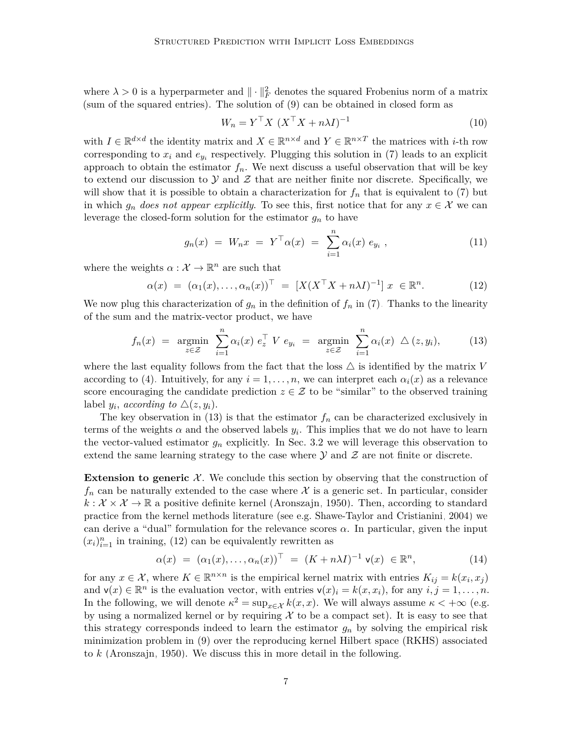where  $\lambda > 0$  is a hyperparmeter and  $\|\cdot\|_F^2$  denotes the squared Frobenius norm of a matrix (sum of the squared entries). The solution of [\(9\)](#page-5-1) can be obtained in closed form as

<span id="page-6-2"></span>
$$
W_n = Y^\top X \ (X^\top X + n\lambda I)^{-1} \tag{10}
$$

with  $I \in \mathbb{R}^{d \times d}$  the identity matrix and  $X \in \mathbb{R}^{n \times d}$  and  $Y \in \mathbb{R}^{n \times T}$  the matrices with *i*-th row corresponding to  $x_i$  and  $e_{y_i}$  respectively. Plugging this solution in [\(7\)](#page-5-0) leads to an explicit approach to obtain the estimator  $f_n$ . We next discuss a useful observation that will be key to extend our discussion to  $\mathcal Y$  and  $\mathcal Z$  that are neither finite nor discrete. Specifically, we will show that it is possible to obtain a characterization for  $f_n$  that is equivalent to [\(7\)](#page-5-0) but in which  $g_n$  *does not appear explicitly*. To see this, first notice that for any  $x \in \mathcal{X}$  we can leverage the closed-form solution for the estimator  $g_n$  to have

<span id="page-6-1"></span><span id="page-6-0"></span>
$$
g_n(x) = W_n x = Y^{\top} \alpha(x) = \sum_{i=1}^n \alpha_i(x) e_{y_i}, \qquad (11)
$$

where the weights  $\alpha : \mathcal{X} \to \mathbb{R}^n$  are such that

$$
\alpha(x) = (\alpha_1(x), \dots, \alpha_n(x))^{\top} = [X(X^{\top}X + n\lambda I)^{-1}] x \in \mathbb{R}^n.
$$
 (12)

We now plug this characterization of  $g_n$  in the definition of  $f_n$  in [\(7\).](#page-5-0) Thanks to the linearity of the sum and the matrix-vector product, we have

$$
f_n(x) = \underset{z \in \mathcal{Z}}{\operatorname{argmin}} \sum_{i=1}^n \alpha_i(x) e_z^{\top} V e_{y_i} = \underset{z \in \mathcal{Z}}{\operatorname{argmin}} \sum_{i=1}^n \alpha_i(x) \Delta(z, y_i), \qquad (13)
$$

where the last equality follows from the fact that the loss  $\triangle$  is identified by the matrix *V* according to [\(4\).](#page-4-3) Intuitively, for any  $i = 1, \ldots, n$ , we can interpret each  $\alpha_i(x)$  as a relevance score encouraging the candidate prediction  $z \in \mathcal{Z}$  to be "similar" to the observed training label  $y_i$ , *according to*  $\triangle(z, y_i)$ .

The key observation in  $(13)$  is that the estimator  $f_n$  can be characterized exclusively in terms of the weights  $\alpha$  and the observed labels  $y_i$ . This implies that we do not have to learn the vector-valued estimator  $g_n$  explicitly. In [Sec. 3.2](#page-7-0) we will leverage this observation to extend the same learning strategy to the case where  $\mathcal Y$  and  $\mathcal Z$  are not finite or discrete.

**Extension to generic**  $\mathcal{X}$ . We conclude this section by observing that the construction of  $f_n$  can be naturally extended to the case where  $\mathcal X$  is a generic set. In particular, consider  $k: \mathcal{X} \times \mathcal{X} \to \mathbb{R}$  a positive definite kernel [\(Aronszajn, 1950\)](#page-29-7). Then, according to standard practice from the kernel methods literature (see e.g. [Shawe-Taylor and Cristianini, 2004\)](#page-33-8) we can derive a "dual" formulation for the relevance scores  $\alpha$ . In particular, given the input  $(x_i)_{i=1}^n$  in training, [\(12\)](#page-6-1) can be equivalently rewritten as

<span id="page-6-3"></span>
$$
\alpha(x) = (\alpha_1(x), \dots, \alpha_n(x))^\top = (K + n\lambda I)^{-1} \mathbf{v}(x) \in \mathbb{R}^n, \tag{14}
$$

for any  $x \in \mathcal{X}$ , where  $K \in \mathbb{R}^{n \times n}$  is the empirical kernel matrix with entries  $K_{ij} = k(x_i, x_j)$ and  $\mathsf{v}(x) \in \mathbb{R}^n$  is the evaluation vector, with entries  $\mathsf{v}(x)_i = k(x, x_i)$ , for any  $i, j = 1, \ldots, n$ . In the following, we will denote  $\kappa^2 = \sup_{x \in \mathcal{X}} k(x, x)$ . We will always assume  $\kappa < +\infty$  (e.g. by using a normalized kernel or by requiring  $\mathcal X$  to be a compact set). It is easy to see that this strategy corresponds indeed to learn the estimator *g<sup>n</sup>* by solving the empirical risk minimization problem in [\(9\)](#page-5-1) over the reproducing kernel Hilbert space (RKHS) associated to *k* [\(Aronszajn, 1950\)](#page-29-7). We discuss this in more detail in the following.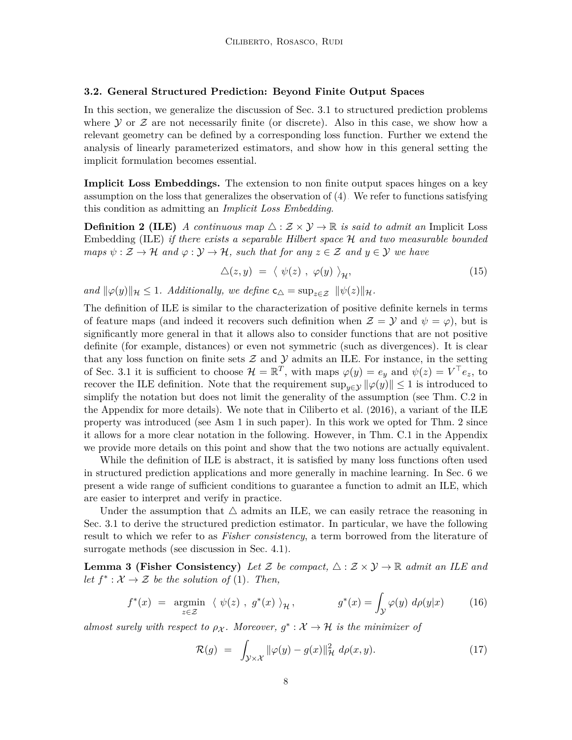#### <span id="page-7-0"></span>**3.2. General Structured Prediction: Beyond Finite Output Spaces**

In this section, we generalize the discussion of [Sec. 3.1](#page-4-4) to structured prediction problems where  $Y$  or  $Z$  are not necessarily finite (or discrete). Also in this case, we show how a relevant geometry can be defined by a corresponding loss function. Further we extend the analysis of linearly parameterized estimators, and show how in this general setting the implicit formulation becomes essential.

**Implicit Loss Embeddings.** The extension to non finite output spaces hinges on a key assumption on the loss that generalizes the observation of [\(4\).](#page-4-3) We refer to functions satisfying this condition as admitting an *Implicit Loss Embedding*.

**Definition 2 (ILE)** *A continuous map*  $\triangle$  :  $\mathcal{Z} \times \mathcal{Y} \rightarrow \mathbb{R}$  *is said to admit an* Implicit Loss Embedding (ILE) *if there exists a separable Hilbert space* H *and two measurable bounded maps*  $\psi : \mathcal{Z} \to \mathcal{H}$  *and*  $\varphi : \mathcal{Y} \to \mathcal{H}$ *, such that for any*  $z \in \mathcal{Z}$  *and*  $y \in \mathcal{Y}$  *we have* 

<span id="page-7-2"></span>
$$
\Delta(z, y) = \langle \psi(z) , \varphi(y) \rangle_{\mathcal{H}}, \tag{15}
$$

*and*  $\|\varphi(y)\|_{\mathcal{H}} \leq 1$ *. Additionally, we define*  $c_{\Delta} = \sup_{z \in \mathcal{Z}} \|\psi(z)\|_{\mathcal{H}}$ *.* 

The definition of ILE is similar to the characterization of positive definite kernels in terms of feature maps (and indeed it recovers such definition when  $\mathcal{Z} = \mathcal{Y}$  and  $\psi = \varphi$ ), but is significantly more general in that it allows also to consider functions that are not positive definite (for example, distances) or even not symmetric (such as divergences). It is clear that any loss function on finite sets  $\mathcal Z$  and  $\mathcal Y$  admits an ILE. For instance, in the setting of [Sec. 3.1](#page-4-4) it is sufficient to choose  $\mathcal{H} = \mathbb{R}^T$ , with maps  $\varphi(y) = e_y$  and  $\psi(z) = V^\top e_z$ , to recover the ILE definition. Note that the requirement  $\sup_{y\in\mathcal{Y}}\|\varphi(y)\|\leq 1$  is introduced to simplify the notation but does not limit the generality of the assumption (see [Thm. C.2](#page-56-0) in the Appendix for more details). We note that in [Ciliberto et al.](#page-30-3) [\(2016\)](#page-30-3), a variant of the ILE property was introduced (see Asm 1 in such paper). In this work we opted for [Thm. 2](#page-7-2) since it allows for a more clear notation in the following. However, in [Thm. C.1](#page-56-1) in the Appendix we provide more details on this point and show that the two notions are actually equivalent.

While the definition of ILE is abstract, it is satisfied by many loss functions often used in structured prediction applications and more generally in machine learning. In [Sec. 6](#page-24-0) we present a wide range of sufficient conditions to guarantee a function to admit an ILE, which are easier to interpret and verify in practice.

Under the assumption that  $\Delta$  admits an ILE, we can easily retrace the reasoning in [Sec. 3.1](#page-4-4) to derive the structured prediction estimator. In particular, we have the following result to which we refer to as *Fisher consistency*, a term borrowed from the literature of surrogate methods (see discussion in [Sec. 4.1\)](#page-13-1).

**Lemma 3 (Fisher Consistency)** Let Z be compact,  $\triangle$  :  $\mathcal{Z} \times \mathcal{Y} \rightarrow \mathbb{R}$  admit an ILE and *let*  $f^*: \mathcal{X} \to \mathcal{Z}$  *be the solution of* [\(1\)](#page-2-2)*. Then,* 

$$
f^*(x) = \underset{z \in \mathcal{Z}}{\operatorname{argmin}} \ \langle \ \psi(z) \ , \ g^*(x) \ \rangle_{\mathcal{H}} \,, \qquad g^*(x) = \int_{\mathcal{Y}} \varphi(y) \ d\rho(y|x) \tag{16}
$$

*almost surely with respect to*  $\rho_X$ . Moreover,  $g^* : \mathcal{X} \to \mathcal{H}$  *is the minimizer of* 

<span id="page-7-4"></span><span id="page-7-3"></span><span id="page-7-1"></span>
$$
\mathcal{R}(g) = \int_{\mathcal{Y}\times\mathcal{X}} \|\varphi(y) - g(x)\|_{\mathcal{H}}^2 \ d\rho(x, y). \tag{17}
$$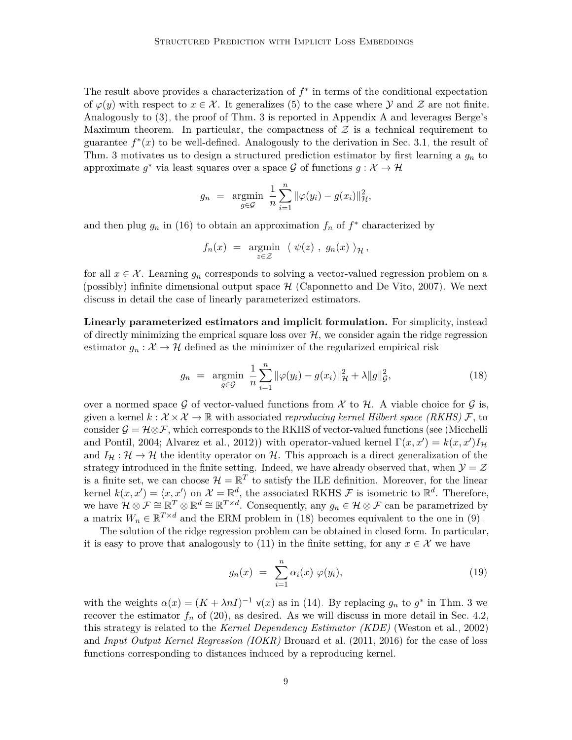The result above provides a characterization of  $f^*$  in terms of the conditional expectation of  $\varphi(y)$  with respect to  $x \in \mathcal{X}$ . It generalizes [\(5\)](#page-4-2) to the case where Y and Z are not finite. Analogously to [\(3\),](#page-4-1) the proof of [Thm. 3](#page-7-1) is reported in [Appendix A](#page-37-0) and leverages Berge's Maximum theorem. In particular, the compactness of  $\mathcal Z$  is a technical requirement to guarantee  $f^*(x)$  to be well-defined. Analogously to the derivation in [Sec. 3.1,](#page-4-4) the result of [Thm. 3](#page-7-1) motivates us to design a structured prediction estimator by first learning a *g<sup>n</sup>* to approximate  $g^*$  via least squares over a space  $\mathcal G$  of functions  $g: \mathcal X \to \mathcal H$ 

$$
g_n = \underset{g \in \mathcal{G}}{\text{argmin}} \ \frac{1}{n} \sum_{i=1}^n \|\varphi(y_i) - g(x_i)\|_{\mathcal{H}}^2,
$$

and then plug  $g_n$  in [\(16\)](#page-7-3) to obtain an approximation  $f_n$  of  $f^*$  characterized by

$$
f_n(x) = \underset{z \in \mathcal{Z}}{\operatorname{argmin}} \ \langle \ \psi(z) \ , \ g_n(x) \ \rangle_{\mathcal{H}},
$$

for all  $x \in \mathcal{X}$ . Learning  $g_n$  corresponds to solving a vector-valued regression problem on a (possibly) infinite dimensional output space  $H$  [\(Caponnetto and De Vito, 2007\)](#page-30-9). We next discuss in detail the case of linearly parameterized estimators.

**Linearly parameterized estimators and implicit formulation.** For simplicity, instead of directly minimizing the emprical square loss over  $H$ , we consider again the ridge regression estimator  $g_n: \mathcal{X} \to \mathcal{H}$  defined as the minimizer of the regularized empirical risk

<span id="page-8-0"></span>
$$
g_n = \underset{g \in \mathcal{G}}{\text{argmin}} \ \frac{1}{n} \sum_{i=1}^n \|\varphi(y_i) - g(x_i)\|_{\mathcal{H}}^2 + \lambda \|g\|_{\mathcal{G}}^2, \tag{18}
$$

over a normed space G of vector-valued functions from X to H. A viable choice for G is, given a kernel  $k : \mathcal{X} \times \mathcal{X} \to \mathbb{R}$  with associated *reproducing kernel Hilbert space (RKHS)*  $\mathcal{F}$ , to consider  $\mathcal{G} = \mathcal{H} \otimes \mathcal{F}$ , which corresponds to the RKHS of vector-valued functions (see [\(Micchelli](#page-32-6) [and Pontil, 2004;](#page-32-6) [Alvarez et al., 2012\)](#page-29-8)) with operator-valued kernel  $\Gamma(x, x') = k(x, x')I_H$ and  $I_H : \mathcal{H} \to \mathcal{H}$  the identity operator on  $\mathcal{H}$ . This approach is a direct generalization of the strategy introduced in the finite setting. Indeed, we have already observed that, when  $\mathcal{Y} = \mathcal{Z}$ is a finite set, we can choose  $\mathcal{H} = \mathbb{R}^T$  to satisfy the ILE definition. Moreover, for the linear kernel  $k(x, x') = \langle x, x' \rangle$  on  $\mathcal{X} = \mathbb{R}^d$ , the associated RKHS F is isometric to  $\mathbb{R}^d$ . Therefore, we have  $\mathcal{H} \otimes \mathcal{F} \cong \mathbb{R}^T \otimes \mathbb{R}^d \cong \mathbb{R}^{T \times d}$ . Consequently, any  $g_n \in \mathcal{H} \otimes \mathcal{F}$  can be parametrized by a matrix  $W_n \in \mathbb{R}^{T \times d}$  and the ERM problem in [\(18\)](#page-8-0) becomes equivalent to the one in [\(9\).](#page-5-1)

The solution of the ridge regression problem can be obtained in closed form. In particular, it is easy to prove that analogously to [\(11\)](#page-6-2) in the finite setting, for any  $x \in \mathcal{X}$  we have

<span id="page-8-1"></span>
$$
g_n(x) = \sum_{i=1}^n \alpha_i(x) \varphi(y_i), \qquad (19)
$$

with the weights  $\alpha(x) = (K + \lambda nI)^{-1}$   $\mathsf{v}(x)$  as in [\(14\).](#page-6-3) By replacing  $g_n$  to  $g^*$  in [Thm. 3](#page-7-1) we recover the estimator  $f_n$  of [\(20\),](#page-9-0) as desired. As we will discuss in more detail in [Sec. 4.2,](#page-14-0) this strategy is related to the *Kernel Dependency Estimator (KDE)* [\(Weston et al., 2002\)](#page-35-0) and *Input Output Kernel Regression (IOKR)* [Brouard et al.](#page-29-4) [\(2011,](#page-29-4) [2016\)](#page-30-1) for the case of loss functions corresponding to distances induced by a reproducing kernel.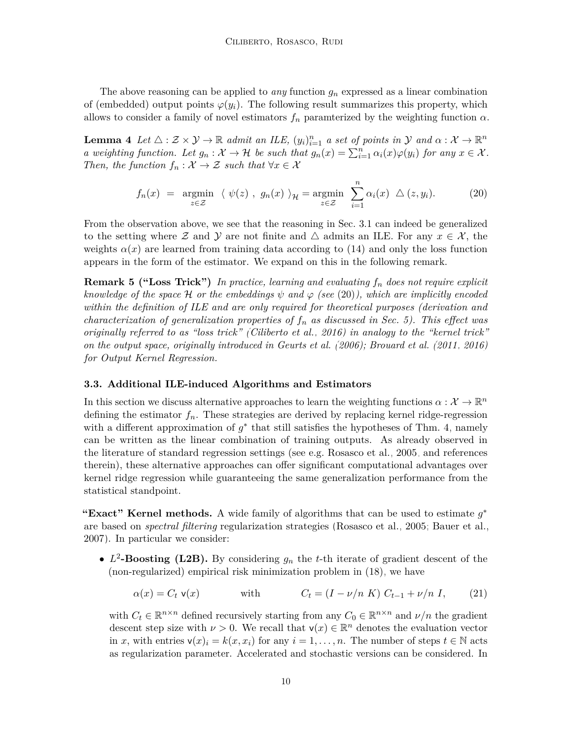The above reasoning can be applied to *any* function *g<sup>n</sup>* expressed as a linear combination of (embedded) output points  $\varphi(y_i)$ . The following result summarizes this property, which allows to consider a family of novel estimators  $f_n$  paramterized by the weighting function  $\alpha$ .

<span id="page-9-1"></span>**Lemma 4** *Let*  $\triangle$  :  $\mathcal{Z} \times \mathcal{Y} \to \mathbb{R}$  *admit an ILE*,  $(y_i)_{i=1}^n$  *a set of points in*  $\mathcal{Y}$  *and*  $\alpha : \mathcal{X} \to \mathbb{R}^n$ *a* weighting function. Let  $g_n : \mathcal{X} \to \mathcal{H}$  be such that  $g_n(x) = \sum_{i=1}^n \alpha_i(x) \varphi(y_i)$  for any  $x \in \mathcal{X}$ . *Then, the function*  $f_n: \mathcal{X} \to \mathcal{Z}$  *such that*  $\forall x \in \mathcal{X}$ 

<span id="page-9-0"></span>
$$
f_n(x) = \underset{z \in \mathcal{Z}}{\operatorname{argmin}} \ \langle \ \psi(z) \ , \ g_n(x) \ \rangle_{\mathcal{H}} = \underset{z \in \mathcal{Z}}{\operatorname{argmin}} \ \sum_{i=1}^n \alpha_i(x) \ \triangle (z, y_i). \tag{20}
$$

From the observation above, we see that the reasoning in [Sec. 3.1](#page-4-4) can indeed be generalized to the setting where Z and Y are not finite and  $\triangle$  admits an ILE. For any  $x \in \mathcal{X}$ , the weights  $\alpha(x)$  are learned from training data according to [\(14\)](#page-6-3) and only the loss function appears in the form of the estimator. We expand on this in the following remark.

**Remark 5 ("Loss Trick")** *In practice, learning and evaluating f<sup>n</sup> does not require explicit knowledge of the space* H *or the embeddings*  $\psi$  *and*  $\varphi$  *(see* [\(20\)](#page-9-0)*), which are implicitly encoded within the definition of ILE and are only required for theoretical purposes (derivation and characterization of generalization properties of*  $f_n$  *as discussed in [Sec. 5\)](#page-18-0). This effect was originally referred to as "loss trick" [\(Ciliberto et al., 2016\)](#page-30-3) in analogy to the "kernel trick" on the output space, originally introduced in [Geurts et al.](#page-31-3) [\(2006\)](#page-31-3); [Brouard et al.](#page-29-4) [\(2011,](#page-29-4) [2016\)](#page-30-1) for Output Kernel Regression.*

#### <span id="page-9-3"></span>**3.3. Additional ILE-induced Algorithms and Estimators**

In this section we discuss alternative approaches to learn the weighting functions  $\alpha: \mathcal{X} \to \mathbb{R}^n$ defining the estimator  $f_n$ . These strategies are derived by replacing kernel ridge-regression with a different approximation of  $g^*$  that still satisfies the hypotheses of [Thm. 4,](#page-9-1) namely can be written as the linear combination of training outputs. As already observed in the literature of standard regression settings (see e.g. [Rosasco et al., 2005,](#page-33-9) and references therein), these alternative approaches can offer significant computational advantages over kernel ridge regression while guaranteeing the same generalization performance from the statistical standpoint.

**"Exact" Kernel methods.** A wide family of algorithms that can be used to estimate *g* ∗ are based on *spectral filtering* regularization strategies [\(Rosasco et al., 2005;](#page-33-9) [Bauer et al.,](#page-29-9) [2007\)](#page-29-9). In particular we consider:

•  $L^2$ -Boosting (L2B). By considering  $g_n$  the *t*-th iterate of gradient descent of the (non-regularized) empirical risk minimization problem in [\(18\),](#page-8-0) we have

<span id="page-9-2"></span>
$$
\alpha(x) = C_t \mathbf{v}(x) \qquad \text{with} \qquad C_t = (I - \nu/n \ K) \ C_{t-1} + \nu/n \ I, \qquad (21)
$$

with  $C_t \in \mathbb{R}^{n \times n}$  defined recursively starting from any  $C_0 \in \mathbb{R}^{n \times n}$  and  $\nu/n$  the gradient descent step size with  $\nu > 0$ . We recall that  $\mathsf{v}(x) \in \mathbb{R}^n$  denotes the evaluation vector in *x*, with entries  $\mathbf{v}(x)_i = k(x, x_i)$  for any  $i = 1, \ldots, n$ . The number of steps  $t \in \mathbb{N}$  acts as regularization parameter. Accelerated and stochastic versions can be considered. In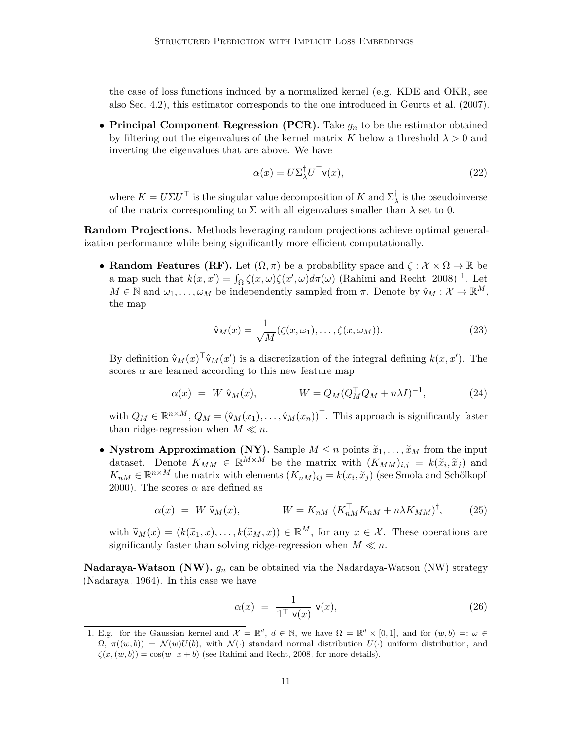the case of loss functions induced by a normalized kernel (e.g. KDE and OKR, see also [Sec. 4.2\)](#page-14-0), this estimator corresponds to the one introduced in [Geurts et al.](#page-31-4) [\(2007\)](#page-31-4).

• **Principal Component Regression (PCR).** Take *g<sup>n</sup>* to be the estimator obtained by filtering out the eigenvalues of the kernel matrix *K* below a threshold  $\lambda > 0$  and inverting the eigenvalues that are above. We have

<span id="page-10-1"></span>
$$
\alpha(x) = U \Sigma_{\lambda}^{\dagger} U^{\top} \mathsf{v}(x),\tag{22}
$$

where  $K = U \Sigma U^{\top}$  is the singular value decomposition of  $K$  and  $\Sigma_{\lambda}^{\dagger}$  $\frac{1}{\lambda}$  is the pseudoinverse of the matrix corresponding to  $\Sigma$  with all eigenvalues smaller than  $\lambda$  set to 0.

**Random Projections.** Methods leveraging random projections achieve optimal generalization performance while being significantly more efficient computationally.

• **Random Features (RF).** Let  $(\Omega, \pi)$  be a probability space and  $\zeta : \mathcal{X} \times \Omega \to \mathbb{R}$  be a map such that  $k(x, x') = \int_{\Omega} \zeta(x, \omega) \zeta(x', \omega) d\pi(\omega)$  [\(Rahimi and Recht, 2008\)](#page-33-10)<sup>[1](#page-10-0)</sup>. Let  $M \in \mathbb{N}$  and  $\omega_1, \ldots, \omega_M$  be independently sampled from  $\pi$ . Denote by  $\hat{\mathsf{v}}_M : \mathcal{X} \to \mathbb{R}^M$ , the map

$$
\hat{\mathsf{v}}_M(x) = \frac{1}{\sqrt{M}} (\zeta(x,\omega_1), \dots, \zeta(x,\omega_M)). \tag{23}
$$

By definition  $\hat{v}_M(x)^\top \hat{v}_M(x')$  is a discretization of the integral defining  $k(x, x')$ . The scores  $\alpha$  are learned according to this new feature map

$$
\alpha(x) = W \hat{\mathbf{v}}_M(x), \qquad W = Q_M (Q_M^{\top} Q_M + n\lambda I)^{-1}, \qquad (24)
$$

with  $Q_M \in \mathbb{R}^{n \times M}$ ,  $Q_M = (\hat{\mathsf{v}}_M(x_1), \dots, \hat{\mathsf{v}}_M(x_n))^{\top}$ . This approach is significantly faster than ridge-regression when  $M \ll n$ .

• **Nystrom Approximation (NY).** Sample  $M \leq n$  points  $\tilde{x}_1, \ldots, \tilde{x}_M$  from the input dataset. Denote  $K_{MM} \in \mathbb{R}^{M \times M}$  be the matrix with  $(K_{MM})_{i,j} = k(\tilde{x}_i, \tilde{x}_j)$  and  $K_{\tilde{x}_i} = \tilde{x}_i^{\max M}$  $K_{nM} \in \mathbb{R}^{n \times M}$  the matrix with elements  $(K_{nM})_{ij} = k(x_i, \tilde{x}_j)$  (see [Smola and Schölkopf,](#page-33-11) [2000\)](#page-33-11). The scores  $\alpha$  are defined as

$$
\alpha(x) = W \tilde{\mathsf{v}}_M(x), \qquad W = K_{nM} \left( K_{nM}^\top K_{nM} + n \lambda K_{MM} \right)^\dagger, \qquad (25)
$$

with  $\tilde{\mathsf{v}}_M(x) = (k(\tilde{x}_1, x), \ldots, k(\tilde{x}_M, x)) \in \mathbb{R}^M$ , for any  $x \in \mathcal{X}$ . These operations are significantly faster than solving ridge-regression when  $M \ll n$ .

**Nadaraya-Watson (NW).** *g<sup>n</sup>* can be obtained via the Nadardaya-Watson (NW) strategy [\(Nadaraya, 1964\)](#page-33-12). In this case we have

$$
\alpha(x) = \frac{1}{\mathbb{1}^\top \mathsf{v}(x)} \mathsf{v}(x),\tag{26}
$$

<span id="page-10-0"></span><sup>1.</sup> E.g. for the Gaussian kernel and  $\mathcal{X} = \mathbb{R}^d$ ,  $d \in \mathbb{N}$ , we have  $\Omega = \mathbb{R}^d \times [0,1]$ , and for  $(w, b) =: \omega \in$  $\Omega$ ,  $\pi((w, b)) = \mathcal{N}(w)U(b)$ , with  $\mathcal{N}(\cdot)$  standard normal distribution  $U(\cdot)$  uniform distribution, and  $\zeta(x,(w,b)) = \cos(w^{\top}x + b)$  (see [Rahimi and Recht, 2008,](#page-33-10) for more details).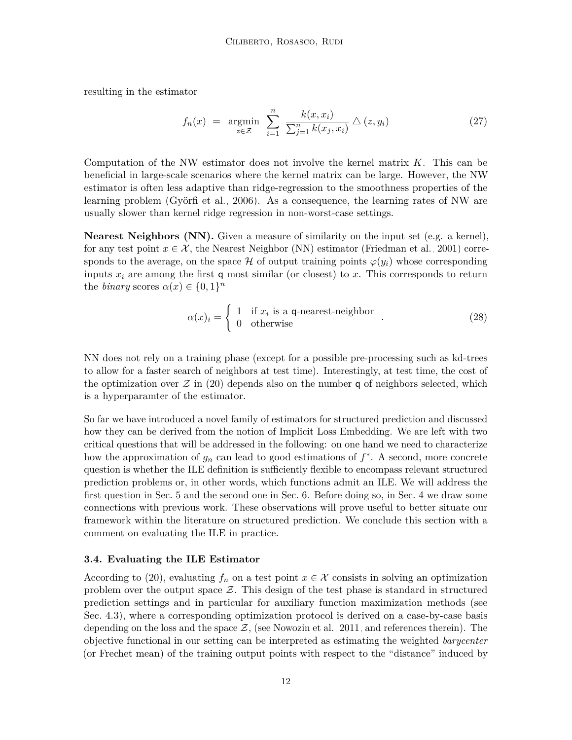resulting in the estimator

$$
f_n(x) = \underset{z \in \mathcal{Z}}{\text{argmin}} \sum_{i=1}^n \frac{k(x, x_i)}{\sum_{j=1}^n k(x_j, x_i)} \triangle (z, y_i)
$$
 (27)

Computation of the NW estimator does not involve the kernel matrix *K*. This can be beneficial in large-scale scenarios where the kernel matrix can be large. However, the NW estimator is often less adaptive than ridge-regression to the smoothness properties of the learning problem [\(Györfi et al., 2006\)](#page-31-7). As a consequence, the learning rates of NW are usually slower than kernel ridge regression in non-worst-case settings.

**Nearest Neighbors (NN).** Given a measure of similarity on the input set (e.g. a kernel), for any test point  $x \in \mathcal{X}$ , the Nearest Neighbor (NN) estimator [\(Friedman et al., 2001\)](#page-31-8) corresponds to the average, on the space  $H$  of output training points  $\varphi(y_i)$  whose corresponding inputs *x<sup>i</sup>* are among the first q most similar (or closest) to *x*. This corresponds to return the *binary* scores  $\alpha(x) \in \{0, 1\}^n$ 

$$
\alpha(x)_i = \begin{cases} 1 & \text{if } x_i \text{ is a q-nearest-neighbor} \\ 0 & \text{otherwise} \end{cases}
$$
 (28)

NN does not rely on a training phase (except for a possible pre-processing such as kd-trees to allow for a faster search of neighbors at test time). Interestingly, at test time, the cost of the optimization over  $\mathcal Z$  in [\(20\)](#page-9-0) depends also on the number q of neighbors selected, which is a hyperparamter of the estimator.

So far we have introduced a novel family of estimators for structured prediction and discussed how they can be derived from the notion of Implicit Loss Embedding. We are left with two critical questions that will be addressed in the following: on one hand we need to characterize how the approximation of *g<sup>n</sup>* can lead to good estimations of *f* ∗ . A second, more concrete question is whether the ILE definition is sufficiently flexible to encompass relevant structured prediction problems or, in other words, which functions admit an ILE. We will address the first question in [Sec. 5](#page-18-0) and the second one in [Sec. 6.](#page-24-0) Before doing so, in [Sec. 4](#page-13-0) we draw some connections with previous work. These observations will prove useful to better situate our framework within the literature on structured prediction. We conclude this section with a comment on evaluating the ILE in practice.

#### **3.4. Evaluating the ILE Estimator**

According to [\(20\),](#page-9-0) evaluating  $f_n$  on a test point  $x \in \mathcal{X}$  consists in solving an optimization problem over the output space  $\mathcal{Z}$ . This design of the test phase is standard in structured prediction settings and in particular for auxiliary function maximization methods (see [Sec. 4.3\)](#page-16-0), where a corresponding optimization protocol is derived on a case-by-case basis depending on the loss and the space  $\mathcal{Z}$ , (see [Nowozin et al., 2011,](#page-33-2) and references therein). The objective functional in our setting can be interpreted as estimating the weighted *barycenter* (or Frechet mean) of the training output points with respect to the "distance" induced by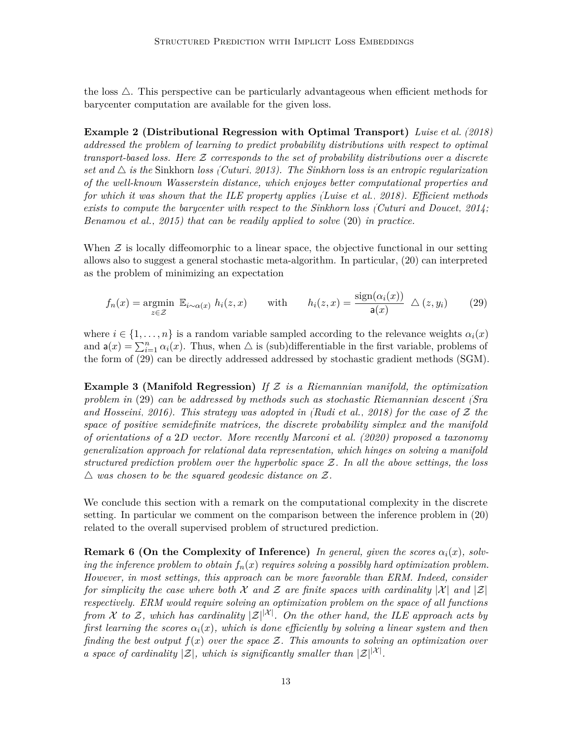the loss  $\triangle$ . This perspective can be particularly advantageous when efficient methods for barycenter computation are available for the given loss.

**Example 2 (Distributional Regression with Optimal Transport)** *[Luise et al.](#page-32-3) [\(2018\)](#page-32-3) addressed the problem of learning to predict probability distributions with respect to optimal transport-based loss. Here* Z *corresponds to the set of probability distributions over a discrete set and*  $\triangle$  *is the* Sinkhorn *loss [\(Cuturi, 2013\)](#page-30-10)*. The Sinkhorn loss is an entropic regularization *of the well-known Wasserstein distance, which enjoyes better computational properties and for which it was shown that the ILE property applies [\(Luise et al., 2018\)](#page-32-3). Efficient methods exists to compute the barycenter with respect to the Sinkhorn loss [\(Cuturi and Doucet, 2014;](#page-30-11) [Benamou et al., 2015\)](#page-29-10) that can be readily applied to solve* [\(20\)](#page-9-0) *in practice.*

When  $\mathcal Z$  is locally diffeomorphic to a linear space, the objective functional in our setting allows also to suggest a general stochastic meta-algorithm. In particular, [\(20\)](#page-9-0) can interpreted as the problem of minimizing an expectation

<span id="page-12-0"></span>
$$
f_n(x) = \underset{z \in \mathcal{Z}}{\operatorname{argmin}} \ \mathbb{E}_{i \sim \alpha(x)} \ h_i(z, x) \qquad \text{with} \qquad h_i(z, x) = \frac{\operatorname{sign}(\alpha_i(x))}{\mathsf{a}(x)} \ \triangle \ (z, y_i) \tag{29}
$$

where  $i \in \{1, \ldots, n\}$  is a random variable sampled according to the relevance weights  $\alpha_i(x)$ and  $\mathsf{a}(x) = \sum_{i=1}^{n} \alpha_i(x)$ . Thus, when  $\Delta$  is (sub)differentiable in the first variable, problems of the form of [\(29\)](#page-12-0) can be directly addressed addressed by stochastic gradient methods (SGM).

**Example 3 (Manifold Regression)** *If* Z *is a Riemannian manifold, the optimization problem in* [\(29\)](#page-12-0) *can be addressed by methods such as stochastic Riemannian descent [\(Sra](#page-34-8) [and Hosseini, 2016\)](#page-34-8). This strategy was adopted in [\(Rudi et al., 2018\)](#page-33-4) for the case of* Z *the space of positive semidefinite matrices, the discrete probability simplex and the manifold of orientations of a* 2*D vector. More recently [Marconi et al.](#page-32-7) [\(2020\)](#page-32-7) proposed a taxonomy generalization approach for relational data representation, which hinges on solving a manifold structured prediction problem over the hyperbolic space* Z*. In all the above settings, the loss*  $\triangle$  was chosen to be the squared geodesic distance on  $\mathcal{Z}$ .

We conclude this section with a remark on the computational complexity in the discrete setting. In particular we comment on the comparison between the inference problem in [\(20\)](#page-9-0) related to the overall supervised problem of structured prediction.

**Remark 6 (On the Complexity of Inference)** *In general, given the scores*  $\alpha_i(x)$ *, solving the inference problem to obtain*  $f_n(x)$  *requires solving a possibly hard optimization problem. However, in most settings, this approach can be more favorable than ERM. Indeed, consider for simplicity the case where both* X and Z are finite spaces with cardinality |X| and  $|\mathcal{Z}|$ *respectively. ERM would require solving an optimization problem on the space of all functions from*  $\mathcal X$  *to*  $\mathcal Z$ *, which has cardinality*  $|\mathcal Z|^{|\mathcal X|}$ *. On the other hand, the ILE approach acts by first learning the scores*  $\alpha_i(x)$ *, which is done efficiently by solving a linear system and then finding the best output f*(*x*) *over the space* Z*. This amounts to solving an optimization over a space of cardinality*  $|\mathcal{Z}|$ *, which is significantly smaller than*  $|\mathcal{Z}|^{|\mathcal{X}|}$ *.*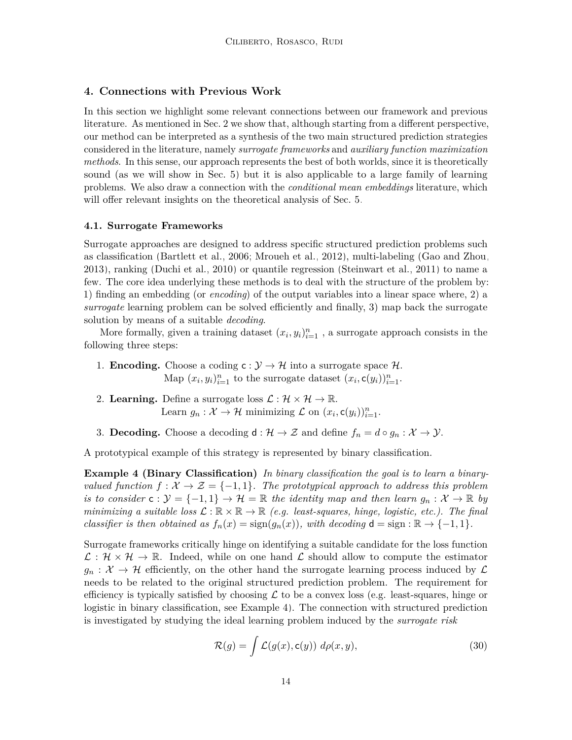#### <span id="page-13-0"></span>**4. Connections with Previous Work**

In this section we highlight some relevant connections between our framework and previous literature. As mentioned in [Sec. 2](#page-2-0) we show that, although starting from a different perspective, our method can be interpreted as a synthesis of the two main structured prediction strategies considered in the literature, namely *surrogate frameworks* and *auxiliary function maximization methods*. In this sense, our approach represents the best of both worlds, since it is theoretically sound (as we will show in [Sec. 5\)](#page-18-0) but it is also applicable to a large family of learning problems. We also draw a connection with the *conditional mean embeddings* literature, which will offer relevant insights on the theoretical analysis of [Sec. 5.](#page-18-0)

#### <span id="page-13-1"></span>**4.1. Surrogate Frameworks**

Surrogate approaches are designed to address specific structured prediction problems such as classification [\(Bartlett et al., 2006;](#page-29-3) [Mroueh et al., 2012\)](#page-32-0), multi-labeling [\(Gao and Zhou,](#page-31-9) [2013\)](#page-31-9), ranking [\(Duchi et al., 2010\)](#page-30-0) or quantile regression [\(Steinwart et al., 2011\)](#page-34-9) to name a few. The core idea underlying these methods is to deal with the structure of the problem by: 1) finding an embedding (or *encoding*) of the output variables into a linear space where, 2) a *surrogate* learning problem can be solved efficiently and finally, 3) map back the surrogate solution by means of a suitable *decoding*.

More formally, given a training dataset  $(x_i, y_i)_{i=1}^n$ , a surrogate approach consists in the following three steps:

- 1. **Encoding.** Choose a coding  $c: \mathcal{Y} \to \mathcal{H}$  into a surrogate space  $\mathcal{H}$ . Map  $(x_i, y_i)_{i=1}^n$  to the surrogate dataset  $(x_i, \mathsf{c}(y_i))_{i=1}^n$ .
- 2. **Learning.** Define a surrogate loss  $\mathcal{L}: \mathcal{H} \times \mathcal{H} \to \mathbb{R}$ . Learn  $g_n: \mathcal{X} \to \mathcal{H}$  minimizing  $\mathcal{L}$  on  $(x_i, \mathsf{c}(y_i))_{i=1}^n$ .
- 3. **Decoding.** Choose a decoding  $d : \mathcal{H} \to \mathcal{Z}$  and define  $f_n = d \circ g_n : \mathcal{X} \to \mathcal{Y}$ .

A prototypical example of this strategy is represented by binary classification.

**Example 4 (Binary Classification)** *In binary classification the goal is to learn a binaryvalued function*  $f: \mathcal{X} \to \mathcal{Z} = \{-1, 1\}$ *. The prototypical approach to address this problem is to consider*  $c: \mathcal{Y} = \{-1,1\} \to \mathcal{H} = \mathbb{R}$  *the identity map and then learn*  $g_n: \mathcal{X} \to \mathbb{R}$  by *minimizing a suitable loss*  $\mathcal{L} : \mathbb{R} \times \mathbb{R} \to \mathbb{R}$  *(e.g. least-squares, hinge, logistic, etc.). The final classifier is then obtained as*  $f_n(x) = \text{sign}(g_n(x))$ *, with decoding*  $d = \text{sign} : \mathbb{R} \to \{-1, 1\}$ *.* 

Surrogate frameworks critically hinge on identifying a suitable candidate for the loss function  $\mathcal{L}: \mathcal{H} \times \mathcal{H} \to \mathbb{R}$ . Indeed, while on one hand  $\mathcal{L}$  should allow to compute the estimator  $g_n: \mathcal{X} \to \mathcal{H}$  efficiently, on the other hand the surrogate learning process induced by  $\mathcal{L}$ needs to be related to the original structured prediction problem. The requirement for efficiency is typically satisfied by choosing  $\mathcal L$  to be a convex loss (e.g. least-squares, hinge or logistic in binary classification, see [Example 4\)](#page-13-2). The connection with structured prediction is investigated by studying the ideal learning problem induced by the *surrogate risk*

<span id="page-13-2"></span>
$$
\mathcal{R}(g) = \int \mathcal{L}(g(x), \mathsf{c}(y)) \, d\rho(x, y), \tag{30}
$$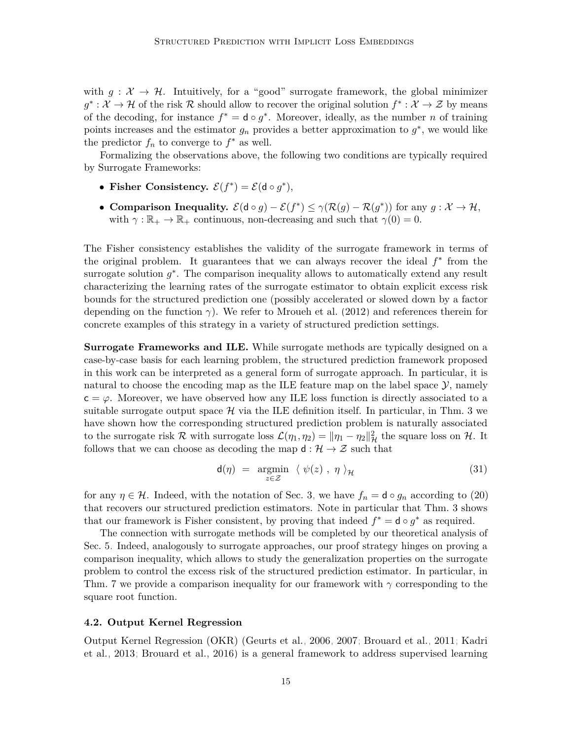with  $g: \mathcal{X} \to \mathcal{H}$ . Intuitively, for a "good" surrogate framework, the global minimizer  $g^*: \mathcal{X} \to \mathcal{H}$  of the risk R should allow to recover the original solution  $f^*: \mathcal{X} \to \mathcal{Z}$  by means of the decoding, for instance  $f^* = \mathsf{d} \circ g^*$ . Moreover, ideally, as the number *n* of training points increases and the estimator  $g_n$  provides a better approximation to  $g^*$ , we would like the predictor  $f_n$  to converge to  $f^*$  as well.

Formalizing the observations above, the following two conditions are typically required by Surrogate Frameworks:

- Fisher Consistency.  $\mathcal{E}(f^*) = \mathcal{E}(\mathsf{d} \circ g^*),$
- **Comparison Inequality.**  $\mathcal{E}(\mathsf{d} \circ g) \mathcal{E}(f^*) \leq \gamma(\mathcal{R}(g) \mathcal{R}(g^*))$  for any  $g : \mathcal{X} \to \mathcal{H}$ , with  $\gamma : \mathbb{R}_+ \to \mathbb{R}_+$  continuous, non-decreasing and such that  $\gamma(0) = 0$ .

The Fisher consistency establishes the validity of the surrogate framework in terms of the original problem. It guarantees that we can always recover the ideal *f* ∗ from the surrogate solution  $g^*$ . The comparison inequality allows to automatically extend any result characterizing the learning rates of the surrogate estimator to obtain explicit excess risk bounds for the structured prediction one (possibly accelerated or slowed down by a factor depending on the function *γ*). We refer to [Mroueh et al.](#page-32-0) [\(2012\)](#page-32-0) and references therein for concrete examples of this strategy in a variety of structured prediction settings.

**Surrogate Frameworks and ILE.** While surrogate methods are typically designed on a case-by-case basis for each learning problem, the structured prediction framework proposed in this work can be interpreted as a general form of surrogate approach. In particular, it is natural to choose the encoding map as the ILE feature map on the label space  $\mathcal{Y}$ , namely  $c = \varphi$ . Moreover, we have observed how any ILE loss function is directly associated to a suitable surrogate output space  $\mathcal{H}$  via the ILE definition itself. In particular, in [Thm. 3](#page-7-1) we have shown how the corresponding structured prediction problem is naturally associated to the surrogate risk R with surrogate loss  $\mathcal{L}(\eta_1, \eta_2) = ||\eta_1 - \eta_2||^2_{\mathcal{H}}$  the square loss on H. It follows that we can choose as decoding the map  $d : \mathcal{H} \to \mathcal{Z}$  such that

$$
\mathsf{d}(\eta) = \underset{z \in \mathcal{Z}}{\operatorname{argmin}} \ \langle \ \psi(z) \ , \ \eta \ \rangle_{\mathcal{H}} \tag{31}
$$

for any  $\eta \in \mathcal{H}$ . Indeed, with the notation of [Sec. 3,](#page-4-0) we have  $f_n = \mathsf{d} \circ g_n$  according to [\(20\)](#page-9-0) that recovers our structured prediction estimators. Note in particular that [Thm. 3](#page-7-1) shows that our framework is Fisher consistent, by proving that indeed  $f^* = \mathsf{d} \circ g^*$  as required.

The connection with surrogate methods will be completed by our theoretical analysis of [Sec. 5.](#page-18-0) Indeed, analogously to surrogate approaches, our proof strategy hinges on proving a comparison inequality, which allows to study the generalization properties on the surrogate problem to control the excess risk of the structured prediction estimator. In particular, in [Thm. 7](#page-18-1) we provide a comparison inequality for our framework with *γ* corresponding to the square root function.

#### <span id="page-14-0"></span>**4.2. Output Kernel Regression**

Output Kernel Regression (OKR) [\(Geurts et al., 2006,](#page-31-3) [2007;](#page-31-4) [Brouard et al., 2011;](#page-29-4) [Kadri](#page-31-5) [et al., 2013;](#page-31-5) [Brouard et al., 2016\)](#page-30-1) is a general framework to address supervised learning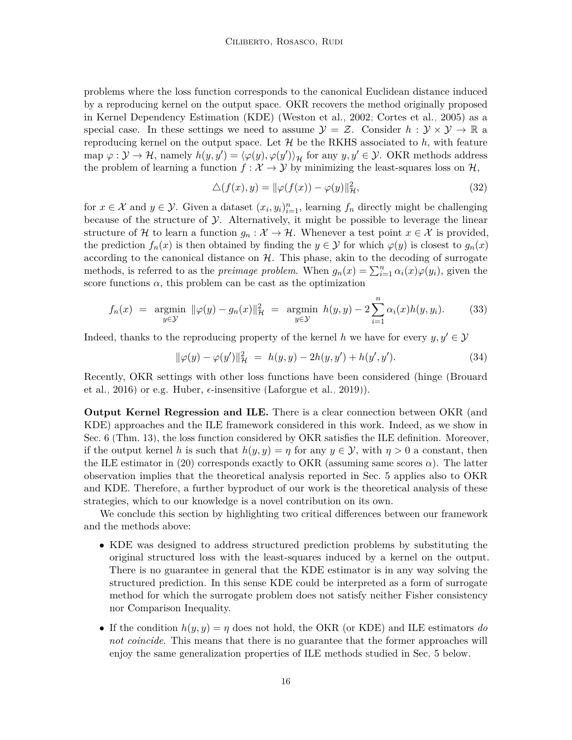problems where the loss function corresponds to the canonical Euclidean distance induced by a reproducing kernel on the output space. OKR recovers the method originally proposed in Kernel Dependency Estimation (KDE) [\(Weston et al., 2002;](#page-35-0) [Cortes et al., 2005\)](#page-30-2) as a special case. In these settings we need to assume  $\mathcal{Y} = \mathcal{Z}$ . Consider  $h : \mathcal{Y} \times \mathcal{Y} \to \mathbb{R}$  a reproducing kernel on the output space. Let  $\mathcal{H}$  be the RKHS associated to  $h$ , with feature map  $\varphi : \mathcal{Y} \to \mathcal{H}$ , namely  $h(y, y') = \langle \varphi(y), \varphi(y') \rangle_{\mathcal{H}}$  for any  $y, y' \in \mathcal{Y}$ . OKR methods address the problem of learning a function  $f : \mathcal{X} \to \mathcal{Y}$  by minimizing the least-squares loss on  $\mathcal{H}$ ,

$$
\Delta(f(x), y) = \|\varphi(f(x)) - \varphi(y)\|_{\mathcal{H}}^2,\tag{32}
$$

for  $x \in \mathcal{X}$  and  $y \in \mathcal{Y}$ . Given a dataset  $(x_i, y_i)_{i=1}^n$ , learning  $f_n$  directly might be challenging because of the structure of  $\mathcal Y$ . Alternatively, it might be possible to leverage the linear structure of H to learn a function  $g_n : \mathcal{X} \to \mathcal{H}$ . Whenever a test point  $x \in \mathcal{X}$  is provided, the prediction  $f_n(x)$  is then obtained by finding the  $y \in \mathcal{Y}$  for which  $\varphi(y)$  is closest to  $g_n(x)$ according to the canonical distance on  $H$ . This phase, akin to the decoding of surrogate methods, is referred to as the *preimage problem*. When  $g_n(x) = \sum_{i=1}^n \alpha_i(x) \varphi(y_i)$ , given the score functions  $\alpha$ , this problem can be cast as the optimization

$$
f_n(x) = \underset{y \in \mathcal{Y}}{\operatorname{argmin}} \ \|\varphi(y) - g_n(x)\|_{\mathcal{H}}^2 = \underset{y \in \mathcal{Y}}{\operatorname{argmin}} \ h(y, y) - 2 \sum_{i=1}^n \alpha_i(x) h(y, y_i). \tag{33}
$$

Indeed, thanks to the reproducing property of the kernel *h* we have for every  $y, y' \in \mathcal{Y}$ 

$$
\|\varphi(y) - \varphi(y')\|_{\mathcal{H}}^2 = h(y, y) - 2h(y, y') + h(y', y'). \tag{34}
$$

Recently, OKR settings with other loss functions have been considered (hinge [\(Brouard](#page-30-1) [et al., 2016\)](#page-30-1) or e.g. Huber,  $\epsilon$ -insensitive [\(Laforgue et al., 2019\)](#page-32-8)).

**Output Kernel Regression and ILE.** There is a clear connection between OKR (and KDE) approaches and the ILE framework considered in this work. Indeed, as we show in [Sec. 6](#page-24-0) [\(Thm. 13\)](#page-25-0), the loss function considered by OKR satisfies the ILE definition. Moreover, if the output kernel h is such that  $h(y, y) = \eta$  for any  $y \in \mathcal{Y}$ , with  $\eta > 0$  a constant, then the ILE estimator in [\(20\)](#page-9-0) corresponds exactly to OKR (assuming same scores  $\alpha$ ). The latter observation implies that the theoretical analysis reported in [Sec. 5](#page-18-0) applies also to OKR and KDE. Therefore, a further byproduct of our work is the theoretical analysis of these strategies, which to our knowledge is a novel contribution on its own.

We conclude this section by highlighting two critical differences between our framework and the methods above:

- KDE was designed to address structured prediction problems by substituting the original structured loss with the least-squares induced by a kernel on the output. There is no guarantee in general that the KDE estimator is in any way solving the structured prediction. In this sense KDE could be interpreted as a form of surrogate method for which the surrogate problem does not satisfy neither Fisher consistency nor Comparison Inequality.
- If the condition  $h(y, y) = \eta$  does not hold, the OKR (or KDE) and ILE estimators *do not coincide*. This means that there is no guarantee that the former approaches will enjoy the same generalization properties of ILE methods studied in [Sec. 5](#page-18-0) below.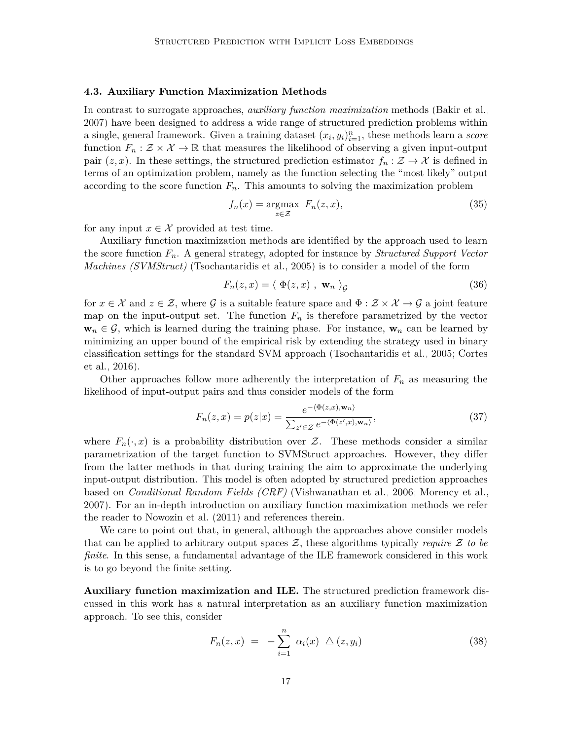#### <span id="page-16-0"></span>**4.3. Auxiliary Function Maximization Methods**

In contrast to surrogate approaches, *auxiliary function maximization* methods [\(Bakir et al.,](#page-29-2) [2007\)](#page-29-2) have been designed to address a wide range of structured prediction problems within a single, general framework. Given a training dataset  $(x_i, y_i)_{i=1}^n$ , these methods learn a *score* function  $F_n : \mathcal{Z} \times \mathcal{X} \to \mathbb{R}$  that measures the likelihood of observing a given input-output pair  $(z, x)$ . In these settings, the structured prediction estimator  $f_n : \mathcal{Z} \to \mathcal{X}$  is defined in terms of an optimization problem, namely as the function selecting the "most likely" output according to the score function  $F_n$ . This amounts to solving the maximization problem

$$
f_n(x) = \underset{z \in \mathcal{Z}}{\operatorname{argmax}} \ F_n(z, x), \tag{35}
$$

for any input  $x \in \mathcal{X}$  provided at test time.

Auxiliary function maximization methods are identified by the approach used to learn the score function *Fn*. A general strategy, adopted for instance by *Structured Support Vector Machines (SVMStruct)* [\(Tsochantaridis et al., 2005\)](#page-34-2) is to consider a model of the form

<span id="page-16-1"></span>
$$
F_n(z, x) = \langle \Phi(z, x) , \mathbf{w}_n \rangle_{\mathcal{G}}
$$
\n(36)

for  $x \in \mathcal{X}$  and  $z \in \mathcal{Z}$ , where G is a suitable feature space and  $\Phi : \mathcal{Z} \times \mathcal{X} \to \mathcal{G}$  a joint feature map on the input-output set. The function  $F_n$  is therefore parametrized by the vector  $\mathbf{w}_n \in \mathcal{G}$ , which is learned during the training phase. For instance,  $\mathbf{w}_n$  can be learned by minimizing an upper bound of the empirical risk by extending the strategy used in binary classification settings for the standard SVM approach [\(Tsochantaridis et al., 2005;](#page-34-2) [Cortes](#page-30-12) [et al., 2016\)](#page-30-12).

Other approaches follow more adherently the interpretation of  $F_n$  as measuring the likelihood of input-output pairs and thus consider models of the form

$$
F_n(z,x) = p(z|x) = \frac{e^{-\langle \Phi(z,x), \mathbf{w}_n \rangle}}{\sum_{z' \in \mathcal{Z}} e^{-\langle \Phi(z',x), \mathbf{w}_n \rangle}},\tag{37}
$$

where  $F_n(\cdot, x)$  is a probability distribution over Z. These methods consider a similar parametrization of the target function to SVMStruct approaches. However, they differ from the latter methods in that during training the aim to approximate the underlying input-output distribution. This model is often adopted by structured prediction approaches based on *Conditional Random Fields (CRF)* [\(Vishwanathan et al., 2006;](#page-34-10) [Morency et al.,](#page-32-9) [2007\)](#page-32-9). For an in-depth introduction on auxiliary function maximization methods we refer the reader to [Nowozin et al.](#page-33-2) [\(2011\)](#page-33-2) and references therein.

We care to point out that, in general, although the approaches above consider models that can be applied to arbitrary output spaces  $Z$ , these algorithms typically *require*  $Z$  to be *finite*. In this sense, a fundamental advantage of the ILE framework considered in this work is to go beyond the finite setting.

**Auxiliary function maximization and ILE.** The structured prediction framework discussed in this work has a natural interpretation as an auxiliary function maximization approach. To see this, consider

$$
F_n(z, x) = -\sum_{i=1}^n \alpha_i(x) \triangle (z, y_i)
$$
 (38)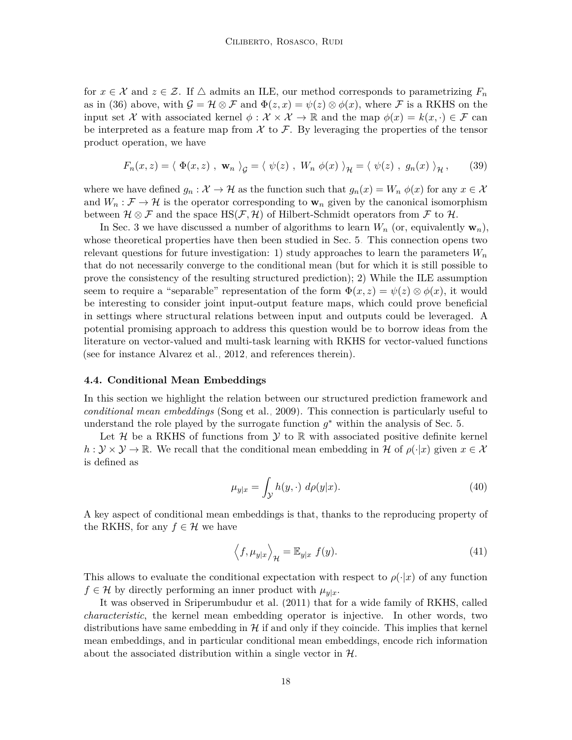for  $x \in \mathcal{X}$  and  $z \in \mathcal{Z}$ . If  $\triangle$  admits an ILE, our method corresponds to parametrizing  $F_n$ as in [\(36\)](#page-16-1) above, with  $\mathcal{G} = \mathcal{H} \otimes \mathcal{F}$  and  $\Phi(z, x) = \psi(z) \otimes \phi(x)$ , where  $\mathcal{F}$  is a RKHS on the input set X with associated kernel  $\phi : \mathcal{X} \times \mathcal{X} \to \mathbb{R}$  and the map  $\phi(x) = k(x, \cdot) \in \mathcal{F}$  can be interpreted as a feature map from  $\mathcal X$  to  $\mathcal F$ . By leveraging the properties of the tensor product operation, we have

$$
F_n(x, z) = \langle \Phi(x, z) , \mathbf{w}_n \rangle_{\mathcal{G}} = \langle \psi(z) , W_n \phi(x) \rangle_{\mathcal{H}} = \langle \psi(z) , g_n(x) \rangle_{\mathcal{H}}, \qquad (39)
$$

where we have defined  $g_n : \mathcal{X} \to \mathcal{H}$  as the function such that  $g_n(x) = W_n \phi(x)$  for any  $x \in \mathcal{X}$ and  $W_n : \mathcal{F} \to \mathcal{H}$  is the operator corresponding to  $\mathbf{w}_n$  given by the canonical isomorphism between  $\mathcal{H} \otimes \mathcal{F}$  and the space  $\text{HS}(\mathcal{F}, \mathcal{H})$  of Hilbert-Schmidt operators from  $\mathcal{F}$  to  $\mathcal{H}$ .

In [Sec. 3](#page-4-0) we have discussed a number of algorithms to learn  $W_n$  (or, equivalently  $\mathbf{w}_n$ ), whose theoretical properties have then been studied in [Sec. 5.](#page-18-0) This connection opens two relevant questions for future investigation: 1) study approaches to learn the parameters  $W_n$ that do not necessarily converge to the conditional mean (but for which it is still possible to prove the consistency of the resulting structured prediction); 2) While the ILE assumption seem to require a "separable" representation of the form  $\Phi(x, z) = \psi(z) \otimes \phi(x)$ , it would be interesting to consider joint input-output feature maps, which could prove beneficial in settings where structural relations between input and outputs could be leveraged. A potential promising approach to address this question would be to borrow ideas from the literature on vector-valued and multi-task learning with RKHS for vector-valued functions (see for instance [Alvarez et al., 2012,](#page-29-8) and references therein).

#### <span id="page-17-0"></span>**4.4. Conditional Mean Embeddings**

In this section we highlight the relation between our structured prediction framework and *conditional mean embeddings* [\(Song et al., 2009\)](#page-34-7). This connection is particularly useful to understand the role played by the surrogate function  $g^*$  within the analysis of [Sec. 5.](#page-18-0)

Let  $\mathcal H$  be a RKHS of functions from  $\mathcal Y$  to  $\mathbb R$  with associated positive definite kernel  $h: \mathcal{Y} \times \mathcal{Y} \to \mathbb{R}$ . We recall that the conditional mean embedding in H of  $\rho(\cdot|x)$  given  $x \in \mathcal{X}$ is defined as

$$
\mu_{y|x} = \int_{\mathcal{Y}} h(y, \cdot) \, d\rho(y|x). \tag{40}
$$

A key aspect of conditional mean embeddings is that, thanks to the reproducing property of the RKHS, for any  $f \in \mathcal{H}$  we have

$$
\left\langle f, \mu_{y|x} \right\rangle_{\mathcal{H}} = \mathbb{E}_{y|x} f(y). \tag{41}
$$

This allows to evaluate the conditional expectation with respect to  $\rho(\cdot|x)$  of any function  $f \in \mathcal{H}$  by directly performing an inner product with  $\mu_{v|x}$ .

It was observed in [Sriperumbudur et al.](#page-34-11) [\(2011\)](#page-34-11) that for a wide family of RKHS, called *characteristic*, the kernel mean embedding operator is injective. In other words, two distributions have same embedding in  $\mathcal H$  if and only if they coincide. This implies that kernel mean embeddings, and in particular conditional mean embeddings, encode rich information about the associated distribution within a single vector in  $H$ .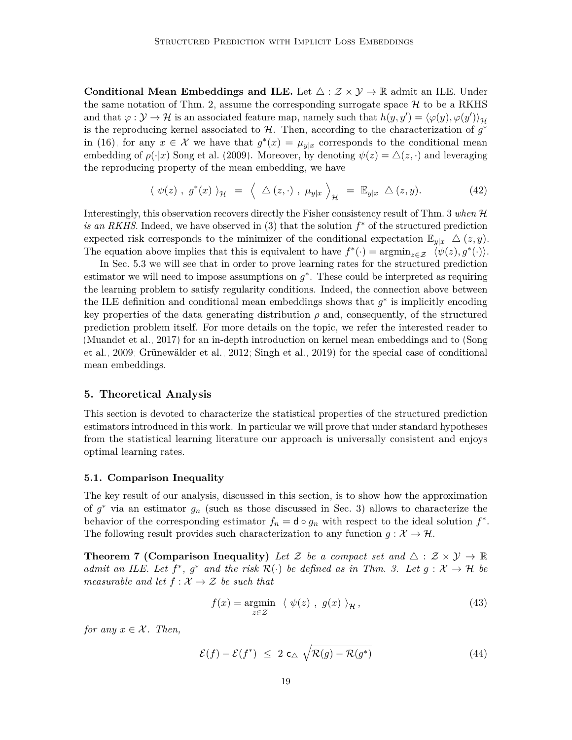**Conditional Mean Embeddings and ILE.** Let  $\triangle$  :  $\mathcal{Z} \times \mathcal{Y} \rightarrow \mathbb{R}$  admit an ILE. Under the same notation of [Thm. 2,](#page-7-2) assume the corresponding surrogate space  $\mathcal{H}$  to be a RKHS and that  $\varphi : \mathcal{Y} \to \mathcal{H}$  is an associated feature map, namely such that  $h(y, y') = \langle \varphi(y), \varphi(y') \rangle_{\mathcal{H}}$ is the reproducing kernel associated to  $H$ . Then, according to the characterization of  $g^*$ in [\(16\),](#page-7-3) for any  $x \in \mathcal{X}$  we have that  $g^*(x) = \mu_{y|x}$  corresponds to the conditional mean embedding of  $\rho(\cdot|x)$  [Song et al.](#page-34-7) [\(2009\)](#page-34-7). Moreover, by denoting  $\psi(z) = \Delta(z, \cdot)$  and leveraging the reproducing property of the mean embedding, we have

$$
\langle \psi(z) , g^*(x) \rangle_{\mathcal{H}} = \langle \Delta(z, \cdot) , \mu_{y|x} \rangle_{\mathcal{H}} = \mathbb{E}_{y|x} \Delta(z, y). \tag{42}
$$

Interestingly, this observation recovers directly the Fisher consistency result of [Thm. 3](#page-7-1) *when* H *is an RKHS*. Indeed, we have observed in [\(3\)](#page-4-1) that the solution  $f^*$  of the structured prediction expected risk corresponds to the minimizer of the conditional expectation  $\mathbb{E}_{y|x} \Delta(z, y)$ . The equation above implies that this is equivalent to have  $f^*(\cdot) = \operatorname{argmin}_{z \in \mathcal{Z}} \langle \psi(z), g^*(\cdot) \rangle$ .

In [Sec. 5.3](#page-20-0) we will see that in order to prove learning rates for the structured prediction estimator we will need to impose assumptions on  $g^*$ . These could be interpreted as requiring the learning problem to satisfy regularity conditions. Indeed, the connection above between the ILE definition and conditional mean embeddings shows that  $g^*$  is implicitly encoding key properties of the data generating distribution  $\rho$  and, consequently, of the structured prediction problem itself. For more details on the topic, we refer the interested reader to [\(Muandet et al., 2017\)](#page-32-10) for an in-depth introduction on kernel mean embeddings and to [\(Song](#page-34-7) [et al., 2009;](#page-34-7) [Grünewälder et al., 2012;](#page-31-6) [Singh et al., 2019\)](#page-33-7) for the special case of conditional mean embeddings.

#### <span id="page-18-0"></span>**5. Theoretical Analysis**

This section is devoted to characterize the statistical properties of the structured prediction estimators introduced in this work. In particular we will prove that under standard hypotheses from the statistical learning literature our approach is universally consistent and enjoys optimal learning rates.

#### **5.1. Comparison Inequality**

The key result of our analysis, discussed in this section, is to show how the approximation of  $g^*$  via an estimator  $g_n$  (such as those discussed in [Sec. 3\)](#page-4-0) allows to characterize the behavior of the corresponding estimator  $f_n = \mathsf{d} \circ g_n$  with respect to the ideal solution  $f^*$ . The following result provides such characterization to any function  $g: \mathcal{X} \to \mathcal{H}$ .

<span id="page-18-1"></span>**Theorem 7 (Comparison Inequality)** Let Z be a compact set and  $\triangle$  :  $\mathcal{Z} \times \mathcal{Y} \rightarrow \mathbb{R}$ *admit an ILE. Let*  $f^*$ ,  $g^*$  *and the risk*  $\mathcal{R}(\cdot)$  *be defined as in [Thm. 3.](#page-7-1)* Let  $g: \mathcal{X} \to \mathcal{H}$  be *measurable and let*  $f : \mathcal{X} \to \mathcal{Z}$  *be such that* 

<span id="page-18-2"></span>
$$
f(x) = \underset{z \in \mathcal{Z}}{\operatorname{argmin}} \ \langle \ \psi(z) \ , \ g(x) \ \rangle_{\mathcal{H}} \,, \tag{43}
$$

*for any*  $x \in \mathcal{X}$ *. Then,* 

$$
\mathcal{E}(f) - \mathcal{E}(f^*) \leq 2 \mathsf{c}_{\triangle} \sqrt{\mathcal{R}(g) - \mathcal{R}(g^*)} \tag{44}
$$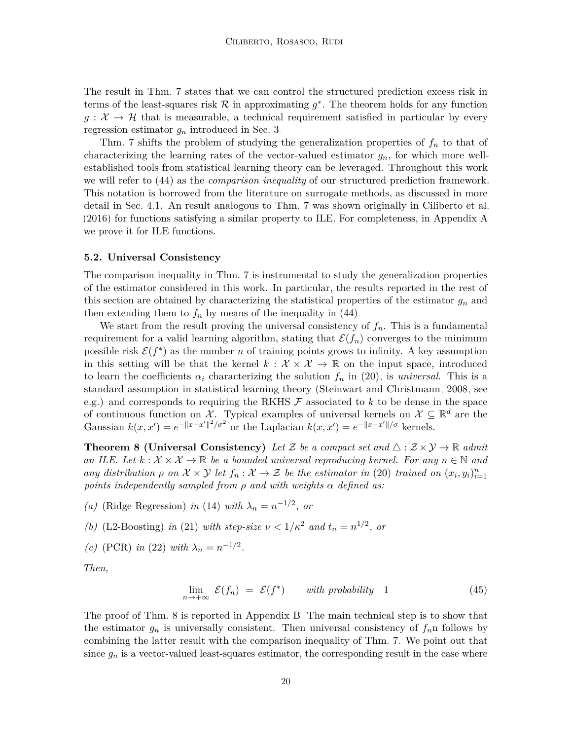The result in [Thm. 7](#page-18-1) states that we can control the structured prediction excess risk in terms of the least-squares risk  $R$  in approximating  $g^*$ . The theorem holds for any function  $g: \mathcal{X} \to \mathcal{H}$  that is measurable, a technical requirement satisfied in particular by every regression estimator *g<sup>n</sup>* introduced in [Sec. 3.](#page-4-0)

[Thm. 7](#page-18-1) shifts the problem of studying the generalization properties of *f<sup>n</sup>* to that of characterizing the learning rates of the vector-valued estimator  $g_n$ , for which more wellestablished tools from statistical learning theory can be leveraged. Throughout this work we will refer to [\(44\)](#page-18-2) as the *comparison inequality* of our structured prediction framework. This notation is borrowed from the literature on surrogate methods, as discussed in more detail in [Sec. 4.1.](#page-13-1) An result analogous to [Thm. 7](#page-18-1) was shown originally in [Ciliberto et al.](#page-30-3) [\(2016\)](#page-30-3) for functions satisfying a similar property to ILE. For completeness, in [Appendix A](#page-37-0) we prove it for ILE functions.

#### **5.2. Universal Consistency**

The comparison inequality in [Thm. 7](#page-18-1) is instrumental to study the generalization properties of the estimator considered in this work. In particular, the results reported in the rest of this section are obtained by characterizing the statistical properties of the estimator *g<sup>n</sup>* and then extending them to  $f_n$  by means of the inequality in [\(44\).](#page-18-2)

We start from the result proving the universal consistency of  $f_n$ . This is a fundamental requirement for a valid learning algorithm, stating that  $\mathcal{E}(f_n)$  converges to the minimum possible risk  $\mathcal{E}(f^*)$  as the number *n* of training points grows to infinity. A key assumption in this setting will be that the kernel  $k : \mathcal{X} \times \mathcal{X} \to \mathbb{R}$  on the input space, introduced to learn the coefficients  $\alpha_i$  characterizing the solution  $f_n$  in [\(20\),](#page-9-0) is *universal*. This is a standard assumption in statistical learning theory [\(Steinwart and Christmann, 2008,](#page-34-6) see e.g.) and corresponds to requiring the RKHS  $\mathcal F$  associated to  $k$  to be dense in the space of continuous function on X. Typical examples of universal kernels on  $\mathcal{X} \subseteq \mathbb{R}^d$  are the Gaussian  $k(x, x') = e^{-\|x - x'\|^2/\sigma^2}$  or the Laplacian  $k(x, x') = e^{-\|x - x'\|/\sigma}$  kernels.

**Theorem 8 (Universal Consistency)** *Let* Z *be a compact set and*  $\triangle$  :  $\mathcal{Z} \times \mathcal{Y} \rightarrow \mathbb{R}$  *admit an ILE. Let*  $k : \mathcal{X} \times \mathcal{X} \to \mathbb{R}$  *be a bounded universal reproducing kernel. For any*  $n \in \mathbb{N}$  and *any distribution*  $\rho$  *on*  $\mathcal{X} \times \mathcal{Y}$  *let*  $f_n : \mathcal{X} \to \mathcal{Z}$  *be the estimator in* [\(20\)](#page-9-0) *trained on*  $(x_i, y_i)_{i=1}^n$ *points independently sampled from ρ and with weights α defined as:*

- *(a)* (Ridge Regression) *in* [\(14\)](#page-6-3) *with*  $\lambda_n = n^{-1/2}$ , *or*
- *(b)* (L2-Boosting) *in* [\(21\)](#page-9-2) *with step-size*  $\nu < 1/\kappa^2$  *and*  $t_n = n^{1/2}$ , *or*
- *(c)* (PCR) *in* [\(22\)](#page-10-1) *with*  $\lambda_n = n^{-1/2}$ .

*Then,*

<span id="page-19-1"></span><span id="page-19-0"></span>
$$
\lim_{n \to +\infty} \mathcal{E}(f_n) = \mathcal{E}(f^*) \qquad with \ probability \quad 1 \tag{45}
$$

The proof of [Thm. 8](#page-19-0) is reported in [Appendix B.](#page-42-0) The main technical step is to show that the estimator  $g_n$  is universally consistent. Then universal consistency of  $f_n$ n follows by combining the latter result with the comparison inequality of [Thm. 7.](#page-18-1) We point out that since  $g_n$  is a vector-valued least-squares estimator, the corresponding result in the case where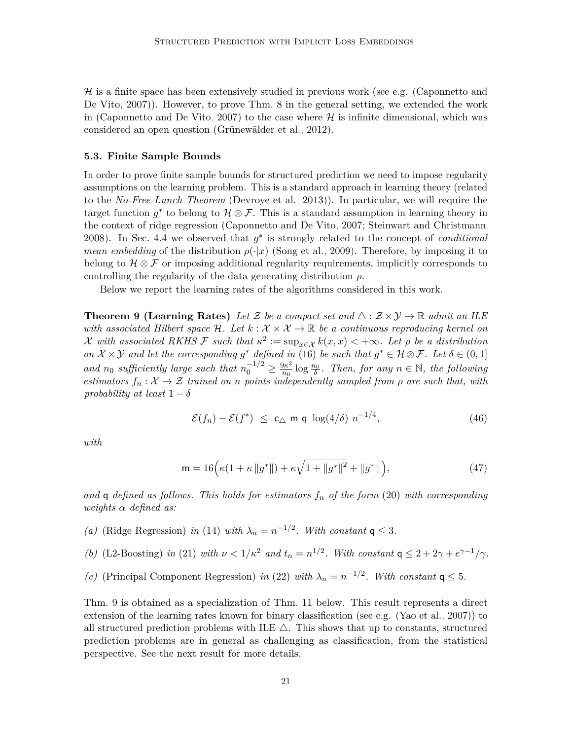$\mathcal H$  is a finite space has been extensively studied in previous work (see e.g. [\(Caponnetto and](#page-30-9) [De Vito, 2007\)](#page-30-9)). However, to prove [Thm. 8](#page-19-0) in the general setting, we extended the work in [\(Caponnetto and De Vito, 2007\)](#page-30-9) to the case where  $H$  is infinite dimensional, which was considered an open question [\(Grünewälder et al., 2012\)](#page-31-6).

#### <span id="page-20-0"></span>**5.3. Finite Sample Bounds**

In order to prove finite sample bounds for structured prediction we need to impose regularity assumptions on the learning problem. This is a standard approach in learning theory (related to the *No-Free-Lunch Theorem* [\(Devroye et al., 2013\)](#page-30-7)). In particular, we will require the target function  $g^*$  to belong to  $\mathcal{H} \otimes \mathcal{F}$ . This is a standard assumption in learning theory in the context of ridge regression [\(Caponnetto and De Vito, 2007;](#page-30-9) [Steinwart and Christmann,](#page-34-6) [2008\)](#page-34-6). In [Sec. 4.4](#page-17-0) we observed that *g* ∗ is strongly related to the concept of *conditional mean embedding* of the distribution  $\rho(\cdot|x)$  [\(Song et al., 2009\)](#page-34-7). Therefore, by imposing it to belong to  $\mathcal{H} \otimes \mathcal{F}$  or imposing additional regularity requirements, implicitly corresponds to controlling the regularity of the data generating distribution *ρ*.

Below we report the learning rates of the algorithms considered in this work.

<span id="page-20-1"></span>**Theorem 9 (Learning Rates)** Let Z be a compact set and  $\triangle$  :  $\mathcal{Z} \times \mathcal{Y} \to \mathbb{R}$  admit an ILE *with associated Hilbert space*  $H$ *. Let*  $k : \mathcal{X} \times \mathcal{X} \rightarrow \mathbb{R}$  *be a continuous reproducing kernel on* X with associated RKHS F such that  $\kappa^2 := \sup_{x \in \mathcal{X}} k(x, x) < +\infty$ . Let  $\rho$  be a distribution *on*  $\mathcal{X} \times \mathcal{Y}$  *and let the corresponding*  $g^*$  *defined in* [\(16\)](#page-7-3) *be such that*  $g^* \in \mathcal{H} \otimes \mathcal{F}$ *. Let*  $\delta \in (0,1]$ *and n*<sup>0</sup> *sufficiently large such that*  $n_0^{-1/2} \ge \frac{9\kappa^2}{n_0}$  $\frac{\partial \kappa^2}{\partial n_0}$  log  $\frac{n_0}{\delta}$ . Then, for any  $n \in \mathbb{N}$ , the following *estimators*  $f_n: \mathcal{X} \to \mathcal{Z}$  *trained on n points independently sampled from*  $\rho$  *are such that, with probability at least*  $1 - \delta$ 

<span id="page-20-2"></span>
$$
\mathcal{E}(f_n) - \mathcal{E}(f^*) \leq c_\triangle \text{ m q } \log(4/\delta) n^{-1/4}, \tag{46}
$$

*with*

$$
\mathsf{m} = 16 \Big( \kappa \big( 1 + \kappa \, \| g^* \| \big) + \kappa \sqrt{1 + \| g^* \|^2} + \| g^* \| \Big), \tag{47}
$$

*and* q *defined as follows. This holds for estimators f<sup>n</sup> of the form* [\(20\)](#page-9-0) *with corresponding weights α defined as:*

- *(a)* (Ridge Regression) *in* [\(14\)](#page-6-3) *with*  $\lambda_n = n^{-1/2}$ *. With constant*  $q \leq 3$ *.*
- *(b)* (L2-Boosting) *in* [\(21\)](#page-9-2) *with*  $\nu < 1/\kappa^2$  *and*  $t_n = n^{1/2}$ *. With constant*  $\mathsf{q} \leq 2 + 2\gamma + e^{\gamma 1}/\gamma$ *.*
- *(c)* (Principal Component Regression) *in* [\(22\)](#page-10-1) *with*  $\lambda_n = n^{-1/2}$ *. With constant*  $q \leq 5$ *.*

<span id="page-20-3"></span>[Thm. 9](#page-20-1) is obtained as a specialization of [Thm. 11](#page-22-0) below. This result represents a direct extension of the learning rates known for binary classification (see e.g. [\(Yao et al., 2007\)](#page-35-1)) to all structured prediction problems with ILE  $\triangle$ . This shows that up to constants, structured prediction problems are in general as challenging as classification, from the statistical perspective. See the next result for more details.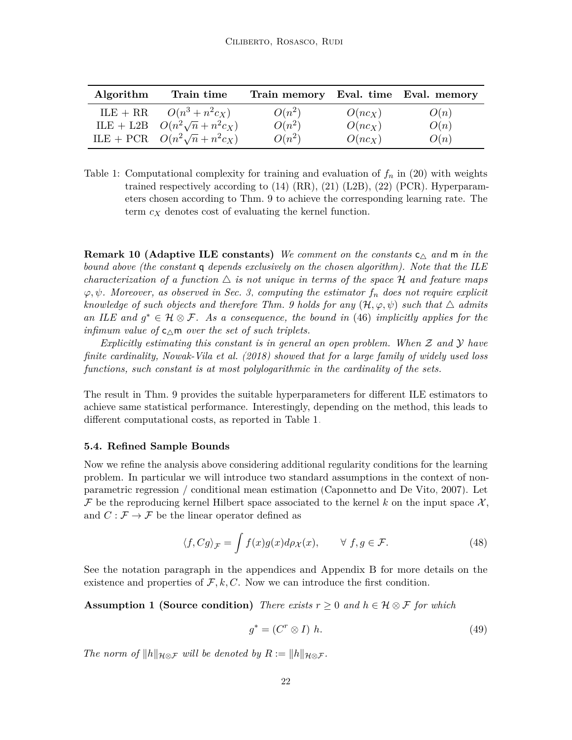| Algorithm | Train time                          | Train memory Eval. time Eval. memory |           |      |
|-----------|-------------------------------------|--------------------------------------|-----------|------|
|           | ILE + RR $O(n^3 + n^2 c_X)$         | $O(n^2)$                             | $O(nc_X)$ | O(n) |
|           | ILE + L2B $O(n^2\sqrt{n}+n^2c_X)$   | $O(n^2)$                             | $O(nc_X)$ | O(n) |
|           | ILE + PCR $O(n^2\sqrt{n} + n^2c_X)$ | $O(n^2)$                             | $O(nc_X)$ | O(n) |

<span id="page-21-1"></span>Table 1: Computational complexity for training and evaluation of  $f_n$  in [\(20\)](#page-9-0) with weights trained respectively according to  $(14)$   $(RR)$ ,  $(21)$   $(L2B)$ ,  $(22)$   $(PCR)$ . Hyperparameters chosen according to [Thm. 9](#page-20-1) to achieve the corresponding learning rate. The term *c<sup>X</sup>* denotes cost of evaluating the kernel function.

**Remark 10 (Adaptive ILE constants)** We comment on the constants  $c_{\Delta}$  and m in the *bound above (the constant* q *depends exclusively on the chosen algorithm). Note that the ILE characterization of a function*  $\Delta$  *is not unique in terms of the space* H *and feature maps ϕ, ψ. Moreover, as observed in [Sec. 3,](#page-4-0) computing the estimator f<sup>n</sup> does not require explicit knowledge of such objects and therefore Thm.* 9 *holds for any*  $(\mathcal{H}, \varphi, \psi)$  *such that*  $\triangle$  *admits* an ILE and  $g^* \in \mathcal{H} \otimes \mathcal{F}$ . As a consequence, the bound in [\(46\)](#page-20-2) *implicitly applies for the infimum value of*  $c_{\wedge}$ m *over the set of such triplets.* 

*Explicitly estimating this constant is in general an open problem. When* Z *and* Y *have finite cardinality, [Nowak-Vila et al.](#page-33-5) [\(2018\)](#page-33-5) showed that for a large family of widely used loss functions, such constant is at most polylogarithmic in the cardinality of the sets.*

The result in [Thm. 9](#page-20-1) provides the suitable hyperparameters for different ILE estimators to achieve same statistical performance. Interestingly, depending on the method, this leads to different computational costs, as reported in [Table 1.](#page-21-1)

### <span id="page-21-0"></span>**5.4. Refined Sample Bounds**

Now we refine the analysis above considering additional regularity conditions for the learning problem. In particular we will introduce two standard assumptions in the context of nonparametric regression / conditional mean estimation [\(Caponnetto and De Vito, 2007\)](#page-30-9). Let F be the reproducing kernel Hilbert space associated to the kernel k on the input space  $\mathcal{X},$ and  $C : \mathcal{F} \to \mathcal{F}$  be the linear operator defined as

$$
\langle f, Cg \rangle_{\mathcal{F}} = \int f(x)g(x)d\rho_{\mathcal{X}}(x), \qquad \forall f, g \in \mathcal{F}.
$$
 (48)

See the notation paragraph in the appendices and [Appendix B](#page-42-0) for more details on the existence and properties of  $\mathcal{F}, k, C$ . Now we can introduce the first condition.

**Assumption 1 (Source condition)** *There exists*  $r \geq 0$  *and*  $h \in \mathcal{H} \otimes \mathcal{F}$  *for which* 

<span id="page-21-2"></span>
$$
g^* = (C^r \otimes I) \; h. \tag{49}
$$

*The norm of*  $||h||_{\mathcal{H} \otimes \mathcal{F}}$  *will be denoted by*  $R := ||h||_{\mathcal{H} \otimes \mathcal{F}}$ *.*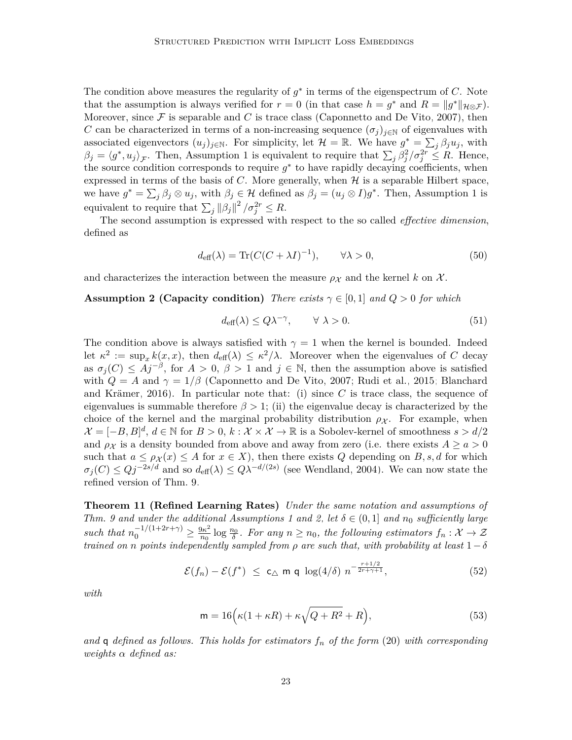The condition above measures the regularity of  $g^*$  in terms of the eigenspectrum of *C*. Note that the assumption is always verified for  $r = 0$  (in that case  $h = g^*$  and  $R = ||g^*||_{\mathcal{H} \otimes \mathcal{F}}$ ). Moreover, since  $\mathcal F$  is separable and  $C$  is trace class [\(Caponnetto and De Vito, 2007\)](#page-30-9), then *C* can be characterized in terms of a non-increasing sequence  $(\sigma_i)_{i\in\mathbb{N}}$  of eigenvalues with associated eigenvectors  $(u_j)_{j \in \mathbb{N}}$ . For simplicity, let  $\mathcal{H} = \mathbb{R}$ . We have  $g^* = \sum_j \beta_j u_j$ , with  $\beta_j = \langle g^*, u_j \rangle_{\mathcal{F}}$ . Then, [Assumption 1](#page-21-2) is equivalent to require that  $\sum_j \beta_j^2 / \sigma_j^{2r} \leq R$ . Hence, the source condition corresponds to require  $g^*$  to have rapidly decaying coefficients, when expressed in terms of the basis of  $C$ . More generally, when  $H$  is a separable Hilbert space, we have  $g^* = \sum_j \beta_j \otimes u_j$ , with  $\beta_j \in \mathcal{H}$  defined as  $\beta_j = (u_j \otimes I)g^*$ . Then, [Assumption 1](#page-21-2) is equivalent to require that  $\sum_{j} ||\beta_j||^2 / \sigma_j^{2r} \leq R$ .

The second assumption is expressed with respect to the so called *effective dimension*, defined as

$$
d_{\text{eff}}(\lambda) = \text{Tr}(C(C + \lambda I)^{-1}), \qquad \forall \lambda > 0,
$$
\n(50)

and characterizes the interaction between the measure  $\rho_{\mathcal{X}}$  and the kernel k on X.

#### **Assumption 2 (Capacity condition)** *There exists*  $\gamma \in [0, 1]$  *and*  $Q > 0$  *for which*

<span id="page-22-2"></span><span id="page-22-1"></span>
$$
d_{\text{eff}}(\lambda) \le Q\lambda^{-\gamma}, \qquad \forall \ \lambda > 0. \tag{51}
$$

The condition above is always satisfied with  $\gamma = 1$  when the kernel is bounded. Indeed let  $\kappa^2 := \sup_x k(x, x)$ , then  $d_{\text{eff}}(\lambda) \leq \kappa^2/\lambda$ . Moreover when the eigenvalues of *C* decay as  $\sigma_j(C) \leq Aj^{-\beta}$ , for  $A > 0$ ,  $\beta > 1$  and  $j \in \mathbb{N}$ , then the assumption above is satisfied with  $Q = A$  and  $\gamma = 1/\beta$  [\(Caponnetto and De Vito, 2007;](#page-30-9) [Rudi et al., 2015;](#page-33-13) [Blanchard](#page-29-11) [and Krämer, 2016\)](#page-29-11). In particular note that: (i) since *C* is trace class, the sequence of eigenvalues is summable therefore  $\beta > 1$ ; (ii) the eigenvalue decay is characterized by the choice of the kernel and the marginal probability distribution  $\rho_{\chi}$ . For example, when  $\mathcal{X} = [-B, B]^d$ ,  $d \in \mathbb{N}$  for  $B > 0$ ,  $k : \mathcal{X} \times \mathcal{X} \to \mathbb{R}$  is a Sobolev-kernel of smoothness  $s > d/2$ and  $\rho_X$  is a density bounded from above and away from zero (i.e. there exists  $A \ge a > 0$ such that  $a \leq \rho_X(x) \leq A$  for  $x \in X$ ), then there exists Q depending on B, s, d for which  $\sigma_j(C) \le Qj^{-2s/d}$  and so  $d_{\text{eff}}(\lambda) \le Q\lambda^{-d/(2s)}$  (see [Wendland, 2004\)](#page-35-2). We can now state the refined version of [Thm. 9.](#page-20-1)

<span id="page-22-0"></span>**Theorem 11 (Refined Learning Rates)** *Under the same notation and assumptions of Thm.* 9 and under the additional [Assumptions 1](#page-21-2) and [2,](#page-22-1) let  $\delta \in (0,1]$  and  $n_0$  sufficiently large *such that*  $n_0^{-1/(1+2r+\gamma)} \geq \frac{9\kappa^2}{n_0}$  $\frac{\partial \kappa^2}{\partial n_0}$  log  $\frac{n_0}{\delta}$ . For any  $n \geq n_0$ , the following estimators  $f_n : \mathcal{X} \to \mathcal{Z}$ *trained on n points independently sampled from*  $\rho$  *are such that, with probability at least*  $1-\delta$ 

$$
\mathcal{E}(f_n) - \mathcal{E}(f^*) \leq c_\triangle \text{ m q } \log(4/\delta) n^{-\frac{r+1/2}{2r+\gamma+1}}, \tag{52}
$$

*with*

$$
\mathsf{m} = 16\Big(\kappa(1+\kappa R) + \kappa\sqrt{Q+R^2} + R\Big),\tag{53}
$$

*and* q *defined as follows. This holds for estimators f<sup>n</sup> of the form* [\(20\)](#page-9-0) *with corresponding weights α defined as:*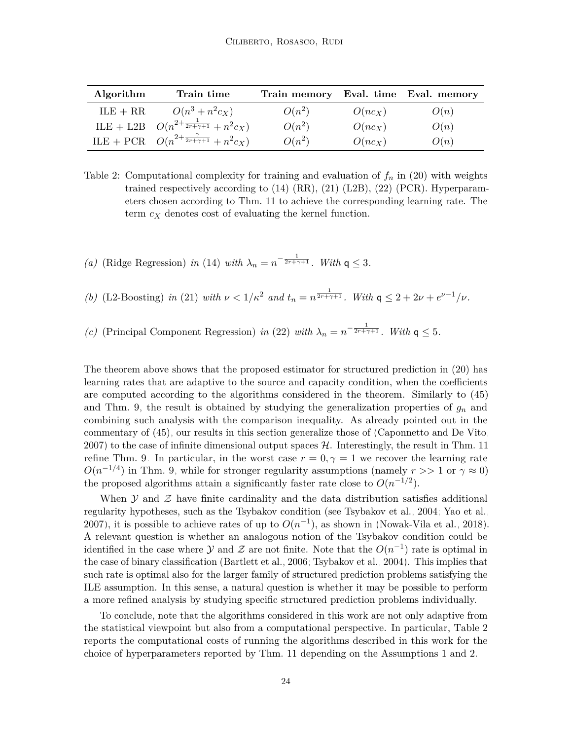| Algorithm  | Train time                                             | Train memory Eval. time Eval. memory |           |      |
|------------|--------------------------------------------------------|--------------------------------------|-----------|------|
| $ILE + RR$ | $O(n^3 + n^2 c_X)$                                     | $O(n^2)$                             | $O(nc_X)$ | O(n) |
|            | ILE + L2B $O(n^{2+\frac{1}{2r+\gamma+1}}+n^2c_X)$      | $O(n^2)$                             | $O(nc_X)$ | O(n) |
|            | ILE + PCR $O(n^{2+\frac{\gamma}{2r+\gamma+1}}+n^2c_X)$ | $O(n^2)$                             | $O(nc_X)$ | O(n) |

<span id="page-23-0"></span>Table 2: Computational complexity for training and evaluation of  $f_n$  in [\(20\)](#page-9-0) with weights trained respectively according to  $(14)$  (RR),  $(21)$  (L2B),  $(22)$  (PCR). Hyperparameters chosen according to [Thm. 11](#page-22-0) to achieve the corresponding learning rate. The term *c<sup>X</sup>* denotes cost of evaluating the kernel function.

*(a)* (Ridge Regression) *in* [\(14\)](#page-6-3) *with*  $\lambda_n = n^{-\frac{1}{2r + \gamma + 1}}$ *. With*  $q \leq 3$ *.* 

*(b)* (L2-Boosting) *in* [\(21\)](#page-9-2) *with*  $\nu < 1/\kappa^2$  *and*  $t_n = n^{\frac{1}{2r+\gamma+1}}$ *. With*  $\mathsf{q} \leq 2 + 2\nu + e^{\nu-1}/\nu$ *.* 

*(c)* (Principal Component Regression) *in* [\(22\)](#page-10-1) *with*  $\lambda_n = n^{-\frac{1}{2r + \gamma + 1}}$ *. With*  $\mathsf{q} \leq 5$ *.* 

The theorem above shows that the proposed estimator for structured prediction in [\(20\)](#page-9-0) has learning rates that are adaptive to the source and capacity condition, when the coefficients are computed according to the algorithms considered in the theorem. Similarly to [\(45\)](#page-19-1) and [Thm. 9,](#page-20-1) the result is obtained by studying the generalization properties of  $g_n$  and combining such analysis with the comparison inequality. As already pointed out in the commentary of [\(45\),](#page-19-1) our results in this section generalize those of [\(Caponnetto and De Vito,](#page-30-9) [2007\)](#page-30-9) to the case of infinite dimensional output spaces  $H$ . Interestingly, the result in [Thm. 11](#page-22-0) refine [Thm. 9.](#page-20-1) In particular, in the worst case  $r = 0, \gamma = 1$  we recover the learning rate  $O(n^{-1/4})$  in [Thm. 9,](#page-20-1) while for stronger regularity assumptions (namely  $r >> 1$  or  $\gamma \approx 0$ ) the proposed algorithms attain a significantly faster rate close to  $O(n^{-1/2})$ .

When  $\mathcal Y$  and  $\mathcal Z$  have finite cardinality and the data distribution satisfies additional regularity hypotheses, such as the Tsybakov condition (see [Tsybakov et al., 2004;](#page-34-12) [Yao et al.,](#page-35-1) [2007\)](#page-35-1), it is possible to achieve rates of up to  $O(n^{-1})$ , as shown in [\(Nowak-Vila et al., 2018\)](#page-33-5). A relevant question is whether an analogous notion of the Tsybakov condition could be identified in the case where  $\mathcal Y$  and  $\mathcal Z$  are not finite. Note that the  $O(n^{-1})$  rate is optimal in the case of binary classification [\(Bartlett et al., 2006;](#page-29-3) [Tsybakov et al., 2004\)](#page-34-12). This implies that such rate is optimal also for the larger family of structured prediction problems satisfying the ILE assumption. In this sense, a natural question is whether it may be possible to perform a more refined analysis by studying specific structured prediction problems individually.

To conclude, note that the algorithms considered in this work are not only adaptive from the statistical viewpoint but also from a computational perspective. In particular, [Table 2](#page-23-0) reports the computational costs of running the algorithms described in this work for the choice of hyperparameters reported by [Thm. 11](#page-22-0) depending on the [Assumptions 1](#page-21-2) and [2.](#page-22-1)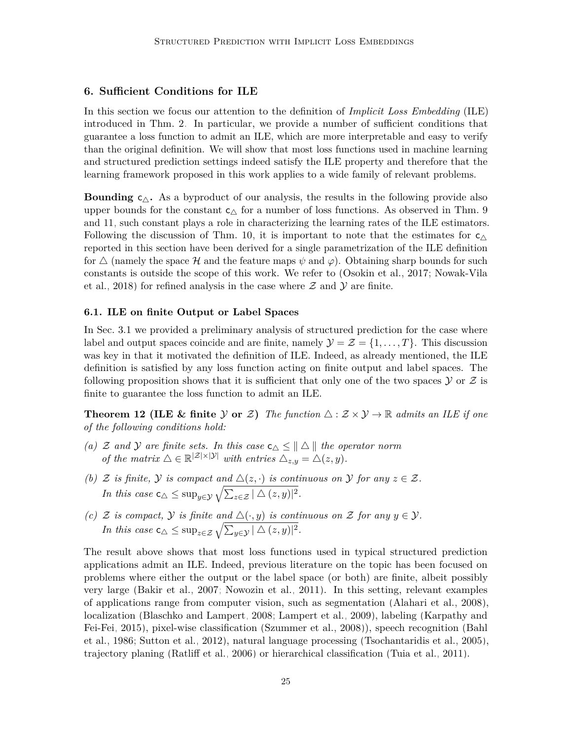### <span id="page-24-0"></span>**6. Sufficient Conditions for ILE**

In this section we focus our attention to the definition of *Implicit Loss Embedding* (ILE) introduced in [Thm. 2.](#page-7-2) In particular, we provide a number of sufficient conditions that guarantee a loss function to admit an ILE, which are more interpretable and easy to verify than the original definition. We will show that most loss functions used in machine learning and structured prediction settings indeed satisfy the ILE property and therefore that the learning framework proposed in this work applies to a wide family of relevant problems.

**Bounding**  $c_{\Delta}$ . As a byproduct of our analysis, the results in the following provide also upper bounds for the constant  $c_{\triangle}$  for a number of loss functions. As observed in [Thm. 9](#page-20-1) and [11,](#page-22-0) such constant plays a role in characterizing the learning rates of the ILE estimators. Following the discussion of [Thm. 10,](#page-20-3) it is important to note that the estimates for  $c_{\Delta}$ reported in this section have been derived for a single parametrization of the ILE definition for  $\triangle$  (namely the space H and the feature maps  $\psi$  and  $\varphi$ ). Obtaining sharp bounds for such constants is outside the scope of this work. We refer to [\(Osokin et al., 2017;](#page-33-3) [Nowak-Vila](#page-33-5) [et al., 2018\)](#page-33-5) for refined analysis in the case where  $\mathcal Z$  and  $\mathcal Y$  are finite.

#### **6.1. ILE on finite Output or Label Spaces**

In [Sec. 3.1](#page-4-4) we provided a preliminary analysis of structured prediction for the case where label and output spaces coincide and are finite, namely  $\mathcal{Y} = \mathcal{Z} = \{1, \ldots, T\}$ . This discussion was key in that it motivated the definition of ILE. Indeed, as already mentioned, the ILE definition is satisfied by any loss function acting on finite output and label spaces. The following proposition shows that it is sufficient that only one of the two spaces  $\mathcal Y$  or  $\mathcal Z$  is finite to guarantee the loss function to admit an ILE.

<span id="page-24-1"></span>**Theorem 12 (ILE & finite** Y or Z) The function  $\triangle : \mathcal{Z} \times \mathcal{Y} \rightarrow \mathbb{R}$  admits an ILE if one *of the following conditions hold:*

- *(a)* Z and Y are finite sets. In this case  $c_{\Delta} \leq ||\Delta||$  the operator norm *of the matrix*  $\Delta \in \mathbb{R}^{|\mathcal{Z}| \times |\mathcal{Y}|}$  *with entries*  $\Delta_{z,y} = \Delta(z,y)$ *.*
- *(b)*  $\mathcal{Z}$  *is finite,*  $\mathcal{Y}$  *is compact and*  $\Delta(z, \cdot)$  *is continuous on*  $\mathcal{Y}$  *for any*  $z \in \mathcal{Z}$ *. In this case*  $\mathsf{c}_{\triangle} \leq \sup_{y \in \mathcal{Y}} \sqrt{\sum_{z \in \mathcal{Z}} |\triangle(z, y)|^2}$ .
- *(c)* Z *is compact,*  $\mathcal{Y}$  *is finite and*  $\triangle(\cdot, y)$  *is continuous on* Z *for any*  $y \in \mathcal{Y}$ *. In this case*  $\mathsf{c}_{\triangle} \leq \sup_{z \in \mathcal{Z}} \sqrt{\sum_{y \in \mathcal{Y}} |\triangle(z, y)|^2}$ .

The result above shows that most loss functions used in typical structured prediction applications admit an ILE. Indeed, previous literature on the topic has been focused on problems where either the output or the label space (or both) are finite, albeit possibly very large [\(Bakir et al., 2007;](#page-29-2) [Nowozin et al., 2011\)](#page-33-2). In this setting, relevant examples of applications range from computer vision, such as segmentation [\(Alahari et al., 2008\)](#page-29-0), localization [\(Blaschko and Lampert, 2008;](#page-29-12) [Lampert et al., 2009\)](#page-32-11), labeling [\(Karpathy and](#page-31-0) [Fei-Fei, 2015\)](#page-31-0), pixel-wise classification [\(Szummer et al., 2008\)](#page-34-13)), speech recognition [\(Bahl](#page-29-1) [et al., 1986;](#page-29-1) [Sutton et al., 2012\)](#page-34-0), natural language processing [\(Tsochantaridis et al., 2005\)](#page-34-2), trajectory planing [\(Ratliff et al., 2006\)](#page-33-0) or hierarchical classification [\(Tuia et al., 2011\)](#page-34-14).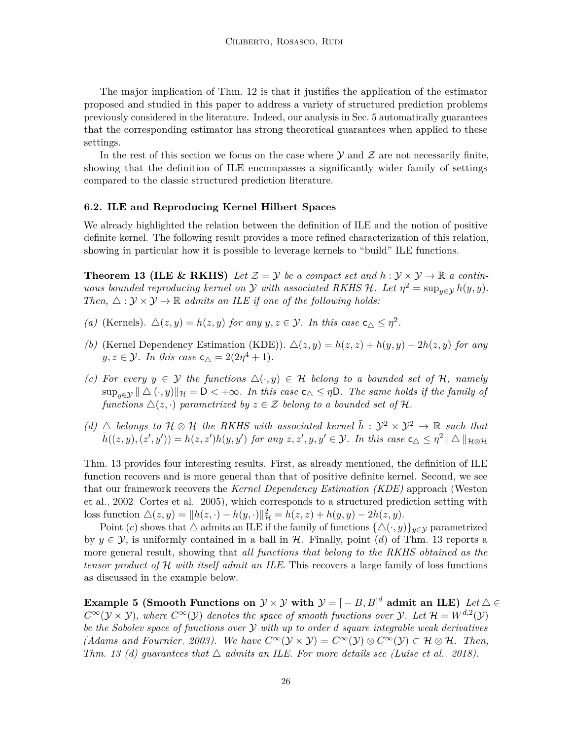The major implication of [Thm. 12](#page-24-1) is that it justifies the application of the estimator proposed and studied in this paper to address a variety of structured prediction problems previously considered in the literature. Indeed, our analysis in [Sec. 5](#page-18-0) automatically guarantees that the corresponding estimator has strong theoretical guarantees when applied to these settings.

In the rest of this section we focus on the case where  $\mathcal Y$  and  $\mathcal Z$  are not necessarily finite, showing that the definition of ILE encompasses a significantly wider family of settings compared to the classic structured prediction literature.

#### **6.2. ILE and Reproducing Kernel Hilbert Spaces**

We already highlighted the relation between the definition of ILE and the notion of positive definite kernel. The following result provides a more refined characterization of this relation, showing in particular how it is possible to leverage kernels to "build" ILE functions.

<span id="page-25-0"></span>**Theorem 13 (ILE & RKHS)** Let  $\mathcal{Z} = \mathcal{Y}$  be a compact set and  $h : \mathcal{Y} \times \mathcal{Y} \to \mathbb{R}$  a contin*uous bounded reproducing kernel on*  $\mathcal Y$  *with associated RKHS*  $\mathcal H$ *. Let*  $\eta^2 = \sup_{y \in \mathcal Y} h(y, y)$ *. Then,*  $\triangle$  :  $\mathcal{Y} \times \mathcal{Y} \rightarrow \mathbb{R}$  *admits an ILE if one of the following holds:* 

- *(a)* (Kernels).  $\Delta(z, y) = h(z, y)$  *for any*  $y, z \in \mathcal{Y}$ *. In this case*  $c_{\Delta} \leq \eta^2$ *.*
- *(b)* (Kernel Dependency Estimation (KDE)).  $\Delta(z, y) = h(z, z) + h(y, y) 2h(z, y)$  for any  $y, z \in \mathcal{Y}$ *. In this case*  $c_{\triangle} = 2(2\eta^4 + 1)$ *.*
- *(c)* For every  $y \in \mathcal{Y}$  the functions  $\Delta(\cdot, y) \in \mathcal{H}$  belong to a bounded set of  $\mathcal{H}$ , namely  $\sup_{y \in \mathcal{Y}} || \Delta(\cdot, y) ||_{\mathcal{H}} = \mathsf{D} < +\infty$ *. In this case*  $\mathsf{c}_{\Delta} \leq \eta \mathsf{D}$ *. The same holds if the family of functions*  $\Delta(z, \cdot)$  *parametrized by*  $z \in \mathcal{Z}$  *belong to a bounded set of*  $\mathcal{H}$ *.*
- *(d)*  $\triangle$  *belongs to*  $\mathcal{H} \otimes \mathcal{H}$  *the RKHS with associated kernel*  $\bar{h}: \mathcal{Y}^2 \times \mathcal{Y}^2 \rightarrow \mathbb{R}$  *such that*  $\bar{h}((z, y), (z', y')) = h(z, z')h(y, y')$  for any  $z, z', y, y' \in \mathcal{Y}$ . In this case  $\mathsf{c}_{\triangle} \leq \eta^2 || \triangle ||_{\mathcal{H} \otimes \mathcal{H}}$

[Thm. 13](#page-25-0) provides four interesting results. First, as already mentioned, the definition of ILE function recovers and is more general than that of positive definite kernel. Second, we see that our framework recovers the *Kernel Dependency Estimation (KDE)* approach [\(Weston](#page-35-0) [et al., 2002;](#page-35-0) [Cortes et al., 2005\)](#page-30-2), which corresponds to a structured prediction setting with loss function  $\Delta(z, y) = ||h(z, \cdot) - h(y, \cdot)||_{\mathcal{H}}^2 = h(z, z) + h(y, y) - 2h(z, y).$ 

Point (*c*) shows that  $\triangle$  admits an ILE if the family of functions  $\{\triangle(\cdot, y)\}_{y \in \mathcal{Y}}$  parametrized by  $y \in \mathcal{Y}$ , is uniformly contained in a ball in H. Finally, point (*d*) of [Thm. 13](#page-25-0) reports a more general result, showing that *all functions that belong to the RKHS obtained as the tensor product of* H *with itself admit an ILE*. This recovers a large family of loss functions as discussed in the example below.

<span id="page-25-1"></span>**Example 5 (Smooth Functions on**  $\mathcal{Y}\times\mathcal{Y}$  with  $\mathcal{Y}=[-B,B]^d$  admit an ILE) Let  $\Delta\in$  $C^{\infty}(\mathcal{Y} \times \mathcal{Y})$ , where  $C^{\infty}(\mathcal{Y})$  denotes the space of smooth functions over  $\mathcal{Y}$ . Let  $\mathcal{H} = W^{d,2}(\mathcal{Y})$ *be the Sobolev space of functions over* Y *with up to order d square integrable weak derivatives [\(Adams and Fournier, 2003\)](#page-29-13). We have*  $C^{\infty}(\mathcal{Y} \times \mathcal{Y}) = C^{\infty}(\mathcal{Y}) \otimes C^{\infty}(\mathcal{Y}) \subset \mathcal{H} \otimes \mathcal{H}$ *. Then, [Thm. 13](#page-25-0) (d)* quarantees that  $\triangle$  admits an ILE. For more details see [\(Luise et al., 2018\)](#page-32-3).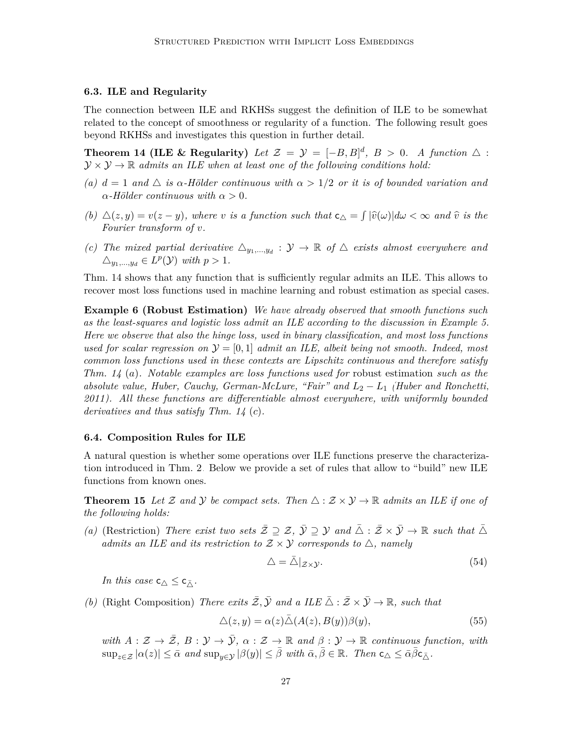#### **6.3. ILE and Regularity**

<span id="page-26-0"></span>The connection between ILE and RKHSs suggest the definition of ILE to be somewhat related to the concept of smoothness or regularity of a function. The following result goes beyond RKHSs and investigates this question in further detail.

**Theorem 14 (ILE & Regularity)** Let  $\mathcal{Z} = \mathcal{Y} = [-B, B]^d$ ,  $B > 0$ . A function  $\Delta$ :  $\mathcal{Y} \times \mathcal{Y} \rightarrow \mathbb{R}$  *admits an ILE when at least one of the following conditions hold:* 

- *(a)*  $d = 1$  *and*  $\triangle$  *is*  $\alpha$ -Hölder continuous with  $\alpha > 1/2$  *or it is of bounded variation and*  $\alpha$ *-Hölder continuous with*  $\alpha > 0$ .
- *(b)*  $\Delta(z, y) = v(z y)$ *, where v is a function such that*  $c_{\Delta} = \int |\hat{v}(\omega)| d\omega < \infty$  *and*  $\hat{v}$  *is the Fourier transform of v.*
- *(c)* The mixed partial derivative  $\Delta_{y_1,\dots,y_d} : \mathcal{Y} \to \mathbb{R}$  of  $\Delta$  exists almost everywhere and  $\triangle_{y_1,\dots,y_d} \in L^p(\mathcal{Y})$  *with*  $p > 1$ *.*

[Thm. 14](#page-26-0) shows that any function that is sufficiently regular admits an ILE. This allows to recover most loss functions used in machine learning and robust estimation as special cases.

**Example 6 (Robust Estimation)** *We have already observed that smooth functions such as the least-squares and logistic loss admit an ILE according to the discussion in [Example 5.](#page-25-1) Here we observe that also the hinge loss, used in binary classification, and most loss functions used for scalar regression on*  $\mathcal{Y} = [0, 1]$  *admit an ILE, albeit being not smooth. Indeed, most common loss functions used in these contexts are Lipschitz continuous and therefore satisfy [Thm. 14](#page-26-0)* (*a*)*. Notable examples are loss functions used for* robust estimation *such as the absolute value, Huber, Cauchy, German-McLure, "Fair" and L*<sup>2</sup> − *L*<sup>1</sup> *[\(Huber and Ronchetti,](#page-31-10) [2011\)](#page-31-10). All these functions are differentiable almost everywhere, with uniformly bounded derivatives and thus satisfy [Thm. 14](#page-26-0)* (*c*)*.*

#### **6.4. Composition Rules for ILE**

A natural question is whether some operations over ILE functions preserve the characterization introduced in [Thm. 2.](#page-7-2) Below we provide a set of rules that allow to "build" new ILE functions from known ones.

<span id="page-26-1"></span>**Theorem 15** Let Z and Y be compact sets. Then  $\triangle : \mathcal{Z} \times \mathcal{Y} \rightarrow \mathbb{R}$  admits an ILE if one of *the following holds:*

*(a)* (Restriction) *There exist two sets*  $\overline{Z} \supseteq Z$ ,  $\overline{Y} \supseteq Y$  and  $\overline{\triangle} : \overline{Z} \times \overline{Y} \to \mathbb{R}$  *such that*  $\overline{\triangle}$ *admits an ILE and its restriction to*  $Z \times Y$  *corresponds to*  $\triangle$ *, namely* 

<span id="page-26-2"></span>
$$
\Delta = \bar{\Delta}|_{\mathcal{Z}\times\mathcal{Y}}.\tag{54}
$$

*In this case*  $c_{\triangle} \leq c_{\overline{A}}$ *.* 

*(b)* (Right Composition) *There exits*  $\overline{Z}$ ,  $\overline{Y}$  *and a ILE*  $\overline{\triangle}$  :  $\overline{Z} \times \overline{Y} \to \mathbb{R}$ *, such that* 

$$
\Delta(z, y) = \alpha(z)\bar{\Delta}(A(z), B(y))\beta(y),\tag{55}
$$

*with*  $A: \mathcal{Z} \to \overline{\mathcal{Z}}$ ,  $B: \mathcal{Y} \to \overline{\mathcal{Y}}$ ,  $\alpha: \mathcal{Z} \to \mathbb{R}$  and  $\beta: \mathcal{Y} \to \mathbb{R}$  continuous function, with  $\sup_{z \in \mathcal{Z}} |\alpha(z)| \leq \bar{\alpha}$  and  $\sup_{y \in \mathcal{Y}} |\beta(y)| \leq \bar{\beta}$  with  $\bar{\alpha}, \bar{\beta} \in \mathbb{R}$ *. Then*  $c_{\Delta} \leq \bar{\alpha} \bar{\beta} c_{\bar{\Delta}}$ *.*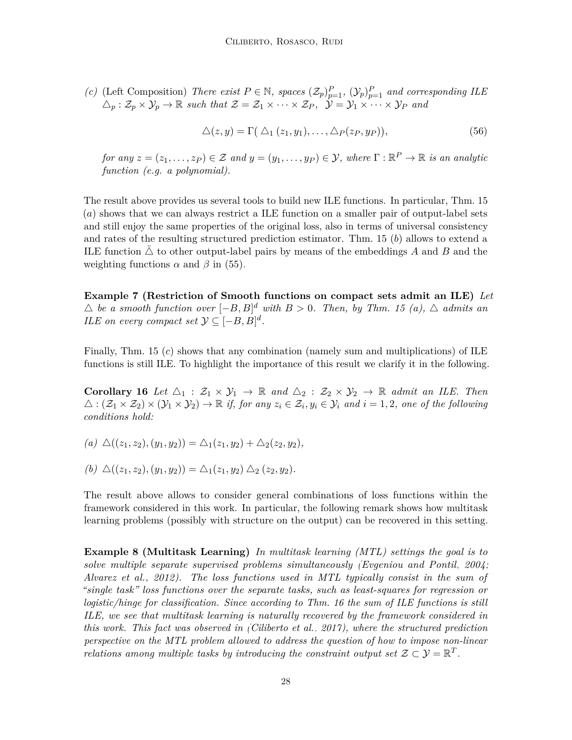*(c)* (Left Composition) *There exist*  $P \in \mathbb{N}$ *, spaces*  $(\mathcal{Z}_p)_{p=1}^P$ *,*  $(\mathcal{Y}_p)_{p=1}^P$  *and corresponding ILE*  $\Delta_p: \mathcal{Z}_p \times \mathcal{Y}_p \to \mathbb{R}$  such that  $\mathcal{Z} = \mathcal{Z}_1 \times \cdots \times \mathcal{Z}_P$ ,  $\mathcal{Y} = \mathcal{Y}_1 \times \cdots \times \mathcal{Y}_P$  and

<span id="page-27-0"></span>
$$
\Delta(z, y) = \Gamma(\Delta_1(z_1, y_1), \dots, \Delta_P(z_P, y_P)), \tag{56}
$$

*for any*  $z = (z_1, \ldots, z_P) \in \mathcal{Z}$  *and*  $y = (y_1, \ldots, y_P) \in \mathcal{Y}$ *, where*  $\Gamma : \mathbb{R}^P \to \mathbb{R}$  *is an analytic function (e.g. a polynomial).*

The result above provides us several tools to build new ILE functions. In particular, [Thm. 15](#page-26-1) (*a*) shows that we can always restrict a ILE function on a smaller pair of output-label sets and still enjoy the same properties of the original loss, also in terms of universal consistency and rates of the resulting structured prediction estimator. [Thm. 15](#page-26-1) (*b*) allows to extend a ILE function  $\triangle$  to other output-label pairs by means of the embeddings *A* and *B* and the weighting functions  $\alpha$  and  $\beta$  in [\(55\).](#page-26-2)

**Example 7 (Restriction of Smooth functions on compact sets admit an ILE)** *Let*  $\triangle$  *be a smooth function over*  $[-B, B]^d$  *with*  $B > 0$ *. Then, by [Thm. 15](#page-26-1)* (*a*),  $\triangle$  *admits an ILE on every compact set*  $\mathcal{Y} \subseteq [-B, B]^d$ .

Finally, [Thm. 15](#page-26-1) (*c*) shows that any combination (namely sum and multiplications) of ILE functions is still ILE. To highlight the importance of this result we clarify it in the following.

**Corollary 16** Let  $\triangle_1$  :  $\mathcal{Z}_1 \times \mathcal{Y}_1 \to \mathbb{R}$  and  $\triangle_2$  :  $\mathcal{Z}_2 \times \mathcal{Y}_2 \to \mathbb{R}$  admit an ILE. Then  $\Delta: (\mathcal{Z}_1 \times \mathcal{Z}_2) \times (\mathcal{Y}_1 \times \mathcal{Y}_2) \to \mathbb{R}$  if, for any  $z_i \in \mathcal{Z}_i, y_i \in \mathcal{Y}_i$  and  $i = 1, 2$ , one of the following *conditions hold:*

(a) 
$$
\Delta((z_1, z_2), (y_1, y_2)) = \Delta_1(z_1, y_2) + \Delta_2(z_2, y_2),
$$

(b) 
$$
\Delta((z_1, z_2), (y_1, y_2)) = \Delta_1(z_1, y_2) \Delta_2(z_2, y_2).
$$

The result above allows to consider general combinations of loss functions within the framework considered in this work. In particular, the following remark shows how multitask learning problems (possibly with structure on the output) can be recovered in this setting.

**Example 8 (Multitask Learning)** *In multitask learning (MTL) settings the goal is to solve multiple separate supervised problems simultaneously [\(Evgeniou and Pontil, 2004;](#page-31-11) [Alvarez et al., 2012\)](#page-29-8). The loss functions used in MTL typically consist in the sum of "single task" loss functions over the separate tasks, such as least-squares for regression or logistic/hinge for classification. Since according to [Thm. 16](#page-27-0) the sum of ILE functions is still ILE, we see that multitask learning is naturally recovered by the framework considered in this work. This fact was observed in [\(Ciliberto et al., 2017\)](#page-30-4), where the structured prediction perspective on the MTL problem allowed to address the question of how to impose non-linear relations among multiple tasks by introducing the constraint output set*  $\mathcal{Z} \subset \mathcal{Y} = \mathbb{R}^T$ .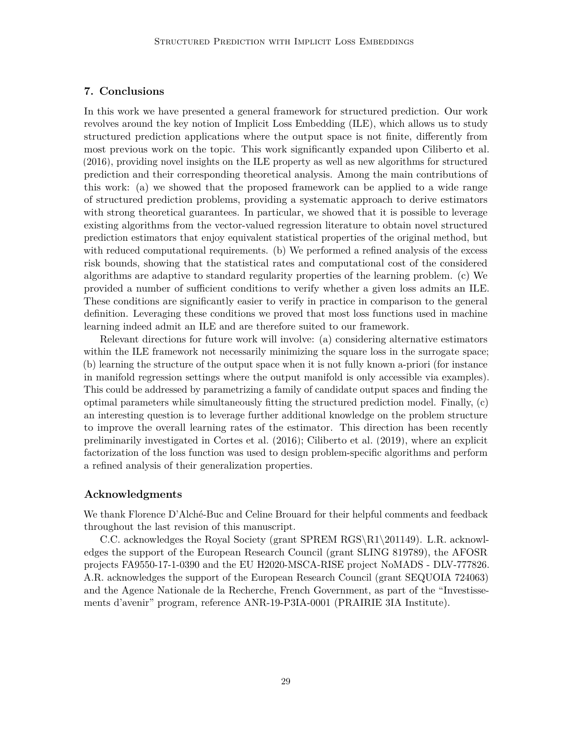# <span id="page-28-0"></span>**7. Conclusions**

In this work we have presented a general framework for structured prediction. Our work revolves around the key notion of Implicit Loss Embedding (ILE), which allows us to study structured prediction applications where the output space is not finite, differently from most previous work on the topic. This work significantly expanded upon [Ciliberto et al.](#page-30-3) [\(2016\)](#page-30-3), providing novel insights on the ILE property as well as new algorithms for structured prediction and their corresponding theoretical analysis. Among the main contributions of this work: (a) we showed that the proposed framework can be applied to a wide range of structured prediction problems, providing a systematic approach to derive estimators with strong theoretical guarantees. In particular, we showed that it is possible to leverage existing algorithms from the vector-valued regression literature to obtain novel structured prediction estimators that enjoy equivalent statistical properties of the original method, but with reduced computational requirements. (b) We performed a refined analysis of the excess risk bounds, showing that the statistical rates and computational cost of the considered algorithms are adaptive to standard regularity properties of the learning problem. (c) We provided a number of sufficient conditions to verify whether a given loss admits an ILE. These conditions are significantly easier to verify in practice in comparison to the general definition. Leveraging these conditions we proved that most loss functions used in machine learning indeed admit an ILE and are therefore suited to our framework.

Relevant directions for future work will involve: (a) considering alternative estimators within the ILE framework not necessarily minimizing the square loss in the surrogate space; (b) learning the structure of the output space when it is not fully known a-priori (for instance in manifold regression settings where the output manifold is only accessible via examples). This could be addressed by parametrizing a family of candidate output spaces and finding the optimal parameters while simultaneously fitting the structured prediction model. Finally, (c) an interesting question is to leverage further additional knowledge on the problem structure to improve the overall learning rates of the estimator. This direction has been recently preliminarily investigated in [Cortes et al.](#page-30-12) [\(2016\)](#page-30-12); [Ciliberto et al.](#page-30-6) [\(2019\)](#page-30-6), where an explicit factorization of the loss function was used to design problem-specific algorithms and perform a refined analysis of their generalization properties.

#### **Acknowledgments**

We thank Florence D'Alché-Buc and Celine Brouard for their helpful comments and feedback throughout the last revision of this manuscript.

C.C. acknowledges the Royal Society (grant SPREM RGS\R1\201149). L.R. acknowledges the support of the European Research Council (grant SLING 819789), the AFOSR projects FA9550-17-1-0390 and the EU H2020-MSCA-RISE project NoMADS - DLV-777826. A.R. acknowledges the support of the European Research Council (grant SEQUOIA 724063) and the Agence Nationale de la Recherche, French Government, as part of the "Investissements d'avenir" program, reference ANR-19-P3IA-0001 (PRAIRIE 3IA Institute).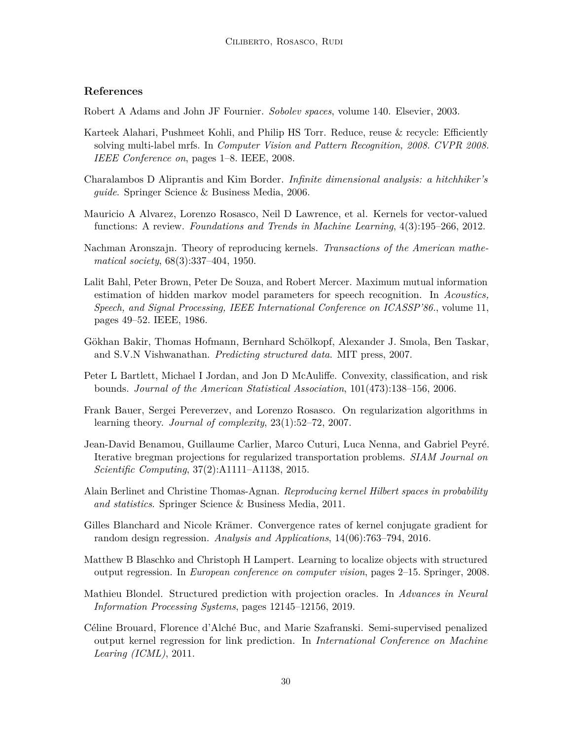# **References**

<span id="page-29-13"></span>Robert A Adams and John JF Fournier. *Sobolev spaces*, volume 140. Elsevier, 2003.

- <span id="page-29-0"></span>Karteek Alahari, Pushmeet Kohli, and Philip HS Torr. Reduce, reuse & recycle: Efficiently solving multi-label mrfs. In *Computer Vision and Pattern Recognition, 2008. CVPR 2008. IEEE Conference on*, pages 1–8. IEEE, 2008.
- <span id="page-29-6"></span>Charalambos D Aliprantis and Kim Border. *Infinite dimensional analysis: a hitchhiker's guide*. Springer Science & Business Media, 2006.
- <span id="page-29-8"></span>Mauricio A Alvarez, Lorenzo Rosasco, Neil D Lawrence, et al. Kernels for vector-valued functions: A review. *Foundations and Trends in Machine Learning*, 4(3):195–266, 2012.
- <span id="page-29-7"></span>Nachman Aronszajn. Theory of reproducing kernels. *Transactions of the American mathematical society*, 68(3):337–404, 1950.
- <span id="page-29-1"></span>Lalit Bahl, Peter Brown, Peter De Souza, and Robert Mercer. Maximum mutual information estimation of hidden markov model parameters for speech recognition. In *Acoustics, Speech, and Signal Processing, IEEE International Conference on ICASSP'86.*, volume 11, pages 49–52. IEEE, 1986.
- <span id="page-29-2"></span>Gökhan Bakir, Thomas Hofmann, Bernhard Schölkopf, Alexander J. Smola, Ben Taskar, and S.V.N Vishwanathan. *Predicting structured data*. MIT press, 2007.
- <span id="page-29-3"></span>Peter L Bartlett, Michael I Jordan, and Jon D McAuliffe. Convexity, classification, and risk bounds. *Journal of the American Statistical Association*, 101(473):138–156, 2006.
- <span id="page-29-9"></span>Frank Bauer, Sergei Pereverzev, and Lorenzo Rosasco. On regularization algorithms in learning theory. *Journal of complexity*, 23(1):52–72, 2007.
- <span id="page-29-10"></span>Jean-David Benamou, Guillaume Carlier, Marco Cuturi, Luca Nenna, and Gabriel Peyré. Iterative bregman projections for regularized transportation problems. *SIAM Journal on Scientific Computing*, 37(2):A1111–A1138, 2015.
- <span id="page-29-14"></span>Alain Berlinet and Christine Thomas-Agnan. *Reproducing kernel Hilbert spaces in probability and statistics*. Springer Science & Business Media, 2011.
- <span id="page-29-11"></span>Gilles Blanchard and Nicole Krämer. Convergence rates of kernel conjugate gradient for random design regression. *Analysis and Applications*, 14(06):763–794, 2016.
- <span id="page-29-12"></span>Matthew B Blaschko and Christoph H Lampert. Learning to localize objects with structured output regression. In *European conference on computer vision*, pages 2–15. Springer, 2008.
- <span id="page-29-5"></span>Mathieu Blondel. Structured prediction with projection oracles. In *Advances in Neural Information Processing Systems*, pages 12145–12156, 2019.
- <span id="page-29-4"></span>Céline Brouard, Florence d'Alché Buc, and Marie Szafranski. Semi-supervised penalized output kernel regression for link prediction. In *International Conference on Machine Learing (ICML)*, 2011.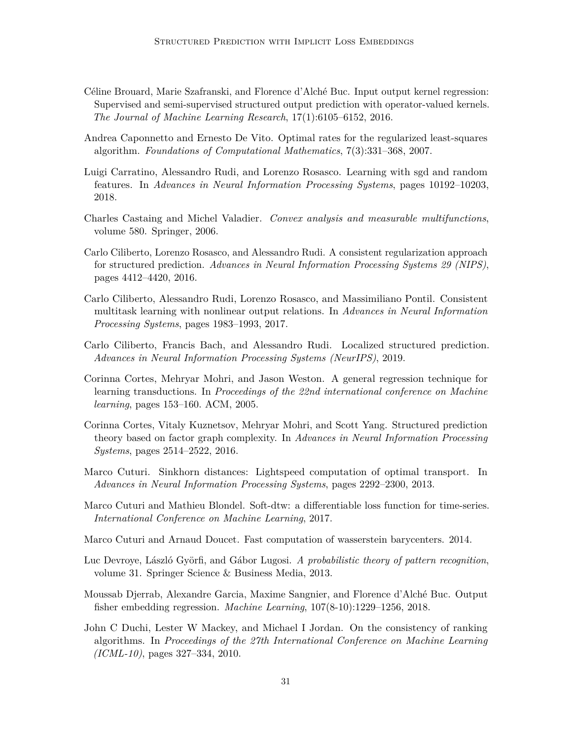- <span id="page-30-1"></span>Céline Brouard, Marie Szafranski, and Florence d'Alché Buc. Input output kernel regression: Supervised and semi-supervised structured output prediction with operator-valued kernels. *The Journal of Machine Learning Research*, 17(1):6105–6152, 2016.
- <span id="page-30-9"></span>Andrea Caponnetto and Ernesto De Vito. Optimal rates for the regularized least-squares algorithm. *Foundations of Computational Mathematics*, 7(3):331–368, 2007.
- <span id="page-30-14"></span>Luigi Carratino, Alessandro Rudi, and Lorenzo Rosasco. Learning with sgd and random features. In *Advances in Neural Information Processing Systems*, pages 10192–10203, 2018.
- <span id="page-30-13"></span>Charles Castaing and Michel Valadier. *Convex analysis and measurable multifunctions*, volume 580. Springer, 2006.
- <span id="page-30-3"></span>Carlo Ciliberto, Lorenzo Rosasco, and Alessandro Rudi. A consistent regularization approach for structured prediction. *Advances in Neural Information Processing Systems 29 (NIPS)*, pages 4412–4420, 2016.
- <span id="page-30-4"></span>Carlo Ciliberto, Alessandro Rudi, Lorenzo Rosasco, and Massimiliano Pontil. Consistent multitask learning with nonlinear output relations. In *Advances in Neural Information Processing Systems*, pages 1983–1993, 2017.
- <span id="page-30-6"></span>Carlo Ciliberto, Francis Bach, and Alessandro Rudi. Localized structured prediction. *Advances in Neural Information Processing Systems (NeurIPS)*, 2019.
- <span id="page-30-2"></span>Corinna Cortes, Mehryar Mohri, and Jason Weston. A general regression technique for learning transductions. In *Proceedings of the 22nd international conference on Machine learning*, pages 153–160. ACM, 2005.
- <span id="page-30-12"></span>Corinna Cortes, Vitaly Kuznetsov, Mehryar Mohri, and Scott Yang. Structured prediction theory based on factor graph complexity. In *Advances in Neural Information Processing Systems*, pages 2514–2522, 2016.
- <span id="page-30-10"></span>Marco Cuturi. Sinkhorn distances: Lightspeed computation of optimal transport. In *Advances in Neural Information Processing Systems*, pages 2292–2300, 2013.
- <span id="page-30-8"></span>Marco Cuturi and Mathieu Blondel. Soft-dtw: a differentiable loss function for time-series. *International Conference on Machine Learning*, 2017.
- <span id="page-30-11"></span>Marco Cuturi and Arnaud Doucet. Fast computation of wasserstein barycenters. 2014.
- <span id="page-30-7"></span>Luc Devroye, László Györfi, and Gábor Lugosi. *A probabilistic theory of pattern recognition*, volume 31. Springer Science & Business Media, 2013.
- <span id="page-30-5"></span>Moussab Djerrab, Alexandre Garcia, Maxime Sangnier, and Florence d'Alché Buc. Output fisher embedding regression. *Machine Learning*, 107(8-10):1229–1256, 2018.
- <span id="page-30-0"></span>John C Duchi, Lester W Mackey, and Michael I Jordan. On the consistency of ranking algorithms. In *Proceedings of the 27th International Conference on Machine Learning (ICML-10)*, pages 327–334, 2010.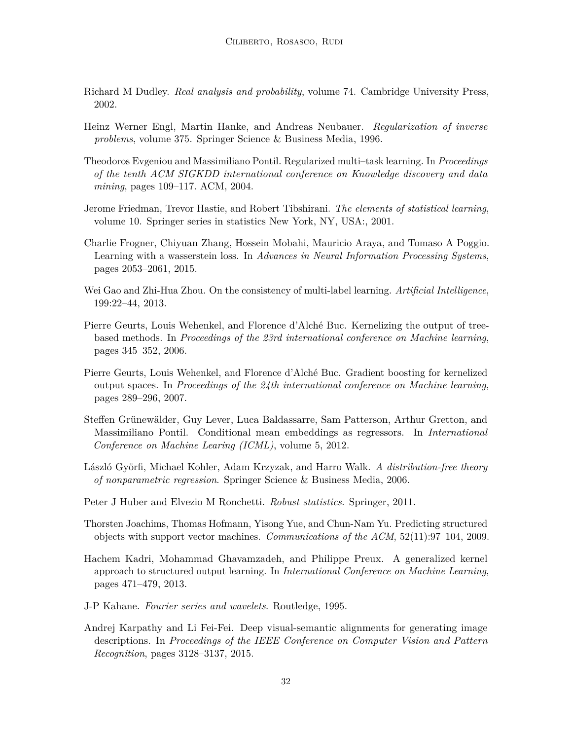- <span id="page-31-12"></span>Richard M Dudley. *Real analysis and probability*, volume 74. Cambridge University Press, 2002.
- <span id="page-31-13"></span>Heinz Werner Engl, Martin Hanke, and Andreas Neubauer. *Regularization of inverse problems*, volume 375. Springer Science & Business Media, 1996.
- <span id="page-31-11"></span>Theodoros Evgeniou and Massimiliano Pontil. Regularized multi–task learning. In *Proceedings of the tenth ACM SIGKDD international conference on Knowledge discovery and data mining*, pages 109–117. ACM, 2004.
- <span id="page-31-8"></span>Jerome Friedman, Trevor Hastie, and Robert Tibshirani. *The elements of statistical learning*, volume 10. Springer series in statistics New York, NY, USA:, 2001.
- <span id="page-31-2"></span>Charlie Frogner, Chiyuan Zhang, Hossein Mobahi, Mauricio Araya, and Tomaso A Poggio. Learning with a wasserstein loss. In *Advances in Neural Information Processing Systems*, pages 2053–2061, 2015.
- <span id="page-31-9"></span>Wei Gao and Zhi-Hua Zhou. On the consistency of multi-label learning. *Artificial Intelligence*, 199:22–44, 2013.
- <span id="page-31-3"></span>Pierre Geurts, Louis Wehenkel, and Florence d'Alché Buc. Kernelizing the output of treebased methods. In *Proceedings of the 23rd international conference on Machine learning*, pages 345–352, 2006.
- <span id="page-31-4"></span>Pierre Geurts, Louis Wehenkel, and Florence d'Alché Buc. Gradient boosting for kernelized output spaces. In *Proceedings of the 24th international conference on Machine learning*, pages 289–296, 2007.
- <span id="page-31-6"></span>Steffen Grünewälder, Guy Lever, Luca Baldassarre, Sam Patterson, Arthur Gretton, and Massimiliano Pontil. Conditional mean embeddings as regressors. In *International Conference on Machine Learing (ICML)*, volume 5, 2012.
- <span id="page-31-7"></span>László Györfi, Michael Kohler, Adam Krzyzak, and Harro Walk. *A distribution-free theory of nonparametric regression*. Springer Science & Business Media, 2006.
- <span id="page-31-10"></span>Peter J Huber and Elvezio M Ronchetti. *Robust statistics*. Springer, 2011.
- <span id="page-31-1"></span>Thorsten Joachims, Thomas Hofmann, Yisong Yue, and Chun-Nam Yu. Predicting structured objects with support vector machines. *Communications of the ACM*, 52(11):97–104, 2009.
- <span id="page-31-5"></span>Hachem Kadri, Mohammad Ghavamzadeh, and Philippe Preux. A generalized kernel approach to structured output learning. In *International Conference on Machine Learning*, pages 471–479, 2013.
- <span id="page-31-14"></span>J-P Kahane. *Fourier series and wavelets*. Routledge, 1995.
- <span id="page-31-0"></span>Andrej Karpathy and Li Fei-Fei. Deep visual-semantic alignments for generating image descriptions. In *Proceedings of the IEEE Conference on Computer Vision and Pattern Recognition*, pages 3128–3137, 2015.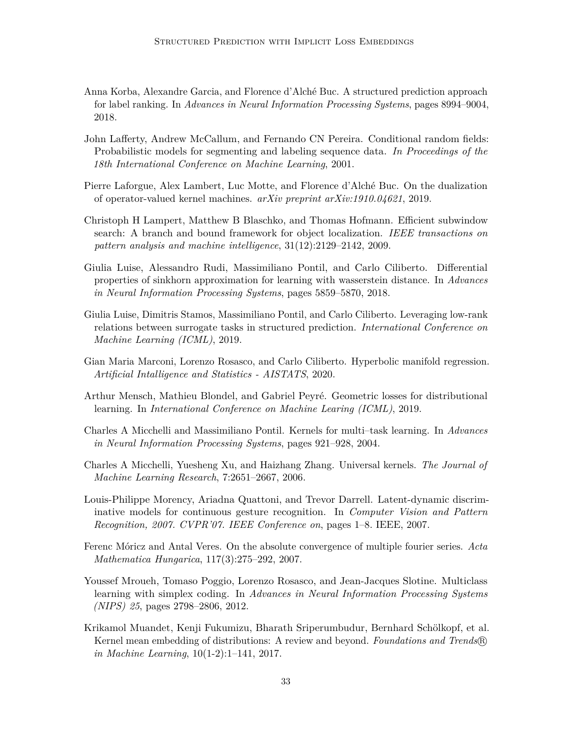- <span id="page-32-2"></span>Anna Korba, Alexandre Garcia, and Florence d'Alché Buc. A structured prediction approach for label ranking. In *Advances in Neural Information Processing Systems*, pages 8994–9004, 2018.
- <span id="page-32-1"></span>John Lafferty, Andrew McCallum, and Fernando CN Pereira. Conditional random fields: Probabilistic models for segmenting and labeling sequence data. *In Proceedings of the 18th International Conference on Machine Learning*, 2001.
- <span id="page-32-8"></span>Pierre Laforgue, Alex Lambert, Luc Motte, and Florence d'Alché Buc. On the dualization of operator-valued kernel machines. *arXiv preprint arXiv:1910.04621*, 2019.
- <span id="page-32-11"></span>Christoph H Lampert, Matthew B Blaschko, and Thomas Hofmann. Efficient subwindow search: A branch and bound framework for object localization. *IEEE transactions on pattern analysis and machine intelligence*, 31(12):2129–2142, 2009.
- <span id="page-32-3"></span>Giulia Luise, Alessandro Rudi, Massimiliano Pontil, and Carlo Ciliberto. Differential properties of sinkhorn approximation for learning with wasserstein distance. In *Advances in Neural Information Processing Systems*, pages 5859–5870, 2018.
- <span id="page-32-4"></span>Giulia Luise, Dimitris Stamos, Massimiliano Pontil, and Carlo Ciliberto. Leveraging low-rank relations between surrogate tasks in structured prediction. *International Conference on Machine Learning (ICML)*, 2019.
- <span id="page-32-7"></span>Gian Maria Marconi, Lorenzo Rosasco, and Carlo Ciliberto. Hyperbolic manifold regression. *Artificial Intalligence and Statistics - AISTATS*, 2020.
- <span id="page-32-5"></span>Arthur Mensch, Mathieu Blondel, and Gabriel Peyré. Geometric losses for distributional learning. In *International Conference on Machine Learing (ICML)*, 2019.
- <span id="page-32-6"></span>Charles A Micchelli and Massimiliano Pontil. Kernels for multi–task learning. In *Advances in Neural Information Processing Systems*, pages 921–928, 2004.
- <span id="page-32-12"></span>Charles A Micchelli, Yuesheng Xu, and Haizhang Zhang. Universal kernels. *The Journal of Machine Learning Research*, 7:2651–2667, 2006.
- <span id="page-32-9"></span>Louis-Philippe Morency, Ariadna Quattoni, and Trevor Darrell. Latent-dynamic discriminative models for continuous gesture recognition. In *Computer Vision and Pattern Recognition, 2007. CVPR'07. IEEE Conference on*, pages 1–8. IEEE, 2007.
- <span id="page-32-13"></span>Ferenc Móricz and Antal Veres. On the absolute convergence of multiple fourier series. *Acta Mathematica Hungarica*, 117(3):275–292, 2007.
- <span id="page-32-0"></span>Youssef Mroueh, Tomaso Poggio, Lorenzo Rosasco, and Jean-Jacques Slotine. Multiclass learning with simplex coding. In *Advances in Neural Information Processing Systems (NIPS) 25*, pages 2798–2806, 2012.
- <span id="page-32-10"></span>Krikamol Muandet, Kenji Fukumizu, Bharath Sriperumbudur, Bernhard Schölkopf, et al. Kernel mean embedding of distributions: A review and beyond. *Foundations and Trends* R *in Machine Learning*, 10(1-2):1–141, 2017.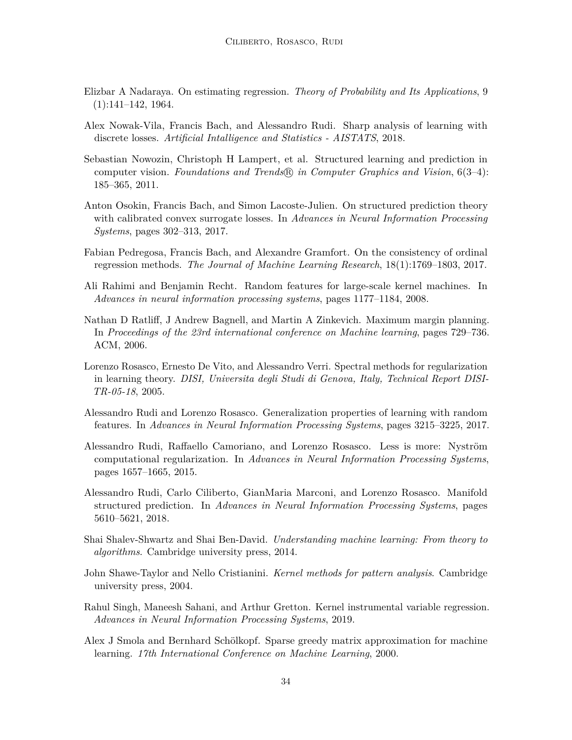- <span id="page-33-12"></span>Elizbar A Nadaraya. On estimating regression. *Theory of Probability and Its Applications*, 9  $(1):141-142, 1964.$
- <span id="page-33-5"></span>Alex Nowak-Vila, Francis Bach, and Alessandro Rudi. Sharp analysis of learning with discrete losses. *Artificial Intalligence and Statistics - AISTATS*, 2018.
- <span id="page-33-2"></span>Sebastian Nowozin, Christoph H Lampert, et al. Structured learning and prediction in computer vision. *Foundations and Trends* R *in Computer Graphics and Vision*, 6(3–4): 185–365, 2011.
- <span id="page-33-3"></span>Anton Osokin, Francis Bach, and Simon Lacoste-Julien. On structured prediction theory with calibrated convex surrogate losses. In *Advances in Neural Information Processing Systems*, pages 302–313, 2017.
- <span id="page-33-1"></span>Fabian Pedregosa, Francis Bach, and Alexandre Gramfort. On the consistency of ordinal regression methods. *The Journal of Machine Learning Research*, 18(1):1769–1803, 2017.
- <span id="page-33-10"></span>Ali Rahimi and Benjamin Recht. Random features for large-scale kernel machines. In *Advances in neural information processing systems*, pages 1177–1184, 2008.
- <span id="page-33-0"></span>Nathan D Ratliff, J Andrew Bagnell, and Martin A Zinkevich. Maximum margin planning. In *Proceedings of the 23rd international conference on Machine learning*, pages 729–736. ACM, 2006.
- <span id="page-33-9"></span>Lorenzo Rosasco, Ernesto De Vito, and Alessandro Verri. Spectral methods for regularization in learning theory. *DISI, Universita degli Studi di Genova, Italy, Technical Report DISI-TR-05-18*, 2005.
- <span id="page-33-14"></span>Alessandro Rudi and Lorenzo Rosasco. Generalization properties of learning with random features. In *Advances in Neural Information Processing Systems*, pages 3215–3225, 2017.
- <span id="page-33-13"></span>Alessandro Rudi, Raffaello Camoriano, and Lorenzo Rosasco. Less is more: Nyström computational regularization. In *Advances in Neural Information Processing Systems*, pages 1657–1665, 2015.
- <span id="page-33-4"></span>Alessandro Rudi, Carlo Ciliberto, GianMaria Marconi, and Lorenzo Rosasco. Manifold structured prediction. In *Advances in Neural Information Processing Systems*, pages 5610–5621, 2018.
- <span id="page-33-6"></span>Shai Shalev-Shwartz and Shai Ben-David. *Understanding machine learning: From theory to algorithms*. Cambridge university press, 2014.
- <span id="page-33-8"></span>John Shawe-Taylor and Nello Cristianini. *Kernel methods for pattern analysis*. Cambridge university press, 2004.
- <span id="page-33-7"></span>Rahul Singh, Maneesh Sahani, and Arthur Gretton. Kernel instrumental variable regression. *Advances in Neural Information Processing Systems*, 2019.
- <span id="page-33-11"></span>Alex J Smola and Bernhard Schölkopf. Sparse greedy matrix approximation for machine learning. *17th International Conference on Machine Learning*, 2000.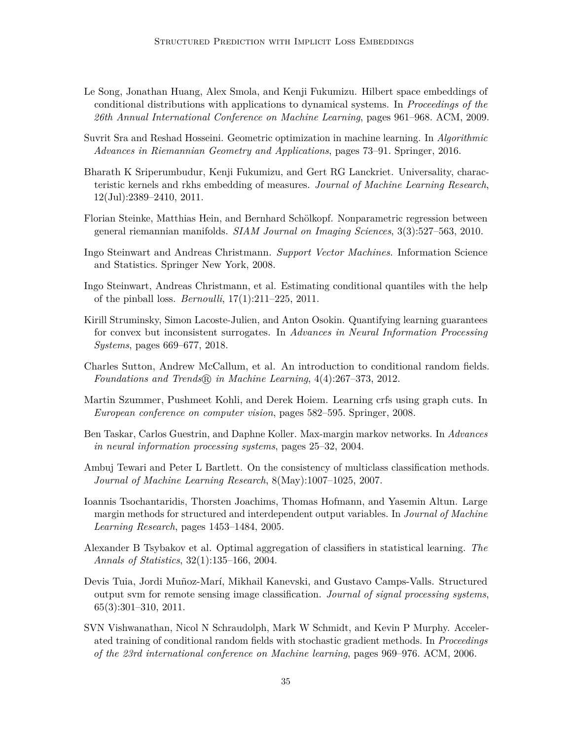- <span id="page-34-7"></span>Le Song, Jonathan Huang, Alex Smola, and Kenji Fukumizu. Hilbert space embeddings of conditional distributions with applications to dynamical systems. In *Proceedings of the 26th Annual International Conference on Machine Learning*, pages 961–968. ACM, 2009.
- <span id="page-34-8"></span>Suvrit Sra and Reshad Hosseini. Geometric optimization in machine learning. In *Algorithmic Advances in Riemannian Geometry and Applications*, pages 73–91. Springer, 2016.
- <span id="page-34-11"></span>Bharath K Sriperumbudur, Kenji Fukumizu, and Gert RG Lanckriet. Universality, characteristic kernels and rkhs embedding of measures. *Journal of Machine Learning Research*, 12(Jul):2389–2410, 2011.
- <span id="page-34-1"></span>Florian Steinke, Matthias Hein, and Bernhard Schölkopf. Nonparametric regression between general riemannian manifolds. *SIAM Journal on Imaging Sciences*, 3(3):527–563, 2010.
- <span id="page-34-6"></span>Ingo Steinwart and Andreas Christmann. *Support Vector Machines*. Information Science and Statistics. Springer New York, 2008.
- <span id="page-34-9"></span>Ingo Steinwart, Andreas Christmann, et al. Estimating conditional quantiles with the help of the pinball loss. *Bernoulli*, 17(1):211–225, 2011.
- <span id="page-34-5"></span>Kirill Struminsky, Simon Lacoste-Julien, and Anton Osokin. Quantifying learning guarantees for convex but inconsistent surrogates. In *Advances in Neural Information Processing Systems*, pages 669–677, 2018.
- <span id="page-34-0"></span>Charles Sutton, Andrew McCallum, et al. An introduction to conditional random fields. *Foundations and Trends*  $\circled{R}$  *in Machine Learning*, 4(4):267–373, 2012.
- <span id="page-34-13"></span>Martin Szummer, Pushmeet Kohli, and Derek Hoiem. Learning crfs using graph cuts. In *European conference on computer vision*, pages 582–595. Springer, 2008.
- <span id="page-34-3"></span>Ben Taskar, Carlos Guestrin, and Daphne Koller. Max-margin markov networks. In *Advances in neural information processing systems*, pages 25–32, 2004.
- <span id="page-34-4"></span>Ambuj Tewari and Peter L Bartlett. On the consistency of multiclass classification methods. *Journal of Machine Learning Research*, 8(May):1007–1025, 2007.
- <span id="page-34-2"></span>Ioannis Tsochantaridis, Thorsten Joachims, Thomas Hofmann, and Yasemin Altun. Large margin methods for structured and interdependent output variables. In *Journal of Machine Learning Research*, pages 1453–1484, 2005.
- <span id="page-34-12"></span>Alexander B Tsybakov et al. Optimal aggregation of classifiers in statistical learning. *The Annals of Statistics*, 32(1):135–166, 2004.
- <span id="page-34-14"></span>Devis Tuia, Jordi Muñoz-Marí, Mikhail Kanevski, and Gustavo Camps-Valls. Structured output svm for remote sensing image classification. *Journal of signal processing systems*, 65(3):301–310, 2011.
- <span id="page-34-10"></span>SVN Vishwanathan, Nicol N Schraudolph, Mark W Schmidt, and Kevin P Murphy. Accelerated training of conditional random fields with stochastic gradient methods. In *Proceedings of the 23rd international conference on Machine learning*, pages 969–976. ACM, 2006.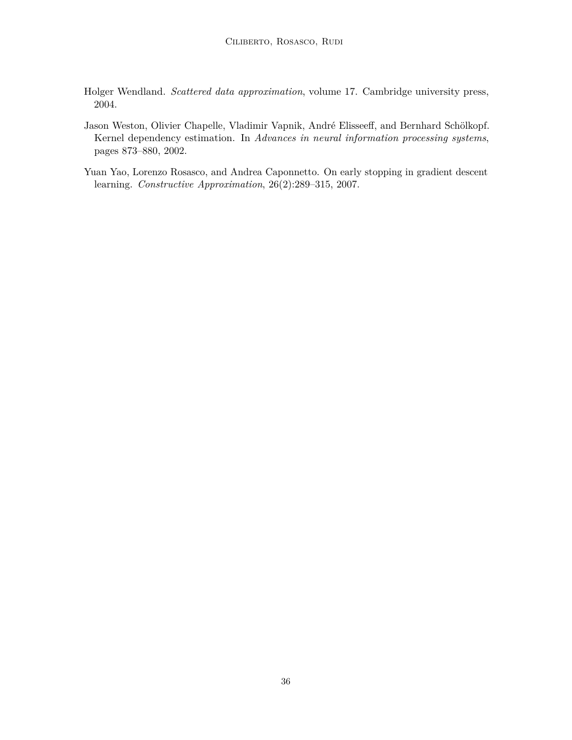- <span id="page-35-2"></span>Holger Wendland. *Scattered data approximation*, volume 17. Cambridge university press, 2004.
- <span id="page-35-0"></span>Jason Weston, Olivier Chapelle, Vladimir Vapnik, André Elisseeff, and Bernhard Schölkopf. Kernel dependency estimation. In *Advances in neural information processing systems*, pages 873–880, 2002.
- <span id="page-35-1"></span>Yuan Yao, Lorenzo Rosasco, and Andrea Caponnetto. On early stopping in gradient descent learning. *Constructive Approximation*, 26(2):289–315, 2007.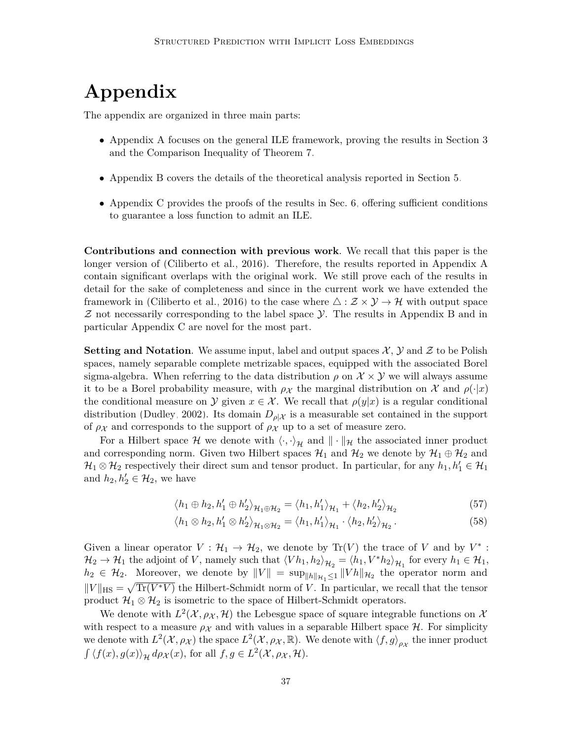# **Appendix**

The appendix are organized in three main parts:

- [Appendix A](#page-37-0) focuses on the general ILE framework, proving the results in [Section 3](#page-4-0) and the Comparison Inequality of [Theorem 7.](#page-18-1)
- [Appendix B](#page-42-0) covers the details of the theoretical analysis reported in [Section 5.](#page-18-0)
- [Appendix C](#page-55-0) provides the proofs of the results in [Sec. 6,](#page-24-0) offering sufficient conditions to guarantee a loss function to admit an ILE.

**Contributions and connection with previous work**. We recall that this paper is the longer version of [\(Ciliberto et al., 2016\)](#page-30-3). Therefore, the results reported in [Appendix A](#page-37-0) contain significant overlaps with the original work. We still prove each of the results in detail for the sake of completeness and since in the current work we have extended the framework in [\(Ciliberto et al., 2016\)](#page-30-3) to the case where  $\triangle : \mathcal{Z} \times \mathcal{Y} \rightarrow \mathcal{H}$  with output space  $Z$  not necessarily corresponding to the label space  $Y$ . The results in [Appendix B](#page-42-0) and in particular [Appendix C](#page-55-0) are novel for the most part.

**Setting and Notation**. We assume input, label and output spaces  $\mathcal{X}$ ,  $\mathcal{Y}$  and  $\mathcal{Z}$  to be Polish spaces, namely separable complete metrizable spaces, equipped with the associated Borel sigma-algebra. When referring to the data distribution  $\rho$  on  $\mathcal{X} \times \mathcal{Y}$  we will always assume it to be a Borel probability measure, with  $\rho_X$  the marginal distribution on X and  $\rho(\cdot|x)$ the conditional measure on  $\mathcal{Y}$  given  $x \in \mathcal{X}$ . We recall that  $\rho(y|x)$  is a regular conditional distribution [\(Dudley, 2002\)](#page-31-12). Its domain  $D_{\rho|\mathcal{X}}$  is a measurable set contained in the support of  $\rho_X$  and corresponds to the support of  $\rho_X$  up to a set of measure zero.

For a Hilbert space H we denote with  $\langle \cdot, \cdot \rangle_{\mathcal{H}}$  and  $\|\cdot\|_{\mathcal{H}}$  the associated inner product and corresponding norm. Given two Hilbert spaces  $\mathcal{H}_1$  and  $\mathcal{H}_2$  we denote by  $\mathcal{H}_1 \oplus \mathcal{H}_2$  and  $\mathcal{H}_1 \otimes \mathcal{H}_2$  respectively their direct sum and tensor product. In particular, for any  $h_1, h'_1 \in \mathcal{H}_1$ and  $h_2, h'_2 \in \mathcal{H}_2$ , we have

$$
\langle h_1 \oplus h_2, h'_1 \oplus h'_2 \rangle_{\mathcal{H}_1 \oplus \mathcal{H}_2} = \langle h_1, h'_1 \rangle_{\mathcal{H}_1} + \langle h_2, h'_2 \rangle_{\mathcal{H}_2}
$$
(57)

$$
\langle h_1 \otimes h_2, h'_1 \otimes h'_2 \rangle_{\mathcal{H}_1 \otimes \mathcal{H}_2} = \langle h_1, h'_1 \rangle_{\mathcal{H}_1} \cdot \langle h_2, h'_2 \rangle_{\mathcal{H}_2}.
$$
 (58)

Given a linear operator  $V : \mathcal{H}_1 \to \mathcal{H}_2$ , we denote by  $\text{Tr}(V)$  the trace of *V* and by  $V^*$ :  $\mathcal{H}_2 \to \mathcal{H}_1$  the adjoint of *V*, namely such that  $\langle V h_1, h_2 \rangle_{\mathcal{H}_2} = \langle h_1, V^* h_2 \rangle_{\mathcal{H}_1}$  for every  $h_1 \in \mathcal{H}_1$ ,  $h_2 \in \mathcal{H}_2$ . Moreover, we denote by  $||V|| = \sup_{||h||_{\mathcal{H}_1} \leq 1} ||V h||_{\mathcal{H}_2}$  the operator norm and  $||V||_{\text{HS}} = \sqrt{\text{Tr}(V^*V)}$  the Hilbert-Schmidt norm of *V*. In particular, we recall that the tensor product  $\mathcal{H}_1 \otimes \mathcal{H}_2$  is isometric to the space of Hilbert-Schmidt operators.

We denote with  $L^2(\mathcal{X}, \rho_{\mathcal{X}}, \mathcal{H})$  the Lebesgue space of square integrable functions on  $\mathcal{X}$ with respect to a measure  $\rho_X$  and with values in a separable Hilbert space  $\mathcal{H}$ . For simplicity we denote with  $L^2(\mathcal{X}, \rho_{\mathcal{X}})$  the space  $L^2(\mathcal{X}, \rho_{\mathcal{X}}, \mathbb{R})$ . We denote with  $\langle f, g \rangle_{\rho_{\mathcal{X}}}$  the inner product  $\int \langle f(x), g(x) \rangle_{\mathcal{H}} d\rho_{\mathcal{X}}(x)$ , for all  $f, g \in L^2(\mathcal{X}, \rho_{\mathcal{X}}, \mathcal{H})$ .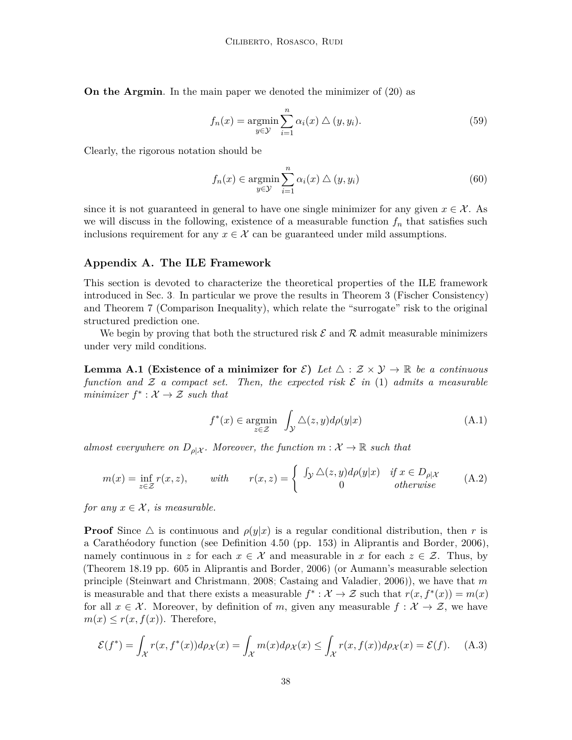**On the Argmin**. In the main paper we denoted the minimizer of [\(20\)](#page-9-0) as

$$
f_n(x) = \underset{y \in \mathcal{Y}}{\operatorname{argmin}} \sum_{i=1}^n \alpha_i(x) \bigtriangleup (y, y_i). \tag{59}
$$

Clearly, the rigorous notation should be

$$
f_n(x) \in \operatorname*{argmin}_{y \in \mathcal{Y}} \sum_{i=1}^n \alpha_i(x) \bigtriangleup (y, y_i)
$$
\n(60)

since it is not guaranteed in general to have one single minimizer for any given  $x \in \mathcal{X}$ . As we will discuss in the following, existence of a measurable function *f<sup>n</sup>* that satisfies such inclusions requirement for any  $x \in \mathcal{X}$  can be guaranteed under mild assumptions.

#### <span id="page-37-0"></span>**Appendix A. The ILE Framework**

This section is devoted to characterize the theoretical properties of the ILE framework introduced in [Sec. 3.](#page-4-0) In particular we prove the results in [Theorem 3](#page-7-1) (Fischer Consistency) and [Theorem 7](#page-18-1) (Comparison Inequality), which relate the "surrogate" risk to the original structured prediction one.

We begin by proving that both the structured risk  $\mathcal E$  and  $\mathcal R$  admit measurable minimizers under very mild conditions.

**Lemma A.1 (Existence of a minimizer for**  $\mathcal{E}$ ) Let  $\Delta$  :  $\mathcal{Z} \times \mathcal{Y} \to \mathbb{R}$  be a continuous *function and*  $\mathcal Z$  *a compact set. Then, the expected risk*  $\mathcal E$  *in* [\(1\)](#page-2-2) *admits a measurable minimizer*  $f^* : \mathcal{X} \to \mathcal{Z}$  *such that* 

$$
f^*(x) \in \underset{z \in \mathcal{Z}}{\operatorname{argmin}} \quad \int_{\mathcal{Y}} \triangle(z, y) d\rho(y|x) \tag{A.1}
$$

*almost everywhere on*  $D_{\rho}|\chi$ . Moreover, the function  $m: \mathcal{X} \to \mathbb{R}$  such that

$$
m(x) = \inf_{z \in \mathcal{Z}} r(x, z), \quad \text{with} \quad r(x, z) = \begin{cases} \int_{\mathcal{Y}} \Delta(z, y) d\rho(y|x) & \text{if } x \in D_{\rho|\mathcal{X}} \\ 0 & \text{otherwise} \end{cases} \tag{A.2}
$$

*for any*  $x \in \mathcal{X}$ *, is measurable.* 

**Proof** Since  $\triangle$  is continuous and  $\rho(y|x)$  is a regular conditional distribution, then *r* is a Carathéodory function (see Definition 4*.*50 (pp. 153) in [Aliprantis and Border, 2006\)](#page-29-6), namely continuous in *z* for each  $x \in \mathcal{X}$  and measurable in *x* for each  $z \in \mathcal{Z}$ . Thus, by (Theorem 18*.*19 pp. 605 in [Aliprantis and Border, 2006\)](#page-29-6) (or Aumann's measurable selection principle [\(Steinwart and Christmann, 2008;](#page-34-6) [Castaing and Valadier, 2006\)](#page-30-13)), we have that *m* is measurable and that there exists a measurable  $f^* : \mathcal{X} \to \mathcal{Z}$  such that  $r(x, f^*(x)) = m(x)$ for all  $x \in \mathcal{X}$ . Moreover, by definition of *m*, given any measurable  $f : \mathcal{X} \to \mathcal{Z}$ , we have  $m(x) \leq r(x, f(x))$ . Therefore,

$$
\mathcal{E}(f^*) = \int_{\mathcal{X}} r(x, f^*(x)) d\rho_{\mathcal{X}}(x) = \int_{\mathcal{X}} m(x) d\rho_{\mathcal{X}}(x) \le \int_{\mathcal{X}} r(x, f(x)) d\rho_{\mathcal{X}}(x) = \mathcal{E}(f). \tag{A.3}
$$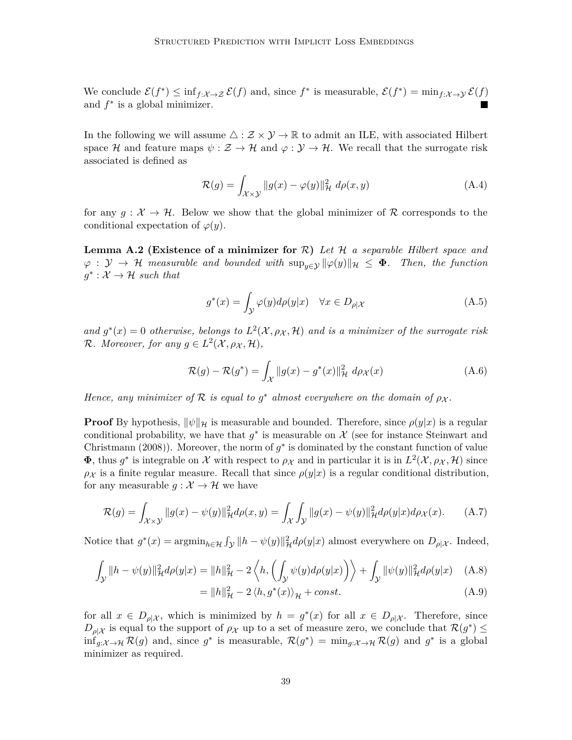We conclude  $\mathcal{E}(f^*) \leq \inf_{f: \mathcal{X} \to \mathcal{Z}} \mathcal{E}(f)$  and, since  $f^*$  is measurable,  $\mathcal{E}(f^*) = \min_{f: \mathcal{X} \to \mathcal{Y}} \mathcal{E}(f)$ and  $f^*$  is a global minimizer.

In the following we will assume  $\triangle : \mathcal{Z} \times \mathcal{Y} \to \mathbb{R}$  to admit an ILE, with associated Hilbert space H and feature maps  $\psi : \mathcal{Z} \to \mathcal{H}$  and  $\varphi : \mathcal{Y} \to \mathcal{H}$ . We recall that the surrogate risk associated is defined as

$$
\mathcal{R}(g) = \int_{\mathcal{X} \times \mathcal{Y}} \|g(x) - \varphi(y)\|_{\mathcal{H}}^2 \ d\rho(x, y) \tag{A.4}
$$

for any  $g: \mathcal{X} \to \mathcal{H}$ . Below we show that the global minimizer of R corresponds to the conditional expectation of  $\varphi(y)$ .

<span id="page-38-1"></span>**Lemma A.2 (Existence of a minimizer for** R**)** *Let* H *a separable Hilbert space and*  $\varphi : \mathcal{Y} \to \mathcal{H}$  *measurable and bounded with*  $\sup_{y \in \mathcal{Y}} ||\varphi(y)||_{\mathcal{H}} \leq \Phi$ . Then, the function  $g^* : \mathcal{X} \to \mathcal{H}$  such that

<span id="page-38-2"></span><span id="page-38-0"></span>
$$
g^*(x) = \int_{\mathcal{Y}} \varphi(y) d\rho(y|x) \quad \forall x \in D_{\rho|\mathcal{X}} \tag{A.5}
$$

and  $g^*(x) = 0$  otherwise, belongs to  $L^2(\mathcal{X}, \rho_{\mathcal{X}}, \mathcal{H})$  and is a minimizer of the surrogate risk  $\mathcal{R}$ *. Moreover, for any*  $g \in L^2(\mathcal{X}, \rho_{\mathcal{X}}, \mathcal{H})$ *,* 

$$
\mathcal{R}(g) - \mathcal{R}(g^*) = \int_{\mathcal{X}} ||g(x) - g^*(x)||_{\mathcal{H}}^2 d\rho_{\mathcal{X}}(x)
$$
\n(A.6)

*Hence, any minimizer of*  $\mathcal{R}$  *is equal to*  $g^*$  *almost everywhere on the domain of*  $\rho_X$ *.* 

**Proof** By hypothesis,  $\|\psi\|_{\mathcal{H}}$  is measurable and bounded. Therefore, since  $\rho(y|x)$  is a regular conditional probability, we have that  $g^*$  is measurable on  $\mathcal X$  (see for instance [Steinwart and](#page-34-6) [Christmann](#page-34-6) [\(2008\)](#page-34-6)). Moreover, the norm of  $g^*$  is dominated by the constant function of value  $\Phi$ , thus  $g^*$  is integrable on X with respect to  $\rho_X$  and in particular it is in  $L^2(\mathcal{X}, \rho_X, \mathcal{H})$  since  $\rho_X$  is a finite regular measure. Recall that since  $\rho(y|x)$  is a regular conditional distribution, for any measurable  $g: \mathcal{X} \to \mathcal{H}$  we have

$$
\mathcal{R}(g) = \int_{\mathcal{X}\times\mathcal{Y}} \|g(x) - \psi(y)\|_{\mathcal{H}}^2 d\rho(x, y) = \int_{\mathcal{X}} \int_{\mathcal{Y}} \|g(x) - \psi(y)\|_{\mathcal{H}}^2 d\rho(y|x) d\rho_{\mathcal{X}}(x).
$$
 (A.7)

Notice that  $g^*(x) = \operatorname{argmin}_{h \in \mathcal{H}} \int_{\mathcal{Y}} ||h - \psi(y)||^2_{\mathcal{H}} d\rho(y|x)$  almost everywhere on  $D_{\rho|\mathcal{X}}$ . Indeed,

$$
\int_{\mathcal{Y}} \|h - \psi(y)\|_{\mathcal{H}}^2 d\rho(y|x) = \|h\|_{\mathcal{H}}^2 - 2 \left\langle h, \left( \int_{\mathcal{Y}} \psi(y) d\rho(y|x) \right) \right\rangle + \int_{\mathcal{Y}} \|\psi(y)\|_{\mathcal{H}}^2 d\rho(y|x) \tag{A.8}
$$

$$
= \|h\|_{\mathcal{H}}^2 - 2 \langle h, g^*(x) \rangle_{\mathcal{H}} + const.
$$
\n(A.9)

for all  $x \in D_{\rho}$ , which is minimized by  $h = g^*(x)$  for all  $x \in D_{\rho}$ . Therefore, since  $D_{\rho|\mathcal{X}}$  is equal to the support of  $\rho_{\mathcal{X}}$  up to a set of measure zero, we conclude that  $\mathcal{R}(g^*) \leq$  $\inf_{g:\mathcal{X}\to\mathcal{H}}\mathcal{R}(g)$  and, since  $g^*$  is measurable,  $\mathcal{R}(g^*) = \min_{g:\mathcal{X}\to\mathcal{H}}\mathcal{R}(g)$  and  $g^*$  is a global minimizer as required.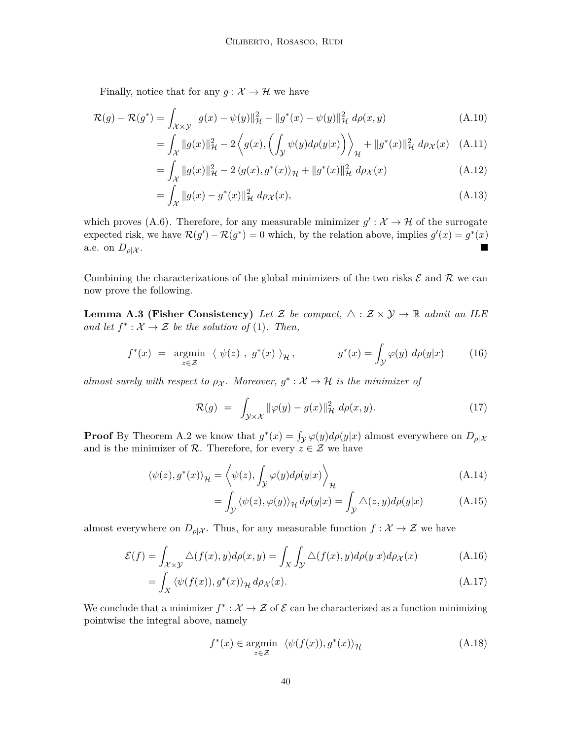Finally, notice that for any  $g : \mathcal{X} \to \mathcal{H}$  we have

$$
\mathcal{R}(g) - \mathcal{R}(g^*) = \int_{\mathcal{X}\times\mathcal{Y}} \|g(x) - \psi(y)\|_{\mathcal{H}}^2 - \|g^*(x) - \psi(y)\|_{\mathcal{H}}^2 \ d\rho(x, y) \tag{A.10}
$$

$$
= \int_{\mathcal{X}} \|g(x)\|_{\mathcal{H}}^2 - 2 \left\langle g(x), \left( \int_{\mathcal{Y}} \psi(y) d\rho(y|x) \right) \right\rangle_{\mathcal{H}} + \|g^*(x)\|_{\mathcal{H}}^2 d\rho_{\mathcal{X}}(x) \quad \text{(A.11)}
$$

$$
= \int_{\mathcal{X}} \|g(x)\|_{\mathcal{H}}^2 - 2 \langle g(x), g^*(x) \rangle_{\mathcal{H}} + \|g^*(x)\|_{\mathcal{H}}^2 \, d\rho_{\mathcal{X}}(x) \tag{A.12}
$$

$$
= \int_{\mathcal{X}} \|g(x) - g^*(x)\|_{\mathcal{H}}^2 \ d\rho_{\mathcal{X}}(x), \tag{A.13}
$$

which proves [\(A.6\).](#page-38-0) Therefore, for any measurable minimizer  $g': \mathcal{X} \to \mathcal{H}$  of the surrogate expected risk, we have  $\mathcal{R}(g') - \mathcal{R}(g^*) = 0$  which, by the relation above, implies  $g'(x) = g^*(x)$ a.e. on  $D_{\rho}|\chi$ . Б

Combining the characterizations of the global minimizers of the two risks  $\mathcal E$  and  $\mathcal R$  we can now prove the following.

**Lemma A.3 (Fisher Consistency)** Let Z be compact,  $\triangle$  :  $\mathcal{Z} \times \mathcal{Y} \rightarrow \mathbb{R}$  admit an ILE *and let*  $f^*: \mathcal{X} \to \mathcal{Z}$  *be the solution of* [\(1\)](#page-2-2)*. Then,* 

$$
f^*(x) = \underset{z \in \mathcal{Z}}{\operatorname{argmin}} \ \langle \ \psi(z) \ , \ g^*(x) \ \rangle_{\mathcal{H}} \,, \qquad g^*(x) = \int_{\mathcal{Y}} \varphi(y) \ d\rho(y|x) \tag{16}
$$

*almost surely with respect to*  $\rho_X$ . Moreover,  $g^* : \mathcal{X} \to \mathcal{H}$  *is the minimizer of* 

$$
\mathcal{R}(g) = \int_{\mathcal{Y}\times\mathcal{X}} \|\varphi(y) - g(x)\|_{\mathcal{H}}^2 \ d\rho(x, y). \tag{17}
$$

**Proof** By [Theorem A.2](#page-38-1) we know that  $g^*(x) = \int_{\mathcal{Y}} \varphi(y) d\rho(y|x)$  almost everywhere on  $D_{\rho|\mathcal{X}}$ and is the minimizer of R. Therefore, for every  $z \in \mathcal{Z}$  we have

$$
\langle \psi(z), g^*(x) \rangle_{\mathcal{H}} = \left\langle \psi(z), \int_{\mathcal{Y}} \varphi(y) d\rho(y|x) \right\rangle_{\mathcal{H}}
$$
\n(A.14)

$$
= \int_{\mathcal{Y}} \langle \psi(z), \varphi(y) \rangle_{\mathcal{H}} d\rho(y|x) = \int_{\mathcal{Y}} \triangle(z, y) d\rho(y|x) \tag{A.15}
$$

almost everywhere on  $D_{\rho}|\chi$ . Thus, for any measurable function  $f: \mathcal{X} \to \mathcal{Z}$  we have

$$
\mathcal{E}(f) = \int_{\mathcal{X}\times\mathcal{Y}} \triangle(f(x), y) d\rho(x, y) = \int_X \int_{\mathcal{Y}} \triangle(f(x), y) d\rho(y|x) d\rho_X(x) \tag{A.16}
$$

$$
= \int_X \langle \psi(f(x)), g^*(x) \rangle_{\mathcal{H}} d\rho_{\mathcal{X}}(x). \tag{A.17}
$$

We conclude that a minimizer  $f^* : \mathcal{X} \to \mathcal{Z}$  of  $\mathcal{E}$  can be characterized as a function minimizing pointwise the integral above, namely

$$
f^*(x) \in \underset{z \in \mathcal{Z}}{\operatorname{argmin}} \ \langle \psi(f(x)), g^*(x) \rangle_{\mathcal{H}} \tag{A.18}
$$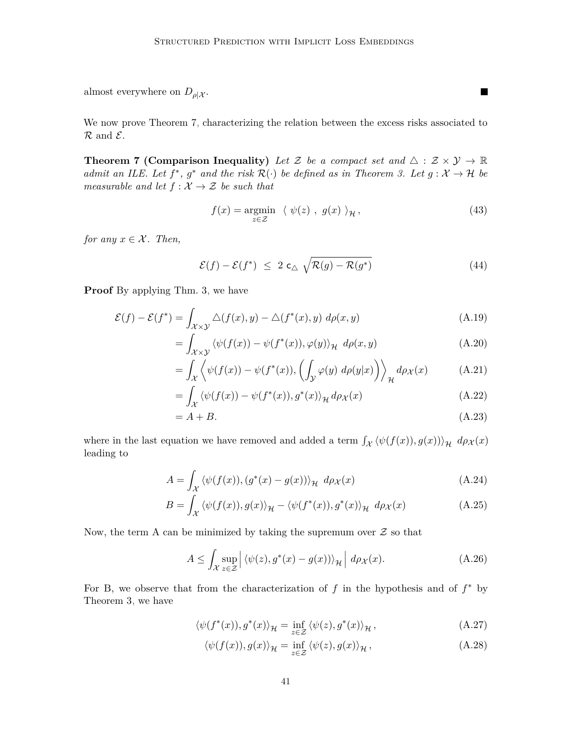almost everywhere on  $D_{\rho}|\chi$ .

We now prove [Theorem 7,](#page-18-1) characterizing the relation between the excess risks associated to  $\mathcal R$  and  $\mathcal E$ .

**Theorem 7 (Comparison Inequality)** Let Z be a compact set and  $\triangle$  :  $\mathcal{Z} \times \mathcal{Y} \rightarrow \mathbb{R}$ *admit an ILE. Let*  $f^*$ ,  $g^*$  *and the risk*  $\mathcal{R}(\cdot)$  *be defined as in [Theorem 3.](#page-7-1) Let*  $g: \mathcal{X} \to \mathcal{H}$  *be measurable and let*  $f : \mathcal{X} \to \mathcal{Z}$  *be such that* 

$$
f(x) = \underset{z \in \mathcal{Z}}{\operatorname{argmin}} \quad \langle \psi(z) \ , \ g(x) \ \rangle_{\mathcal{H}} \,, \tag{43}
$$

 $\blacksquare$ 

*for any*  $x \in \mathcal{X}$ *. Then,* 

$$
\mathcal{E}(f) - \mathcal{E}(f^*) \leq 2 \mathsf{c}_{\triangle} \sqrt{\mathcal{R}(g) - \mathcal{R}(g^*)} \tag{44}
$$

**Proof** By applying [Thm. 3,](#page-7-1) we have

$$
\mathcal{E}(f) - \mathcal{E}(f^*) = \int_{\mathcal{X} \times \mathcal{Y}} \Delta(f(x), y) - \Delta(f^*(x), y) \, d\rho(x, y) \tag{A.19}
$$

$$
= \int_{\mathcal{X}\times\mathcal{Y}} \langle \psi(f(x)) - \psi(f^*(x)), \varphi(y) \rangle_{\mathcal{H}} \, d\rho(x, y) \tag{A.20}
$$

$$
= \int_{\mathcal{X}} \left\langle \psi(f(x)) - \psi(f^*(x)), \left( \int_{\mathcal{Y}} \varphi(y) \, d\rho(y|x) \right) \right\rangle_{\mathcal{H}} d\rho_{\mathcal{X}}(x) \tag{A.21}
$$

$$
= \int_{\mathcal{X}} \langle \psi(f(x)) - \psi(f^*(x)), g^*(x) \rangle_{\mathcal{H}} d\rho_{\mathcal{X}}(x) \tag{A.22}
$$

$$
= A + B. \tag{A.23}
$$

where in the last equation we have removed and added a term  $\int_{\mathcal{X}} \langle \psi(f(x)), g(x) \rangle \rangle_{\mathcal{H}} d\rho_{\mathcal{X}}(x)$ leading to

$$
A = \int_{\mathcal{X}} \langle \psi(f(x)), (g^*(x) - g(x)) \rangle_{\mathcal{H}} d\rho_{\mathcal{X}}(x)
$$
 (A.24)

$$
B = \int_{\mathcal{X}} \langle \psi(f(x)), g(x) \rangle_{\mathcal{H}} - \langle \psi(f^*(x)), g^*(x) \rangle_{\mathcal{H}} d\rho_{\mathcal{X}}(x)
$$
(A.25)

Now, the term A can be minimized by taking the supremum over  $\mathcal Z$  so that

$$
A \leq \int_{\mathcal{X}} \sup_{z \in \mathcal{Z}} \left| \langle \psi(z), g^*(x) - g(x) \rangle \rangle_{\mathcal{H}} \right| d\rho_{\mathcal{X}}(x). \tag{A.26}
$$

For B, we observe that from the characterization of *f* in the hypothesis and of *f* <sup>∗</sup> by [Theorem 3,](#page-7-1) we have

$$
\langle \psi(f^*(x)), g^*(x) \rangle_{\mathcal{H}} = \inf_{z \in \mathcal{Z}} \langle \psi(z), g^*(x) \rangle_{\mathcal{H}}, \tag{A.27}
$$

$$
\langle \psi(f(x)), g(x) \rangle_{\mathcal{H}} = \inf_{z \in \mathcal{Z}} \langle \psi(z), g(x) \rangle_{\mathcal{H}}, \tag{A.28}
$$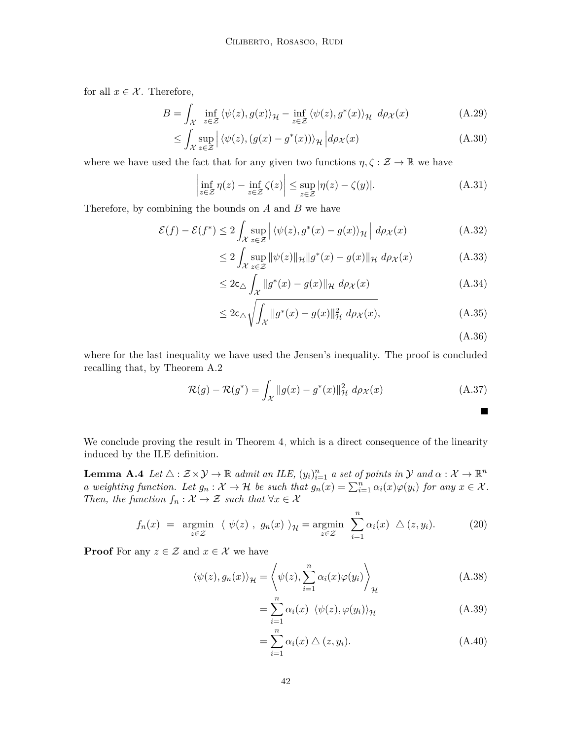for all  $x \in \mathcal{X}$ . Therefore,

$$
B = \int_{\mathcal{X}} \inf_{z \in \mathcal{Z}} \langle \psi(z), g(x) \rangle_{\mathcal{H}} - \inf_{z \in \mathcal{Z}} \langle \psi(z), g^*(x) \rangle_{\mathcal{H}} d\rho_{\mathcal{X}}(x)
$$
(A.29)

$$
\leq \int_{\mathcal{X}} \sup_{z \in \mathcal{Z}} \left| \langle \psi(z), (g(x) - g^*(x)) \rangle_{\mathcal{H}} \right| d\rho_{\mathcal{X}}(x) \tag{A.30}
$$

where we have used the fact that for any given two functions  $\eta, \zeta : \mathcal{Z} \to \mathbb{R}$  we have

$$
\left|\inf_{z\in\mathcal{Z}}\eta(z)-\inf_{z\in\mathcal{Z}}\zeta(z)\right|\leq \sup_{z\in\mathcal{Z}}|\eta(z)-\zeta(y)|.\tag{A.31}
$$

Therefore, by combining the bounds on *A* and *B* we have

$$
\mathcal{E}(f) - \mathcal{E}(f^*) \le 2 \int_{\mathcal{X}} \sup_{z \in \mathcal{Z}} \left| \langle \psi(z), g^*(x) - g(x) \rangle_{\mathcal{H}} \right| d\rho_{\mathcal{X}}(x) \tag{A.32}
$$

$$
\leq 2\int_{\mathcal{X}} \sup_{z \in \mathcal{Z}} \|\psi(z)\|_{\mathcal{H}} \|g^*(x) - g(x)\|_{\mathcal{H}} d\rho_{\mathcal{X}}(x) \tag{A.33}
$$

$$
\leq 2c_{\triangle} \int_{\mathcal{X}} \|g^*(x) - g(x)\|_{\mathcal{H}} \ d\rho_{\mathcal{X}}(x) \tag{A.34}
$$

$$
\leq 2c_{\Delta}\sqrt{\int_{\mathcal{X}}\|g^*(x) - g(x)\|_{\mathcal{H}}^2 d\rho_{\mathcal{X}}(x)},\tag{A.35}
$$

(A.36)

where for the last inequality we have used the Jensen's inequality. The proof is concluded recalling that, by [Theorem A.2](#page-38-1)

$$
\mathcal{R}(g) - \mathcal{R}(g^*) = \int_{\mathcal{X}} \|g(x) - g^*(x)\|_{\mathcal{H}}^2 \ d\rho_{\mathcal{X}}(x) \tag{A.37}
$$

We conclude proving the result in [Theorem 4,](#page-9-1) which is a direct consequence of the linearity induced by the ILE definition.

**Lemma A.4** *Let*  $\triangle$  :  $\mathcal{Z} \times \mathcal{Y} \to \mathbb{R}$  *admit an ILE*,  $(y_i)_{i=1}^n$  *a set of points in*  $\mathcal{Y}$  *and*  $\alpha : \mathcal{X} \to \mathbb{R}^n$ *a* weighting function. Let  $g_n : \mathcal{X} \to \mathcal{H}$  be such that  $g_n(x) = \sum_{i=1}^n \alpha_i(x) \varphi(y_i)$  for any  $x \in \mathcal{X}$ . *Then, the function*  $f_n : \mathcal{X} \to \mathcal{Z}$  *such that*  $\forall x \in \mathcal{X}$ 

$$
f_n(x) = \underset{z \in \mathcal{Z}}{\operatorname{argmin}} \ \langle \ \psi(z) \ , \ g_n(x) \ \rangle_{\mathcal{H}} = \underset{z \in \mathcal{Z}}{\operatorname{argmin}} \ \sum_{i=1}^n \alpha_i(x) \ \triangle (z, y_i). \tag{20}
$$

**Proof** For any  $z \in \mathcal{Z}$  and  $x \in \mathcal{X}$  we have

$$
\langle \psi(z), g_n(x) \rangle_{\mathcal{H}} = \left\langle \psi(z), \sum_{i=1}^n \alpha_i(x) \varphi(y_i) \right\rangle_{\mathcal{H}} \tag{A.38}
$$

$$
= \sum_{i=1}^{n} \alpha_i(x) \langle \psi(z), \varphi(y_i) \rangle_{\mathcal{H}}
$$
 (A.39)

$$
=\sum_{i=1}^{n} \alpha_i(x) \bigtriangleup (z, y_i). \tag{A.40}
$$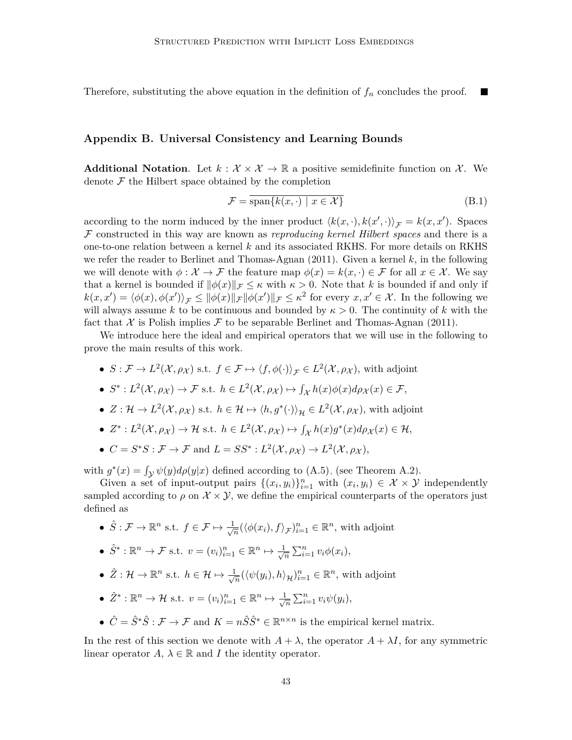Therefore, substituting the above equation in the definition of *f<sup>n</sup>* concludes the proof. 

#### <span id="page-42-0"></span>**Appendix B. Universal Consistency and Learning Bounds**

**Additional Notation.** Let  $k : \mathcal{X} \times \mathcal{X} \to \mathbb{R}$  a positive semidefinite function on  $\mathcal{X}$ . We denote  $\mathcal F$  the Hilbert space obtained by the completion

$$
\mathcal{F} = \overline{\text{span}\{k(x, \cdot) \mid x \in \mathcal{X}\}}\tag{B.1}
$$

according to the norm induced by the inner product  $\langle k(x, \cdot), k(x', \cdot) \rangle_{\mathcal{F}} = k(x, x')$ . Spaces F constructed in this way are known as *reproducing kernel Hilbert spaces* and there is a one-to-one relation between a kernel *k* and its associated RKHS. For more details on RKHS we refer the reader to [Berlinet and Thomas-Agnan](#page-29-14) [\(2011\)](#page-29-14). Given a kernel *k*, in the following we will denote with  $\phi : \mathcal{X} \to \mathcal{F}$  the feature map  $\phi(x) = k(x, \cdot) \in \mathcal{F}$  for all  $x \in \mathcal{X}$ . We say that a kernel is bounded if  $\|\phi(x)\|_{\mathcal{F}} \leq \kappa$  with  $\kappa > 0$ . Note that *k* is bounded if and only if  $k(x, x') = \langle \phi(x), \phi(x') \rangle_{\mathcal{F}} \leq ||\phi(x)||_{\mathcal{F}} ||\phi(x')||_{\mathcal{F}} \leq \kappa^2$  for every  $x, x' \in \mathcal{X}$ . In the following we will always assume k to be continuous and bounded by  $\kappa > 0$ . The continuity of k with the fact that X is Polish implies F to be separable [Berlinet and Thomas-Agnan](#page-29-14) [\(2011\)](#page-29-14).

We introduce here the ideal and empirical operators that we will use in the following to prove the main results of this work.

- $S: \mathcal{F} \to L^2(\mathcal{X}, \rho_{\mathcal{X}})$  s.t.  $f \in \mathcal{F} \mapsto \langle f, \phi(\cdot) \rangle_{\mathcal{F}} \in L^2(\mathcal{X}, \rho_{\mathcal{X}})$ , with adjoint
- $S^*: L^2(\mathcal{X}, \rho_{\mathcal{X}}) \to \mathcal{F}$  s.t.  $h \in L^2(\mathcal{X}, \rho_{\mathcal{X}}) \mapsto \int_{\mathcal{X}} h(x) \phi(x) d\rho_{\mathcal{X}}(x) \in \mathcal{F}$ ,
- $Z: \mathcal{H} \to L^2(\mathcal{X}, \rho_{\mathcal{X}})$  s.t.  $h \in \mathcal{H} \mapsto \langle h, g^*(\cdot) \rangle_{\mathcal{H}} \in L^2(\mathcal{X}, \rho_{\mathcal{X}})$ , with adjoint
- $Z^*: L^2(\mathcal{X}, \rho_{\mathcal{X}}) \to \mathcal{H}$  s.t.  $h \in L^2(\mathcal{X}, \rho_{\mathcal{X}}) \mapsto \int_{\mathcal{X}} h(x)g^*(x)d\rho_{\mathcal{X}}(x) \in \mathcal{H}$ ,
- $C = S^*S : \mathcal{F} \to \mathcal{F}$  and  $L = SS^* : L^2(\mathcal{X}, \rho_{\mathcal{X}}) \to L^2(\mathcal{X}, \rho_{\mathcal{X}})$ ,

with  $g^*(x) = \int_{\mathcal{Y}} \psi(y) d\rho(y|x)$  defined according to [\(A.5\),](#page-38-2) (see [Theorem A.2\)](#page-38-1).

Given a set of input-output pairs  $\{(x_i, y_i)\}_{i=1}^n$  with  $(x_i, y_i) \in \mathcal{X} \times \mathcal{Y}$  independently sampled according to  $\rho$  on  $\mathcal{X} \times \mathcal{Y}$ , we define the empirical counterparts of the operators just defined as

•  $\hat{S}: \mathcal{F} \to \mathbb{R}^n$  s.t.  $f \in \mathcal{F} \mapsto \frac{1}{\sqrt{n}}$  $\frac{1}{n}$  ( $\langle \phi(x_i), f \rangle$ <sub>*F*</sub>)<sup>*n*</sup><sub>*i*=1</sub>  $\in \mathbb{R}^n$ , with adjoint

• 
$$
\hat{S}^* : \mathbb{R}^n \to \mathcal{F}
$$
 s.t.  $v = (v_i)_{i=1}^n \in \mathbb{R}^n \mapsto \frac{1}{\sqrt{n}} \sum_{i=1}^n v_i \phi(x_i),$ 

- $\hat{Z}: \mathcal{H} \to \mathbb{R}^n$  s.t.  $h \in \mathcal{H} \mapsto \frac{1}{\sqrt{n}}$  $\frac{n}{n}$ ( $\langle \psi(y_i), h \rangle_{\mathcal{H}}$ )<sup>n</sup><sub>i=1</sub> ∈  $\mathbb{R}^n$ , with adjoint
- $\hat{Z}^* : \mathbb{R}^n \to \mathcal{H}$  s.t.  $v = (v_i)_{i=1}^n \in \mathbb{R}^n \mapsto \frac{1}{\sqrt{n}}$  $\overline{n}$   $\sum_{i=1}^{n} v_i \psi(y_i)$ ,
- $\hat{C} = \hat{S}^* \hat{S} : \mathcal{F} \to \mathcal{F}$  and  $K = n \hat{S} \hat{S}^* \in \mathbb{R}^{n \times n}$  is the empirical kernel matrix.

In the rest of this section we denote with  $A + \lambda$ , the operator  $A + \lambda I$ , for any symmetric linear operator  $A, \lambda \in \mathbb{R}$  and *I* the identity operator.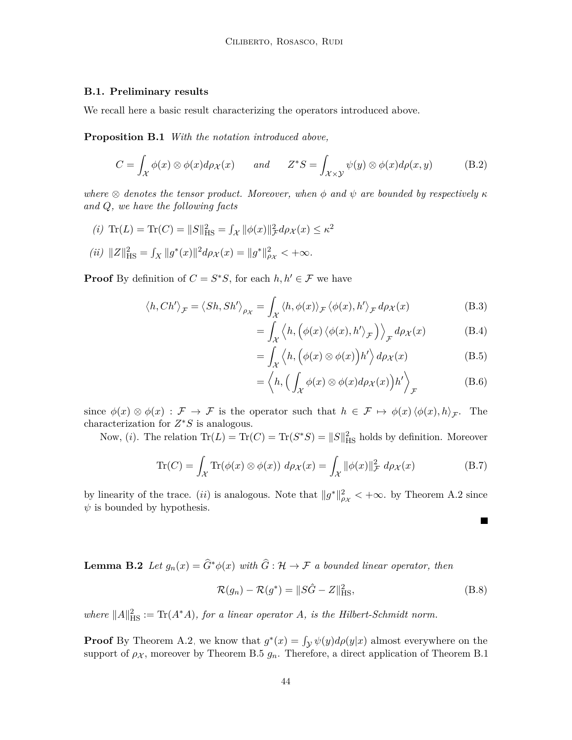#### **B.1. Preliminary results**

<span id="page-43-0"></span>We recall here a basic result characterizing the operators introduced above.

**Proposition B.1** *With the notation introduced above,*

$$
C = \int_{\mathcal{X}} \phi(x) \otimes \phi(x) d\rho_{\mathcal{X}}(x) \quad \text{and} \quad Z^*S = \int_{\mathcal{X} \times \mathcal{Y}} \psi(y) \otimes \phi(x) d\rho(x, y) \quad (B.2)
$$

*where*  $\otimes$  *denotes the tensor product. Moreover, when*  $\phi$  *and*  $\psi$  *are bounded by respectively*  $\kappa$ *and Q, we have the following facts*

(i) Tr(L) = Tr(C) = 
$$
||S||_{\text{HS}}^2 = \int_{\mathcal{X}} ||\phi(x)||_{\mathcal{F}}^2 d\rho_{\mathcal{X}}(x) \le \kappa^2
$$

(*ii*) 
$$
||Z||_{\text{HS}}^2 = \int_X ||g^*(x)||^2 d\rho_X(x) = ||g^*||_{\rho_X}^2 < +\infty.
$$

**Proof** By definition of  $C = S^*S$ , for each  $h, h' \in \mathcal{F}$  we have

$$
\langle h, Ch' \rangle_{\mathcal{F}} = \langle Sh, Sh' \rangle_{\rho_{\mathcal{X}}} = \int_{\mathcal{X}} \langle h, \phi(x) \rangle_{\mathcal{F}} \langle \phi(x), h' \rangle_{\mathcal{F}} d\rho_{\mathcal{X}}(x)
$$
(B.3)

$$
= \int_{\mathcal{X}} \left\langle h, \left( \phi(x) \left\langle \phi(x), h' \right\rangle_{\mathcal{F}} \right) \right\rangle_{\mathcal{F}} d\rho_{\mathcal{X}}(x) \tag{B.4}
$$

$$
= \int_{\mathcal{X}} \left\langle h, \left( \phi(x) \otimes \phi(x) \right) h' \right\rangle d\rho_{\mathcal{X}}(x) \tag{B.5}
$$

$$
= \left\langle h, \left( \int_{\mathcal{X}} \phi(x) \otimes \phi(x) d\rho_{\mathcal{X}}(x) \right) h' \right\rangle_{\mathcal{F}} \tag{B.6}
$$

 $\blacksquare$ 

since  $\phi(x) \otimes \phi(x) : \mathcal{F} \to \mathcal{F}$  is the operator such that  $h \in \mathcal{F} \mapsto \phi(x) \langle \phi(x), h \rangle_{\mathcal{F}}$ . The characterization for *Z* <sup>∗</sup>*S* is analogous.

Now, (*i*). The relation  $\text{Tr}(L) = \text{Tr}(C) = \text{Tr}(S^*S) = ||S||_{\text{HS}}^2$  holds by definition. Moreover

$$
\text{Tr}(C) = \int_{\mathcal{X}} \text{Tr}(\phi(x) \otimes \phi(x)) \ d\rho_{\mathcal{X}}(x) = \int_{\mathcal{X}} ||\phi(x)||_{\mathcal{F}}^2 \ d\rho_{\mathcal{X}}(x) \tag{B.7}
$$

by linearity of the trace. (*ii*) is analogous. Note that  $||g^*||_{\rho_X}^2 < +\infty$ . by [Theorem A.2](#page-38-1) since  $\psi$  is bounded by hypothesis.

<span id="page-43-1"></span>**Lemma B.2** *Let*  $g_n(x) = \hat{G}^*\phi(x)$  *with*  $\hat{G}: \mathcal{H} \to \mathcal{F}$  *a bounded linear operator, then* 

$$
\mathcal{R}(g_n) - \mathcal{R}(g^*) = \|S\hat{G} - Z\|_{\text{HS}}^2,\tag{B.8}
$$

where  $||A||_{\text{HS}}^2 := \text{Tr}(A^*A)$ , for a linear operator A, is the Hilbert-Schmidt norm.

**Proof** By [Theorem A.2,](#page-38-1) we know that  $g^*(x) = \int_{\mathcal{Y}} \psi(y) d\rho(y|x)$  almost everywhere on the support of  $\rho_X$ , moreover by [Theorem B.5](#page-46-0)  $g_n$ . Therefore, a direct application of [Theorem B.1](#page-43-0)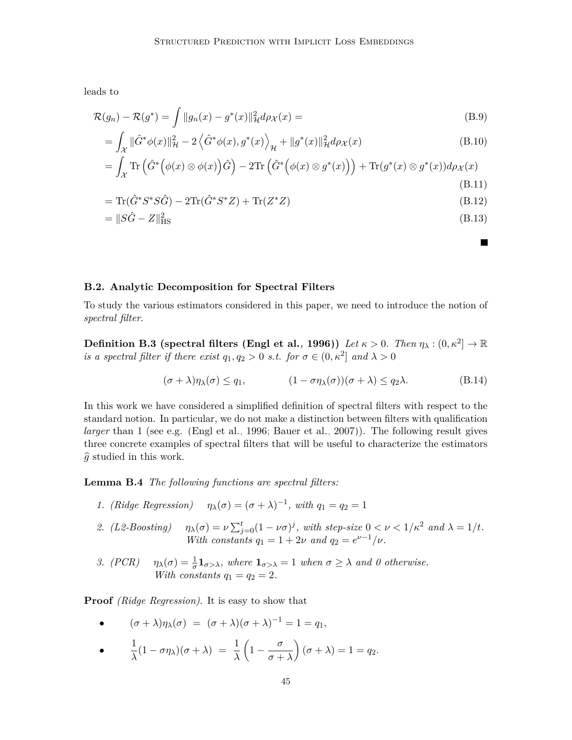leads to

$$
\mathcal{R}(g_n) - \mathcal{R}(g^*) = \int \|g_n(x) - g^*(x)\|_{\mathcal{H}}^2 d\rho_{\mathcal{X}}(x) =
$$
\n(B.9)

$$
= \int_{\mathcal{X}} \|\hat{G}^*\phi(x)\|_{\mathcal{H}}^2 - 2\left\langle \hat{G}^*\phi(x), g^*(x) \right\rangle_{\mathcal{H}} + \|g^*(x)\|_{\mathcal{H}}^2 d\rho_{\mathcal{X}}(x) \tag{B.10}
$$

$$
= \int_{\mathcal{X}} \text{Tr}\left(\hat{G}^*\Big(\phi(x)\otimes\phi(x)\Big)\hat{G}\right) - 2\text{Tr}\left(\hat{G}^*\Big(\phi(x)\otimes g^*(x)\Big)\right) + \text{Tr}(g^*(x)\otimes g^*(x))d\rho_{\mathcal{X}}(x)
$$
\n(B.11)

$$
= \text{Tr}(\hat{G}^* S^* S \hat{G}) - 2 \text{Tr}(\hat{G}^* S^* Z) + \text{Tr}(Z^* Z) \tag{B.12}
$$

$$
= \|S\hat{G} - Z\|_{\text{HS}}^2 \tag{B.13}
$$

#### **B.2. Analytic Decomposition for Spectral Filters**

To study the various estimators considered in this paper, we need to introduce the notion of *spectral filter*.

 $\textbf{Definition B.3 (spectral filters (Engl et al., 1996))}$  $\textbf{Definition B.3 (spectral filters (Engl et al., 1996))}$  $\textbf{Definition B.3 (spectral filters (Engl et al., 1996))}$   $\textit{Let } \kappa > 0$ . Then  $\eta_{\lambda} : (0, \kappa^2] \rightarrow \mathbb{R}$ *is a spectral filter if there exist*  $q_1, q_2 > 0$  *s.t. for*  $\sigma \in (0, \kappa^2]$  *and*  $\lambda > 0$ 

$$
(\sigma + \lambda)\eta_{\lambda}(\sigma) \le q_1, \qquad (1 - \sigma \eta_{\lambda}(\sigma))(\sigma + \lambda) \le q_2 \lambda. \tag{B.14}
$$

In this work we have considered a simplified definition of spectral filters with respect to the standard notion. In particular, we do not make a distinction between filters with qualification *larger* than 1 (see e.g. [\(Engl et al., 1996;](#page-31-13) [Bauer et al., 2007\)](#page-29-9)). The following result gives three concrete examples of spectral filters that will be useful to characterize the estimators  $\hat{g}$  studied in this work.

<span id="page-44-0"></span>**Lemma B.4** *The following functions are spectral filters:*

- *1. (Ridge Regression)*  $\eta_{\lambda}(\sigma) = (\sigma + \lambda)^{-1}$ , with  $q_1 = q_2 = 1$
- *2. (L2-Boosting)*  $\eta_{\lambda}(\sigma) = \nu \sum_{j=0}^{t} (1 \nu \sigma)^j$ , with step-size  $0 < \nu < 1/\kappa^2$  and  $\lambda = 1/t$ . *With constants*  $q_1 = 1 + 2\nu$  *and*  $q_2 = e^{\nu - 1}/\nu$ .
- *3. (PCR)*  $\eta_{\lambda}(\sigma) = \frac{1}{\sigma} \mathbf{1}_{\sigma > \lambda}$ , where  $\mathbf{1}_{\sigma > \lambda} = 1$  when  $\sigma \geq \lambda$  and 0 otherwise. *With constants*  $q_1 = q_2 = 2$ *.*

**Proof** *(Ridge Regression)*. It is easy to show that

• 
$$
(\sigma + \lambda)\eta_{\lambda}(\sigma) = (\sigma + \lambda)(\sigma + \lambda)^{-1} = 1 = q_1,
$$

 $\bullet$   $\frac{1}{1}$  $\frac{1}{\lambda}(1-\sigma\eta_\lambda)(\sigma+\lambda) = \frac{1}{\lambda}$  $\left(1-\frac{\sigma}{\sigma}\right)$  $\sigma + \lambda$  $\bigg((\sigma + \lambda) = 1 = q_2.$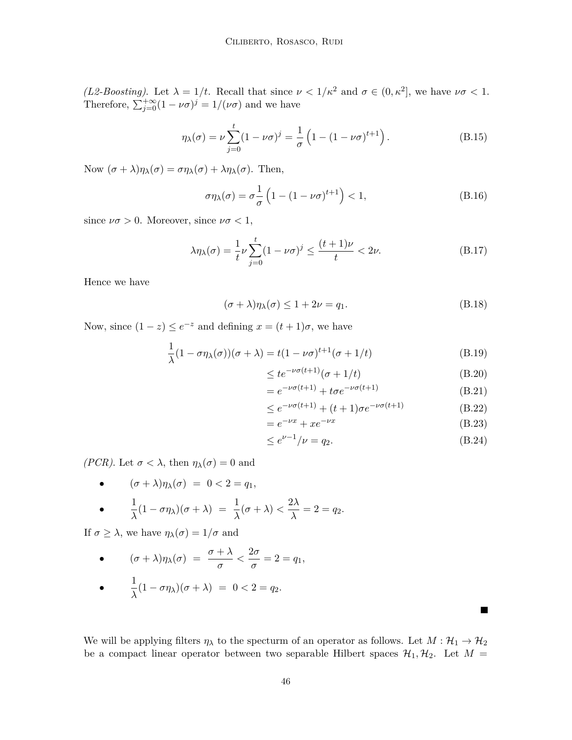*(L2-Boosting)*. Let  $\lambda = 1/t$ . Recall that since  $\nu < 1/\kappa^2$  and  $\sigma \in (0, \kappa^2]$ , we have  $\nu\sigma < 1$ . Therefore,  $\sum_{j=0}^{+\infty} (1 - \nu \sigma)^j = 1/(\nu \sigma)$  and we have

$$
\eta_{\lambda}(\sigma) = \nu \sum_{j=0}^{t} (1 - \nu \sigma)^{j} = \frac{1}{\sigma} \left( 1 - (1 - \nu \sigma)^{t+1} \right). \tag{B.15}
$$

Now  $(\sigma + \lambda)\eta_{\lambda}(\sigma) = \sigma \eta_{\lambda}(\sigma) + \lambda \eta_{\lambda}(\sigma)$ . Then,

$$
\sigma \eta_{\lambda}(\sigma) = \sigma \frac{1}{\sigma} \left( 1 - (1 - \nu \sigma)^{t+1} \right) < 1,\tag{B.16}
$$

since  $\nu\sigma > 0$ . Moreover, since  $\nu\sigma < 1$ ,

$$
\lambda \eta_{\lambda}(\sigma) = \frac{1}{t} \nu \sum_{j=0}^{t} (1 - \nu \sigma)^j \le \frac{(t+1)\nu}{t} < 2\nu. \tag{B.17}
$$

Hence we have

$$
(\sigma + \lambda)\eta_{\lambda}(\sigma) \le 1 + 2\nu = q_1.
$$
\n(B.18)

Now, since  $(1 - z) \le e^{-z}$  and defining  $x = (t + 1)\sigma$ , we have

$$
\frac{1}{\lambda}(1 - \sigma \eta_{\lambda}(\sigma))(\sigma + \lambda) = t(1 - \nu \sigma)^{t+1}(\sigma + 1/t)
$$
\n(B.19)

$$
\leq t e^{-\nu \sigma (t+1)} (\sigma + 1/t) \tag{B.20}
$$

$$
= e^{-\nu\sigma(t+1)} + t\sigma e^{-\nu\sigma(t+1)}
$$
\n(B.21)

$$
\leq e^{-\nu\sigma(t+1)} + (t+1)\sigma e^{-\nu\sigma(t+1)}\tag{B.22}
$$

$$
=e^{-\nu x} + xe^{-\nu x} \tag{B.23}
$$

$$
\leq e^{\nu - 1} / \nu = q_2. \tag{B.24}
$$

 $\blacksquare$ 

*(PCR)*. Let  $\sigma < \lambda$ , then  $\eta_{\lambda}(\sigma) = 0$  and

• 
$$
(\sigma + \lambda)\eta_{\lambda}(\sigma) = 0 < 2 = q_1,
$$
  
\n•  $\frac{1}{\lambda}(1 - \sigma \eta_{\lambda})(\sigma + \lambda) = \frac{1}{\lambda}(\sigma + \lambda) < \frac{2\lambda}{\lambda} = 2 = q_2.$ 

If  $\sigma \geq \lambda$ , we have  $\eta_{\lambda}(\sigma) = 1/\sigma$  and

• 
$$
(\sigma + \lambda)\eta_{\lambda}(\sigma) = \frac{\sigma + \lambda}{\sigma} < \frac{2\sigma}{\sigma} = 2 = q_1,
$$

• 
$$
\frac{1}{\lambda}(1 - \sigma \eta_{\lambda})(\sigma + \lambda) = 0 < 2 = q_2.
$$

We will be applying filters  $\eta_\lambda$  to the specturm of an operator as follows. Let  $M: \mathcal{H}_1 \to \mathcal{H}_2$ be a compact linear operator between two separable Hilbert spaces  $\mathcal{H}_1, \mathcal{H}_2$ . Let  $M =$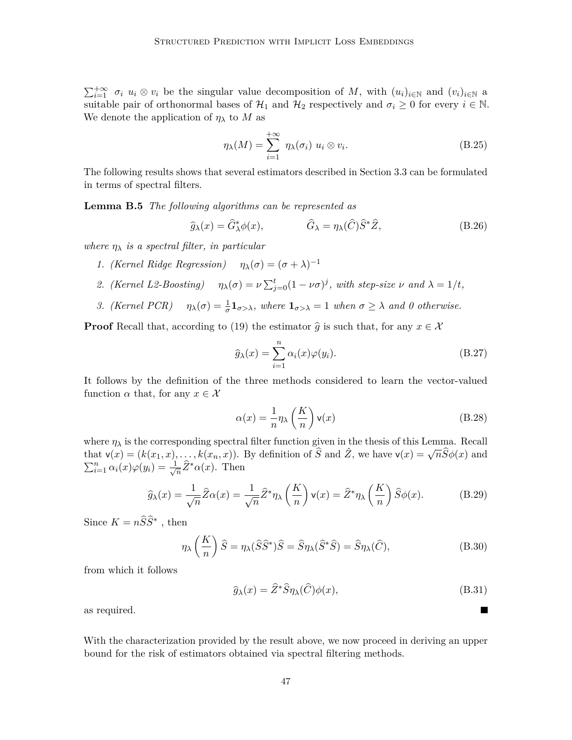$\sum_{i=1}^{+\infty} \sigma_i u_i \otimes v_i$  be the singular value decomposition of *M*, with  $(u_i)_{i\in\mathbb{N}}$  and  $(v_i)_{i\in\mathbb{N}}$  a suitable pair of orthonormal bases of  $\mathcal{H}_1$  and  $\mathcal{H}_2$  respectively and  $\sigma_i \geq 0$  for every  $i \in \mathbb{N}$ . We denote the application of  $\eta_{\lambda}$  to M as

$$
\eta_{\lambda}(M) = \sum_{i=1}^{+\infty} \eta_{\lambda}(\sigma_i) \ u_i \otimes v_i.
$$
 (B.25)

The following results shows that several estimators described in [Section 3.3](#page-9-3) can be formulated in terms of spectral filters.

<span id="page-46-0"></span>**Lemma B.5** *The following algorithms can be represented as*

$$
\widehat{g}_{\lambda}(x) = \widehat{G}_{\lambda}^{*} \phi(x), \qquad \widehat{G}_{\lambda} = \eta_{\lambda}(\widehat{C}) \widehat{S}^{*} \widehat{Z}, \qquad (B.26)
$$

*where η<sup>λ</sup> is a spectral filter, in particular*

- *1. (Kernel Ridge Regression)*  $\eta_{\lambda}(\sigma) = (\sigma + \lambda)^{-1}$
- *2. (Kernel L2-Boosting)*  $\eta_{\lambda}(\sigma) = \nu \sum_{j=0}^{t} (1 \nu \sigma)^{j}$ , with step-size  $\nu$  and  $\lambda = 1/t$ ,
- *3. (Kernel PCR)*  $\eta_{\lambda}(\sigma) = \frac{1}{\sigma} \mathbf{1}_{\sigma > \lambda}$ , where  $\mathbf{1}_{\sigma > \lambda} = 1$  when  $\sigma \geq \lambda$  and 0 otherwise.

**Proof** Recall that, according to [\(19\)](#page-8-1) the estimator  $\hat{g}$  is such that, for any  $x \in \mathcal{X}$ 

$$
\widehat{g}_{\lambda}(x) = \sum_{i=1}^{n} \alpha_i(x)\varphi(y_i). \tag{B.27}
$$

It follows by the definition of the three methods considered to learn the vector-valued function  $\alpha$  that, for any  $x \in \mathcal{X}$ 

$$
\alpha(x) = \frac{1}{n} \eta_{\lambda} \left(\frac{K}{n}\right) \mathsf{v}(x) \tag{B.28}
$$

where  $\eta_{\lambda}$  is the corresponding spectral filter function given in the thesis of this Lemma. Recall where  $\eta_{\lambda}$  is the corresponding spectral litter function given in the thesis of this Lemma. Recall that  $\mathsf{v}(x) = (k(x_1, x), \ldots, k(x_n, x))$ . By definition of  $\hat{S}$  and  $\hat{Z}$ , we have  $\mathsf{v}(x) = \sqrt{n}\hat{S}\phi(x)$  and  $\sum_{i=1}^n \alpha_i(x) \varphi(y_i) = \frac{1}{\sqrt{2}}$  $\frac{1}{n}\hat{Z}^*\alpha(x)$ . Then

$$
\widehat{g}_{\lambda}(x) = \frac{1}{\sqrt{n}} \widehat{Z}\alpha(x) = \frac{1}{\sqrt{n}} \widehat{Z}^* \eta_{\lambda}\left(\frac{K}{n}\right) \mathsf{v}(x) = \widehat{Z}^* \eta_{\lambda}\left(\frac{K}{n}\right) \widehat{S}\phi(x). \tag{B.29}
$$

Since  $K = n\widehat{S}\widehat{S}^*$ , then

$$
\eta_{\lambda}\left(\frac{K}{n}\right)\hat{S} = \eta_{\lambda}(\hat{S}\hat{S}^*)\hat{S} = \hat{S}\eta_{\lambda}(\hat{S}^*\hat{S}) = \hat{S}\eta_{\lambda}(\hat{C}),\tag{B.30}
$$

from which it follows

$$
\widehat{g}_{\lambda}(x) = \widehat{Z}^* \widehat{S} \eta_{\lambda}(\widehat{C}) \phi(x), \tag{B.31}
$$

 $\blacksquare$ 

as required.

<span id="page-46-1"></span>With the characterization provided by the result above, we now proceed in deriving an upper bound for the risk of estimators obtained via spectral filtering methods.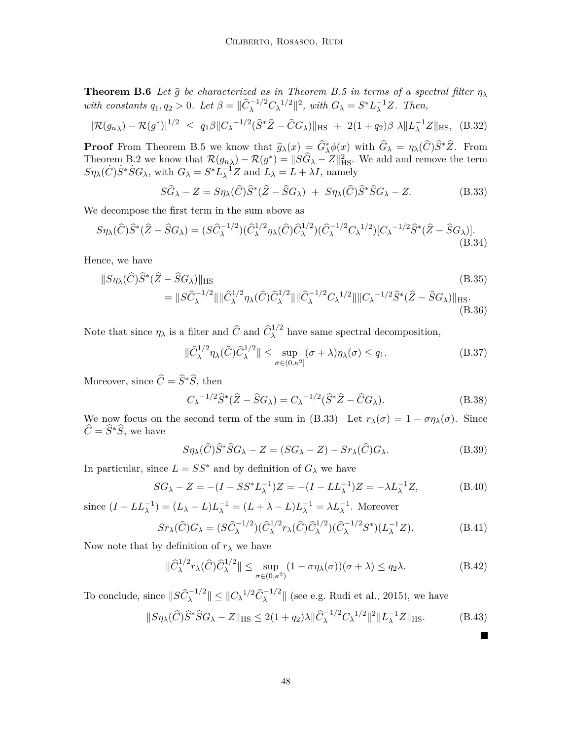**Theorem B.6** *Let*  $\hat{g}$  *be characterized as in [Theorem B.5](#page-46-0) in terms of a spectral filter*  $\eta_{\lambda}$ with constants  $q_1, q_2 > 0$ . Let  $\beta = ||\widehat{C}_{\lambda}^{-1/2} C_{\lambda}^{-1/2}||^2$ , with  $G_{\lambda} = S^* L_{\lambda}^{-1} Z$ . Then,

$$
|\mathcal{R}(g_{n\lambda}) - \mathcal{R}(g^*)|^{1/2} \le q_1 \beta \|C_{\lambda}^{-1/2} (\hat{S}^* \hat{Z} - \hat{C} G_{\lambda})\|_{\text{HS}} + 2(1+q_2) \beta \lambda \|L_{\lambda}^{-1} Z\|_{\text{HS}}, \quad (B.32)
$$

**Proof** From [Theorem B.5](#page-46-0) we know that  $\hat{g}_{\lambda}(x) = \hat{G}_{\lambda}^{*}\phi(x)$  with  $\hat{G}_{\lambda} = \eta_{\lambda}(\hat{C})\hat{S}^{*}\hat{Z}$ . From Theorem B.2 we know that  $\mathcal{P}(x) = \mathcal{P}(x^{*})$   $\mathcal{P}(x^{*})$ [Theorem B.2](#page-43-1) we know that  $\mathcal{R}(g_{n\lambda}) - \mathcal{R}(g^*) = ||S\widehat{G}_{\lambda} - Z||_{\text{HS}}^2$ . We add and remove the term  $S\eta_{\lambda}(\widehat{C})\widehat{S}^*\widehat{S}G_{\lambda}$ , with  $G_{\lambda} = S^*L_{\lambda}^{-1}Z$  and  $L_{\lambda} = L + \lambda I$ , namely

<span id="page-47-0"></span>
$$
S\widehat{G}_{\lambda} - Z = S\eta_{\lambda}(\widehat{C})\widehat{S}^*(\widehat{Z} - \widehat{S}G_{\lambda}) + S\eta_{\lambda}(\widehat{C})\widehat{S}^*\widehat{S}G_{\lambda} - Z.
$$
 (B.33)

We decompose the first term in the sum above as

$$
S\eta_{\lambda}(\widehat{C})\widehat{S}^{*}(\widehat{Z}-\widehat{S}G_{\lambda})=(S\widehat{C}_{\lambda}^{-1/2})(\widehat{C}_{\lambda}^{1/2}\eta_{\lambda}(\widehat{C})\widehat{C}_{\lambda}^{1/2})(\widehat{C}_{\lambda}^{-1/2}C_{\lambda}^{-1/2})[C_{\lambda}^{-1/2}\widehat{S}^{*}(\widehat{Z}-\widehat{S}G_{\lambda})].
$$
\n(B.34)

Hence, we have

$$
||S\eta_{\lambda}(\hat{C})\hat{S}^{*}(\hat{Z} - \hat{S}G_{\lambda})||_{\text{HS}} \qquad (B.35)
$$
  
= 
$$
||S\hat{C}_{\lambda}^{-1/2}||||\hat{C}_{\lambda}^{1/2}\eta_{\lambda}(\hat{C})\hat{C}_{\lambda}^{1/2}||||\hat{C}_{\lambda}^{-1/2}C_{\lambda}^{1/2}||||C_{\lambda}^{-1/2}\hat{S}^{*}(\hat{Z} - \hat{S}G_{\lambda})||_{\text{HS}}.
$$
  
(B.36)

Note that since  $\eta_{\lambda}$  is a filter and  $\hat{C}$  and  $\hat{C}_{\lambda}^{1/2}$  have same spectral decomposition,

$$
\|\widehat{C}_{\lambda}^{1/2}\eta_{\lambda}(\widehat{C})\widehat{C}_{\lambda}^{1/2}\| \leq \sup_{\sigma \in (0,\kappa^2]} (\sigma + \lambda)\eta_{\lambda}(\sigma) \leq q_1.
$$
 (B.37)

Moreover, since  $\hat{C} = \hat{S}^*\hat{S}$ , then

$$
C_{\lambda}^{-1/2}\hat{S}^*(\hat{Z} - \hat{S}G_{\lambda}) = C_{\lambda}^{-1/2}(\hat{S}^*\hat{Z} - \hat{C}G_{\lambda}).
$$
\n(B.38)

We now focus on the second term of the sum in [\(B.33\).](#page-47-0) Let  $r_{\lambda}(\sigma) = 1 - \sigma \eta_{\lambda}(\sigma)$ . Since  $\widehat{C} = \widehat{S}^*\widehat{S}$ , we have

<span id="page-47-1"></span>
$$
S\eta_{\lambda}(\widehat{C})\widehat{S}^*\widehat{S}G_{\lambda} - Z = (SG_{\lambda} - Z) - Sr_{\lambda}(\widehat{C})G_{\lambda}.
$$
 (B.39)

In particular, since  $L = SS^*$  and by definition of  $G_\lambda$  we have

$$
SG_{\lambda} - Z = -(I - SS^* L_{\lambda}^{-1})Z = -(I - LL_{\lambda}^{-1})Z = -\lambda L_{\lambda}^{-1}Z,
$$
 (B.40)

since  $(I - LL_{\lambda}^{-1}) = (L_{\lambda} - L)L_{\lambda}^{-1} = (L + \lambda - L)L_{\lambda}^{-1} = \lambda L_{\lambda}^{-1}$ . Moreover

$$
Sr_{\lambda}(\widehat{C})G_{\lambda} = (S\widehat{C}_{\lambda}^{-1/2})(\widehat{C}_{\lambda}^{1/2}r_{\lambda}(\widehat{C})\widehat{C}_{\lambda}^{1/2})(\widehat{C}_{\lambda}^{-1/2}S^{*})(L_{\lambda}^{-1}Z). \tag{B.41}
$$

Now note that by definition of  $r_{\lambda}$  we have

$$
\|\widehat{C}_{\lambda}^{1/2}r_{\lambda}(\widehat{C})\widehat{C}_{\lambda}^{1/2}\| \leq \sup_{\sigma \in (0,\kappa^2)} (1 - \sigma \eta_{\lambda}(\sigma))(\sigma + \lambda) \leq q_2 \lambda.
$$
 (B.42)

To conclude, since  $||S\hat{C}_{\lambda}^{-1/2}|| \leq ||C_{\lambda}^{-1/2}\hat{C}_{\lambda}^{-1/2}||$  (see e.g. [Rudi et al., 2015\)](#page-33-13), we have

$$
||S\eta_{\lambda}(\hat{C})\hat{S}^*\hat{S}G_{\lambda} - Z||_{\text{HS}} \le 2(1+q_2)\lambda ||\hat{C}_{\lambda}^{-1/2}C_{\lambda}^{-1/2}||^2||L_{\lambda}^{-1}Z||_{\text{HS}}.
$$
 (B.43)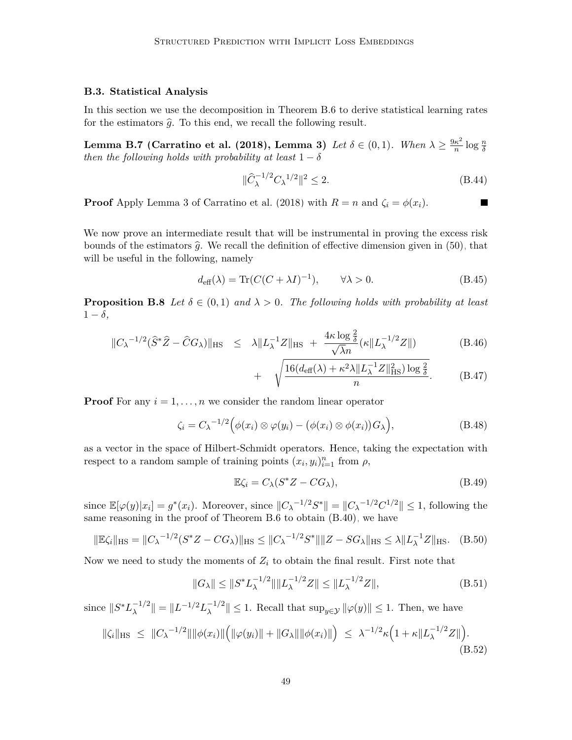#### **B.3. Statistical Analysis**

In this section we use the decomposition in [Theorem B.6](#page-46-1) to derive statistical learning rates for the estimators  $\hat{g}$ . To this end, we recall the following result.

**Lemma B.7 [\(Carratino et al.](#page-30-14) [\(2018\)](#page-30-14), Lemma 3)** *Let*  $\delta \in (0,1)$ *. When*  $\lambda \geq \frac{9\kappa^2}{n}$  $\frac{\kappa^2}{n}$  log  $\frac{n}{\delta}$ *then the following holds with probability at least*  $1 - \delta$ 

$$
\|\hat{C}_{\lambda}^{-1/2} C_{\lambda}^{-1/2}\|^2 \le 2. \tag{B.44}
$$

Ш

**Proof** Apply Lemma 3 of [Carratino et al.](#page-30-14) [\(2018\)](#page-30-14) with  $R = n$  and  $\zeta_i = \phi(x_i)$ .

We now prove an intermediate result that will be instrumental in proving the excess risk bounds of the estimators  $\hat{q}$ . We recall the definition of effective dimension given in [\(50\),](#page-22-2) that will be useful in the following, namely

$$
d_{\text{eff}}(\lambda) = \text{Tr}(C(C + \lambda I)^{-1}), \qquad \forall \lambda > 0.
$$
 (B.45)

<span id="page-48-0"></span>**Proposition B.8** Let  $\delta \in (0,1)$  and  $\lambda > 0$ . The following holds with probability at least  $1 - \delta$ ,

$$
||C_{\lambda}^{-1/2}(\widehat{S}^*\widehat{Z} - \widehat{C}G_{\lambda})||_{\text{HS}} \leq \lambda ||L_{\lambda}^{-1}Z||_{\text{HS}} + \frac{4\kappa \log \frac{2}{\delta}}{\sqrt{\lambda}n}(\kappa ||L_{\lambda}^{-1/2}Z||) \tag{B.46}
$$

$$
+ \sqrt{\frac{16(d_{\text{eff}}(\lambda) + \kappa^2 \lambda \|L_{\lambda}^{-1}Z\|_{\text{HS}}^2) \log \frac{2}{\delta}}{n}}.
$$
 (B.47)

**Proof** For any  $i = 1, \ldots, n$  we consider the random linear operator

$$
\zeta_i = C_{\lambda}^{-1/2} \Big( \phi(x_i) \otimes \varphi(y_i) - \big( \phi(x_i) \otimes \phi(x_i) \big) G_{\lambda} \Big), \tag{B.48}
$$

as a vector in the space of Hilbert-Schmidt operators. Hence, taking the expectation with respect to a random sample of training points  $(x_i, y_i)_{i=1}^n$  from  $\rho$ ,

$$
\mathbb{E}\zeta_i = C_{\lambda}(S^*Z - CG_{\lambda}),\tag{B.49}
$$

since  $\mathbb{E}[\varphi(y)|x_i] = g^*(x_i)$ . Moreover, since  $||C_{\lambda}^{-1/2}S^*|| = ||C_{\lambda}^{-1/2}C^{1/2}|| \leq 1$ , following the same reasoning in the proof of [Theorem B.6](#page-46-1) to obtain [\(B.40\),](#page-47-1) we have

$$
\|\mathbb{E}\zeta_i\|_{\text{HS}} = \|C_{\lambda}^{-1/2}(S^*Z - CG_{\lambda})\|_{\text{HS}} \le \|C_{\lambda}^{-1/2}S^*\|\|Z - SG_{\lambda}\|_{\text{HS}} \le \lambda \|L_{\lambda}^{-1}Z\|_{\text{HS}}.
$$
 (B.50)

Now we need to study the moments of  $Z_i$  to obtain the final result. First note that

$$
||G_{\lambda}|| \le ||S^* L_{\lambda}^{-1/2}|| ||L_{\lambda}^{-1/2} Z|| \le ||L_{\lambda}^{-1/2} Z||,
$$
\n(B.51)

since  $||S^*L_\lambda^{-1/2}$  $\|\lambda\|^{1/2}\| = \|L^{-1/2}L_{\lambda}^{-1/2}\|$  $\|\lambda^{-(1/2)}\| \leq 1$ . Recall that  $\sup_{y \in \mathcal{Y}} \|\varphi(y)\| \leq 1$ . Then, we have

$$
\|\zeta_i\|_{\text{HS}} \ \leq \ \|C_{\lambda}^{-1/2}\| \|\phi(x_i)\| \Big( \|\varphi(y_i)\| + \|G_{\lambda}\| \|\phi(x_i)\| \Big) \ \leq \ \lambda^{-1/2} \kappa \Big( 1 + \kappa \|L_{\lambda}^{-1/2} Z\| \Big). \tag{B.52}
$$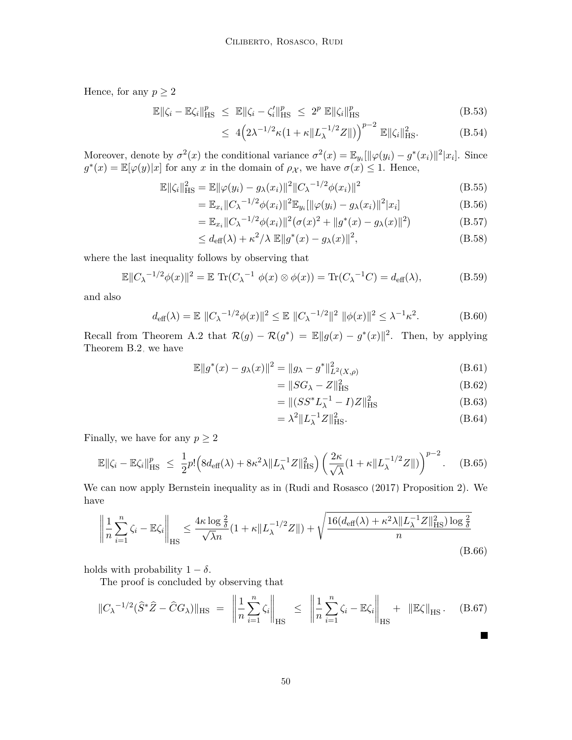Hence, for any  $p \geq 2$ 

$$
\mathbb{E}\|\zeta_i - \mathbb{E}\zeta_i\|_{\text{HS}}^p \le \mathbb{E}\|\zeta_i - \zeta_i'\|_{\text{HS}}^p \le 2^p \mathbb{E}\|\zeta_i\|_{\text{HS}}^p
$$
\n(B.53)

$$
\leq 4\left(2\lambda^{-1/2}\kappa(1+\kappa\|L_{\lambda}^{-1/2}Z\|)\right)^{p-2}\mathbb{E}\|\zeta_i\|_{\text{HS}}^2. \tag{B.54}
$$

Moreover, denote by  $\sigma^2(x)$  the conditional variance  $\sigma^2(x) = \mathbb{E}_{y_i}[\|\varphi(y_i) - g^*(x_i)\|^2 |x_i]$ . Since  $g^*(x) = \mathbb{E}[\varphi(y)|x]$  for any *x* in the domain of  $\rho_X$ , we have  $\sigma(x) \leq 1$ . Hence,

$$
\mathbb{E} \|\zeta_i\|_{\text{HS}}^2 = \mathbb{E} \|\varphi(y_i) - g_\lambda(x_i)\|^2 \|C_\lambda^{-1/2} \phi(x_i)\|^2
$$
\n(B.55)

$$
= \mathbb{E}_{x_i} ||C_{\lambda}^{-1/2} \phi(x_i)||^2 \mathbb{E}_{y_i} [||\varphi(y_i) - g_{\lambda}(x_i)||^2 |x_i]
$$
(B.56)

$$
= \mathbb{E}_{x_i} ||C_{\lambda}^{-1/2} \phi(x_i)||^2 (\sigma(x)^2 + ||g^*(x) - g_{\lambda}(x)||^2)
$$
(B.57)

$$
\leq d_{\text{eff}}(\lambda) + \kappa^2 / \lambda \mathbb{E} \|g^*(x) - g_\lambda(x)\|^2,
$$
\n(B.58)

where the last inequality follows by observing that

$$
\mathbb{E}\|C_{\lambda}^{-1/2}\phi(x)\|^2 = \mathbb{E}\operatorname{Tr}(C_{\lambda}^{-1}\phi(x)\otimes\phi(x)) = \operatorname{Tr}(C_{\lambda}^{-1}C) = d_{\text{eff}}(\lambda),\tag{B.59}
$$

and also

$$
d_{\text{eff}}(\lambda) = \mathbb{E} ||C_{\lambda}^{-1/2} \phi(x)||^2 \le \mathbb{E} ||C_{\lambda}^{-1/2}||^2 ||\phi(x)||^2 \le \lambda^{-1} \kappa^2.
$$
 (B.60)

Recall from [Theorem A.2](#page-38-1) that  $\mathcal{R}(g) - \mathcal{R}(g^*) = \mathbb{E} ||g(x) - g^*(x)||^2$ . Then, by applying [Theorem B.2,](#page-43-1) we have

$$
\mathbb{E}||g^*(x) - g_\lambda(x)||^2 = ||g_\lambda - g^*||^2_{L^2(X, \rho)}
$$
\n(B.61)

<span id="page-49-0"></span>
$$
= \|SG_{\lambda} - Z\|_{\text{HS}}^2 \tag{B.62}
$$

$$
= \|(SS^*L_{\lambda}^{-1} - I)Z\|_{\text{HS}}^2
$$
\n(B.63)

$$
= \lambda^2 \| L_{\lambda}^{-1} Z \|_{\text{HS}}^2. \tag{B.64}
$$

Finally, we have for any  $p \geq 2$ 

$$
\mathbb{E}\|\zeta_i - \mathbb{E}\zeta_i\|_{\text{HS}}^p \le \frac{1}{2}p\left(8d_{\text{eff}}(\lambda) + 8\kappa^2\lambda \|L_{\lambda}^{-1}Z\|_{\text{HS}}^2\right) \left(\frac{2\kappa}{\sqrt{\lambda}}(1 + \kappa \|L_{\lambda}^{-1/2}Z\|)\right)^{p-2}.\tag{B.65}
$$

We can now apply Bernstein inequality as in [\(Rudi and Rosasco](#page-33-14) [\(2017\)](#page-33-14) Proposition 2). We have

$$
\left\| \frac{1}{n} \sum_{i=1}^{n} \zeta_i - \mathbb{E} \zeta_i \right\|_{\text{HS}} \le \frac{4\kappa \log \frac{2}{\delta}}{\sqrt{\lambda}n} (1 + \kappa \|L_{\lambda}^{-1/2} Z\|) + \sqrt{\frac{16(d_{\text{eff}}(\lambda) + \kappa^2 \lambda \|L_{\lambda}^{-1} Z\|_{\text{HS}}^2) \log \frac{2}{\delta}}{n} \tag{B.66}
$$

holds with probability  $1 - \delta$ .

The proof is concluded by observing that

<span id="page-49-1"></span>
$$
\|C_{\lambda}^{-1/2}(\hat{S}^*\hat{Z} - \hat{C}G_{\lambda})\|_{\text{HS}} = \left\|\frac{1}{n}\sum_{i=1}^n \zeta_i\right\|_{\text{HS}} \le \left\|\frac{1}{n}\sum_{i=1}^n \zeta_i - \mathbb{E}\zeta_i\right\|_{\text{HS}} + \|\mathbb{E}\zeta\|_{\text{HS}}.
$$
 (B.67)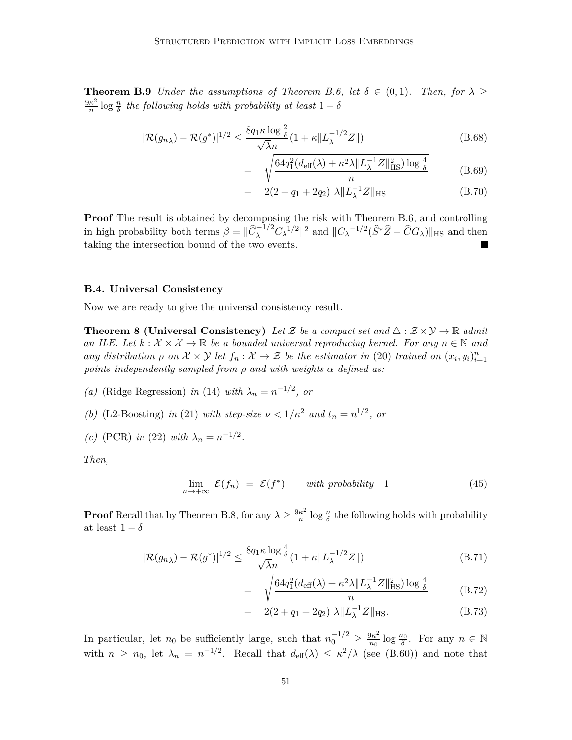**Theorem B.9** *Under the assumptions of [Theorem B.6,](#page-46-1) let*  $\delta \in (0,1)$ *. Then, for*  $\lambda \geq$ 9*κ* 2  $\frac{\kappa^2}{n}$  log  $\frac{n}{\delta}$  the following holds with probability at least 1 − *δ* 

$$
|\mathcal{R}(g_{n\lambda}) - \mathcal{R}(g^*)|^{1/2} \le \frac{8q_1 \kappa \log \frac{2}{\delta}}{\sqrt{\lambda}n} (1 + \kappa ||L_{\lambda}^{-1/2} Z||)
$$
(B.68)

$$
+ \sqrt{\frac{64q_1^2(d_{\text{eff}}(\lambda) + \kappa^2 \lambda \|L_{\lambda}^{-1}Z\|_{\text{HS}}^2) \log \frac{4}{\delta}}{n}} \tag{B.69}
$$

+ 
$$
2(2+q_1+2q_2) \lambda \|L_{\lambda}^{-1}Z\|_{\text{HS}}
$$
 (B.70)

**Proof** The result is obtained by decomposing the risk with [Theorem B.6,](#page-46-1) and controlling in high probability both terms  $\beta = ||\hat{C}_{\lambda}^{-1/2}C_{\lambda}^{-1/2}||^2$  and  $||C_{\lambda}^{-1/2}(\hat{S}^*\hat{Z} - \hat{C}G_{\lambda})||_{\text{HS}}$  and then taking the intersection bound of the two events.

#### **B.4. Universal Consistency**

Now we are ready to give the universal consistency result.

**Theorem 8 (Universal Consistency)** Let Z be a compact set and  $\triangle$  :  $\mathcal{Z} \times \mathcal{Y} \rightarrow \mathbb{R}$  admit *an ILE. Let*  $k : \mathcal{X} \times \mathcal{X} \to \mathbb{R}$  *be a bounded universal reproducing kernel. For any*  $n \in \mathbb{N}$  and *any distribution*  $\rho$  *on*  $\mathcal{X} \times \mathcal{Y}$  *let*  $f_n : \mathcal{X} \to \mathcal{Z}$  *be the estimator in* [\(20\)](#page-9-0) *trained on*  $(x_i, y_i)_{i=1}^n$ *points independently sampled from ρ and with weights α defined as:*

*(a)* (Ridge Regression) *in* [\(14\)](#page-6-3) *with*  $\lambda_n = n^{-1/2}$ , *or* 

- *(b)* (L2-Boosting) *in* [\(21\)](#page-9-2) *with step-size*  $\nu < 1/\kappa^2$  *and*  $t_n = n^{1/2}$ , *or*
- *(c)* (PCR) *in* [\(22\)](#page-10-1) *with*  $\lambda_n = n^{-1/2}$ .

*Then,*

$$
\lim_{n \to +\infty} \mathcal{E}(f_n) = \mathcal{E}(f^*) \qquad with \ probability \quad 1 \tag{45}
$$

**Proof** Recall that by [Theorem B.8,](#page-48-0) for any  $\lambda \geq \frac{9\kappa^2}{n}$  $\frac{\kappa^2}{n}$  log  $\frac{n}{\delta}$  the following holds with probability at least  $1 - \delta$ 

$$
|\mathcal{R}(g_{n\lambda}) - \mathcal{R}(g^*)|^{1/2} \le \frac{8q_1 \kappa \log \frac{4}{\delta}}{\sqrt{\lambda}n} (1 + \kappa \|L_{\lambda}^{-1/2} Z\|)
$$
(B.71)

$$
+ \sqrt{\frac{64q_1^2(d_{\text{eff}}(\lambda) + \kappa^2\lambda \|L_{\lambda}^{-1}Z\|_{\text{HS}}^2)\log\frac{4}{\delta}}{n}} \tag{B.72}
$$

+ 
$$
2(2+q_1+2q_2) \lambda ||L_{\lambda}^{-1}Z||_{\text{HS}}.
$$
 (B.73)

In particular, let  $n_0$  be sufficiently large, such that  $n_0^{-1/2} \geq \frac{9\kappa^2}{n_0}$  $\frac{\partial \kappa^2}{\partial n_0}$  log  $\frac{n_0}{\delta}$ . For any  $n \in \mathbb{N}$ with  $n \geq n_0$ , let  $\lambda_n = n^{-1/2}$ . Recall that  $d_{\text{eff}}(\lambda) \leq \kappa^2/\lambda$  (see [\(B.60\)\)](#page-49-0) and note that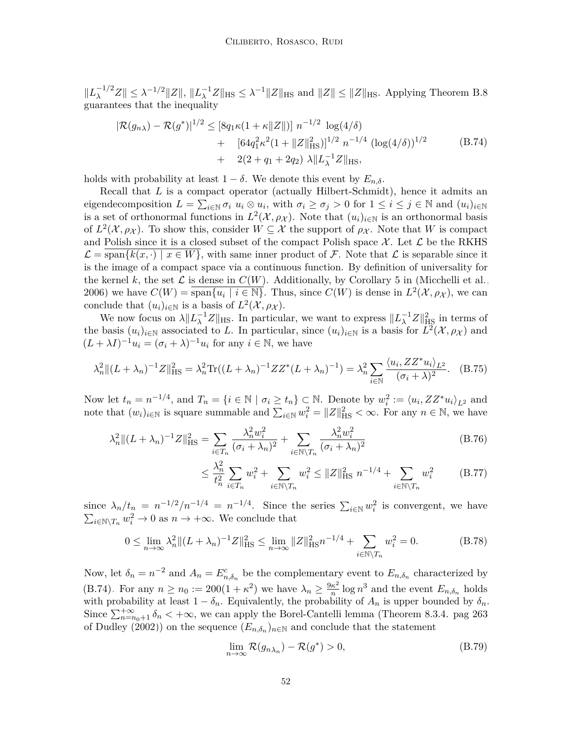$||L_{\lambda}^{-1/2}Z|| \leq \lambda^{-1/2}||Z||, ||L_{\lambda}^{-1}Z||_{\text{HS}} \leq \lambda^{-1}||Z||_{\text{HS}} \text{ and } ||Z|| \leq ||Z||_{\text{HS}}.$  Applying [Theorem B.8](#page-48-0) guarantees that the inequality

<span id="page-51-0"></span>
$$
|\mathcal{R}(g_{n\lambda}) - \mathcal{R}(g^*)|^{1/2} \leq [8q_1\kappa(1+\kappa||Z||)] n^{-1/2} \log(4/\delta)
$$
  
+ 
$$
[64q_1^2\kappa^2(1+||Z||_{\text{HS}}^2)]^{1/2} n^{-1/4} (\log(4/\delta))^{1/2}
$$
 (B.74)  
+ 
$$
2(2+q_1+2q_2) \lambda ||L_{\lambda}^{-1}Z||_{\text{HS}},
$$

holds with probability at least  $1 - \delta$ . We denote this event by  $E_{n,\delta}$ .

Recall that *L* is a compact operator (actually Hilbert-Schmidt), hence it admits an eigendecomposition  $L = \sum_{i \in \mathbb{N}} \sigma_i u_i \otimes u_i$ , with  $\sigma_i \ge \sigma_j > 0$  for  $1 \le i \le j \in \mathbb{N}$  and  $(u_i)_{i \in \mathbb{N}}$ is a set of orthonormal functions in  $L^2(\mathcal{X}, \rho_{\mathcal{X}})$ . Note that  $(u_i)_{i \in \mathbb{N}}$  is an orthonormal basis of  $L^2(\mathcal{X}, \rho_{\mathcal{X}})$ . To show this, consider  $W \subseteq \mathcal{X}$  the support of  $\rho_{\mathcal{X}}$ . Note that W is compact and Polish since it is a closed subset of the compact Polish space  $\mathcal X$ . Let  $\mathcal L$  be the RKHS  $\mathcal{L} = \text{span}\{k(x, \cdot) \mid x \in W\}$ , with same inner product of  $\mathcal{F}$ . Note that  $\mathcal{L}$  is separable since it is the image of a compact space via a continuous function. By definition of universality for the kernel k, the set  $\mathcal L$  is dense in  $C(W)$ . Additionally, by Corollary 5 in [\(Micchelli et al.,](#page-32-12) [2006\)](#page-32-12) we have  $C(W) = \overline{\text{span}\{u_i \mid i \in \mathbb{N}\}}$ . Thus, since  $C(W)$  is dense in  $L^2(\mathcal{X}, \rho_{\mathcal{X}})$ , we can conclude that  $(u_i)_{i \in \mathbb{N}}$  is a basis of  $L^2(\mathcal{X}, \rho_{\mathcal{X}})$ .

We now focus on  $\lambda \|L_{\lambda}^{-1}Z\|_{\text{HS}}$ . In particular, we want to express  $\|L_{\lambda}^{-1}Z\|_{\text{HS}}^2$  in terms of the basis  $(u_i)_{i\in\mathbb{N}}$  associated to *L*. In particular, since  $(u_i)_{i\in\mathbb{N}}$  is a basis for  $L^2(\mathcal{X}, \rho_{\mathcal{X}})$  and  $(L + \lambda I)^{-1}u_i = (\sigma_i + \lambda)^{-1}u_i$  for any  $i \in \mathbb{N}$ , we have

$$
\lambda_n^2 \|(L+\lambda_n)^{-1}Z\|_{\text{HS}}^2 = \lambda_n^2 \text{Tr}((L+\lambda_n)^{-1}ZZ^*(L+\lambda_n)^{-1}) = \lambda_n^2 \sum_{i \in \mathbb{N}} \frac{\langle u_i, ZZ^* u_i \rangle_{L^2}}{(\sigma_i + \lambda)^2}.
$$
 (B.75)

Now let  $t_n = n^{-1/4}$ , and  $T_n = \{i \in \mathbb{N} \mid \sigma_i \ge t_n\} \subset \mathbb{N}$ . Denote by  $w_i^2 := \langle u_i, ZZ^* u_i \rangle_{L^2}$  and note that  $(w_i)_{i\in\mathbb{N}}$  is square summable and  $\sum_{i\in\mathbb{N}} w_i^2 = ||Z||_{\text{HS}}^2 < \infty$ . For any  $n \in \mathbb{N}$ , we have

$$
\lambda_n^2 \| (L + \lambda_n)^{-1} Z \|_{\text{HS}}^2 = \sum_{i \in T_n} \frac{\lambda_n^2 w_i^2}{(\sigma_i + \lambda_n)^2} + \sum_{i \in \mathbb{N} \setminus T_n} \frac{\lambda_n^2 w_i^2}{(\sigma_i + \lambda_n)^2}
$$
(B.76)

$$
\leq \frac{\lambda_n^2}{t_n^2} \sum_{i \in T_n} w_i^2 + \sum_{i \in \mathbb{N} \setminus T_n} w_i^2 \leq \|Z\|_{\text{HS}}^2 n^{-1/4} + \sum_{i \in \mathbb{N} \setminus T_n} w_i^2 \tag{B.77}
$$

since  $\lambda_n/t_n = n^{-1/2}/n^{-1/4} = n^{-1/4}$ . Since the series  $\sum_{i\in\mathbb{N}} w_i^2$  is convergent, we have  $\sum_{i \in \mathbb{N} \setminus T_n} w_i^2 \to 0$  as  $n \to +\infty$ . We conclude that

$$
0 \le \lim_{n \to \infty} \lambda_n^2 \| (L + \lambda_n)^{-1} Z \|_{\text{HS}}^2 \le \lim_{n \to \infty} \| Z \|_{\text{HS}}^2 n^{-1/4} + \sum_{i \in \mathbb{N} \setminus T_n} w_i^2 = 0. \tag{B.78}
$$

Now, let  $\delta_n = n^{-2}$  and  $A_n = E_{n,\delta_n}^c$  be the complementary event to  $E_{n,\delta_n}$  characterized by [\(B.74\).](#page-51-0) For any  $n \ge n_0 := 200(1 + \kappa^2)$  we have  $\lambda_n \ge \frac{9\kappa^2}{n}$  $\frac{\kappa^2}{n}$  log  $n^3$  and the event  $E_{n,\delta_n}$  holds with probability at least  $1 - \delta_n$ . Equivalently, the probability of  $A_n$  is upper bounded by  $\delta_n$ Since  $\sum_{n=n_0+1}^{+\infty} \delta_n < +\infty$ , we can apply the Borel-Cantelli lemma (Theorem 8.3.4. pag 263 of [Dudley](#page-31-12) [\(2002\)](#page-31-12)) on the sequence  $(E_{n,\delta_n})_{n\in\mathbb{N}}$  and conclude that the statement

$$
\lim_{n \to \infty} \mathcal{R}(g_{n\lambda_n}) - \mathcal{R}(g^*) > 0,
$$
\n(B.79)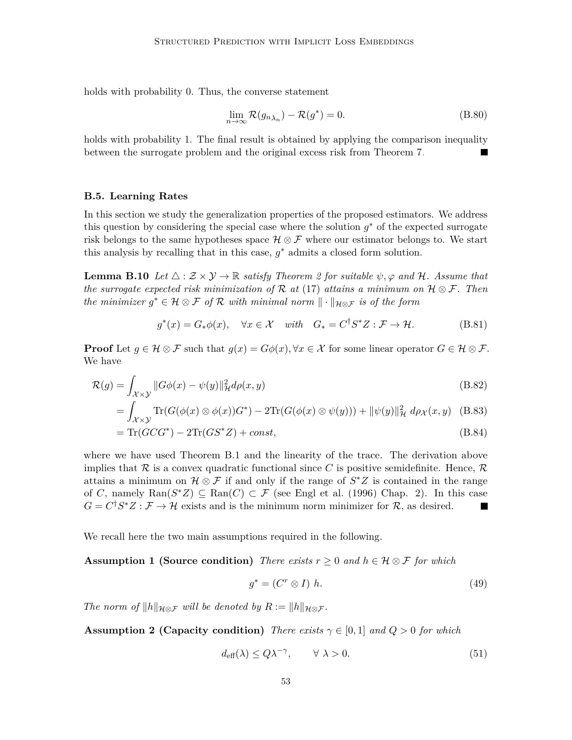holds with probability 0. Thus, the converse statement

$$
\lim_{n \to \infty} \mathcal{R}(g_{n\lambda_n}) - \mathcal{R}(g^*) = 0.
$$
\n(B.80)

holds with probability 1. The final result is obtained by applying the comparison inequality between the surrogate problem and the original excess risk from [Theorem 7.](#page-18-1)

#### **B.5. Learning Rates**

In this section we study the generalization properties of the proposed estimators. We address this question by considering the special case where the solution  $g^*$  of the expected surrogate risk belongs to the same hypotheses space  $\mathcal{H} \otimes \mathcal{F}$  where our estimator belongs to. We start this analysis by recalling that in this case, *g* <sup>∗</sup> admits a closed form solution.

**Lemma B.10** *Let*  $\triangle$  :  $\mathcal{Z} \times \mathcal{Y} \rightarrow \mathbb{R}$  *satisfy [Theorem 2](#page-7-2) for suitable*  $\psi$ ,  $\varphi$  *and* H. Assume that *the surrogate expected risk minimization of* R *at* [\(17\)](#page-7-4) *attains a minimum on* H ⊗ F*. Then the minimizer*  $g^* \in \mathcal{H} \otimes \mathcal{F}$  *of*  $\mathcal{R}$  *with minimal norm*  $\|\cdot\|_{\mathcal{H} \otimes \mathcal{F}}$  *is of the form* 

$$
g^*(x) = G_*\phi(x), \quad \forall x \in \mathcal{X} \quad with \quad G_* = C^{\dagger}S^*Z : \mathcal{F} \to \mathcal{H}. \tag{B.81}
$$

**Proof** Let  $g \in \mathcal{H} \otimes \mathcal{F}$  such that  $g(x) = G\phi(x), \forall x \in \mathcal{X}$  for some linear operator  $G \in \mathcal{H} \otimes \mathcal{F}$ . We have

$$
\mathcal{R}(g) = \int_{\mathcal{X} \times \mathcal{Y}} \|G\phi(x) - \psi(y)\|_{\mathcal{H}}^2 d\rho(x, y)
$$
\n(B.82)

$$
= \int_{\mathcal{X}\times\mathcal{Y}} \text{Tr}(G(\phi(x)\otimes\phi(x))G^*) - 2\text{Tr}(G(\phi(x)\otimes\psi(y))) + ||\psi(y)||_{\mathcal{H}}^2 d\rho_{\mathcal{X}}(x,y) \quad \text{(B.83)}
$$

$$
= \text{Tr}(GCG^*) - 2\text{Tr}(GS^*Z) + const,
$$
\n(B.84)

where we have used [Theorem B.1](#page-43-0) and the linearity of the trace. The derivation above implies that R is a convex quadratic functional since C is positive semidefinite. Hence,  $\mathcal{R}$ attains a minimum on  $\mathcal{H} \otimes \mathcal{F}$  if and only if the range of  $S^*Z$  is contained in the range of *C*, namely  $\text{Ran}(S^*Z) \subseteq \text{Ran}(C) \subset \mathcal{F}$  (see [Engl et al.](#page-31-13) [\(1996\)](#page-31-13) Chap. 2). In this case  $G = C^{\dagger} S^* Z : \mathcal{F} \to \mathcal{H}$  exists and is the minimum norm minimizer for  $\mathcal{R}$ , as desired.

We recall here the two main assumptions required in the following.

**Assumption 1 (Source condition)** *There exists*  $r \geq 0$  *and*  $h \in \mathcal{H} \otimes \mathcal{F}$  *for which* 

$$
g^* = (C^r \otimes I) \; h. \tag{49}
$$

*The norm of*  $||h||_{\mathcal{H} \otimes \mathcal{F}}$  *will be denoted by*  $R := ||h||_{\mathcal{H} \otimes \mathcal{F}}$ *.* 

**Assumption 2 (Capacity condition)** *There exists*  $\gamma \in [0,1]$  *and*  $Q > 0$  *for which* 

$$
d_{\text{eff}}(\lambda) \le Q\lambda^{-\gamma}, \qquad \forall \ \lambda > 0. \tag{51}
$$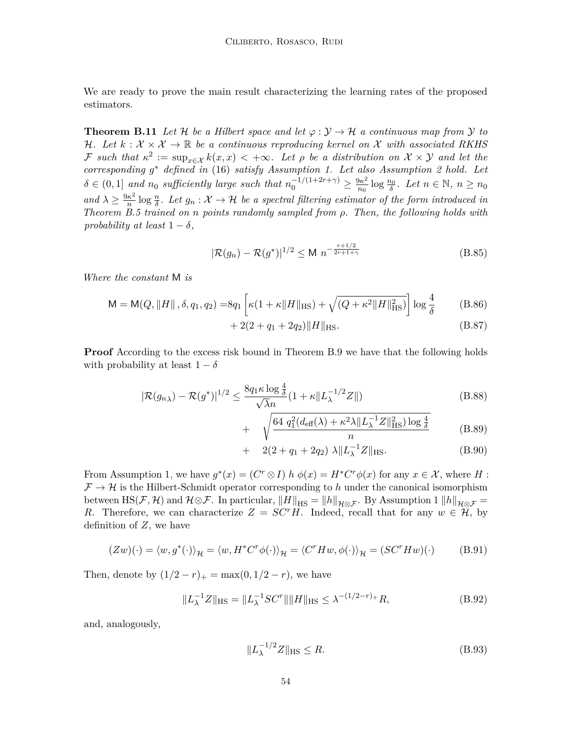<span id="page-53-0"></span>We are ready to prove the main result characterizing the learning rates of the proposed estimators.

**Theorem B.11** Let H be a Hilbert space and let  $\varphi : \mathcal{Y} \to \mathcal{H}$  a continuous map from  $\mathcal{Y}$  to H<sub>r</sub>. Let  $k : \mathcal{X} \times \mathcal{X} \to \mathbb{R}$  be a continuous reproducing kernel on X with associated RKHS  $\mathcal{F}$  such that  $\kappa^2 := \sup_{x \in \mathcal{X}} k(x,x) < +\infty$ . Let  $\rho$  be a distribution on  $\mathcal{X} \times \mathcal{Y}$  and let the *corresponding g* <sup>∗</sup> *defined in* [\(16\)](#page-7-3) *satisfy [Assumption 1.](#page-21-2) Let also [Assumption 2](#page-22-1) hold. Let*  $\delta \in (0,1]$  *and*  $n_0$  *sufficiently large such that*  $n_0^{-1/(1+2r+\gamma)} \geq \frac{9\kappa^2}{n_0}$  $\frac{\partial \kappa^2}{n_0} \log \frac{n_0}{\delta}$ . Let  $n \in \mathbb{N}$ ,  $n \geq n_0$ *and*  $\lambda \geq \frac{9\kappa^2}{n}$  $\frac{\kappa^2}{n}$  log  $\frac{n}{\delta}$ . Let  $g_n : \mathcal{X} \to \mathcal{H}$  be a spectral filtering estimator of the form introduced in *[Theorem B.5](#page-46-0) trained on n points randomly sampled from ρ. Then, the following holds with probability at least*  $1 - \delta$ *,* 

$$
|\mathcal{R}(g_n) - \mathcal{R}(g^*)|^{1/2} \le M \ n^{-\frac{r+1/2}{2r+1+\gamma}}
$$
 (B.85)

*Where the constant* M *is*

$$
M = M(Q, ||H||, \delta, q_1, q_2) = 8q_1 \left[ \kappa (1 + \kappa ||H||_{HS}) + \sqrt{(Q + \kappa^2 ||H||_{HS}^2)} \right] \log \frac{4}{\delta}
$$
 (B.86)

$$
+ 2(2 + q_1 + 2q_2)||H||_{\text{HS}}.\tag{B.87}
$$

**Proof** According to the excess risk bound in [Theorem B.9](#page-49-1) we have that the following holds with probability at least  $1 - \delta$ 

 $+$ 

$$
|\mathcal{R}(g_{n\lambda}) - \mathcal{R}(g^*)|^{1/2} \le \frac{8q_1 \kappa \log \frac{4}{\delta}}{\sqrt{\lambda}n} (1 + \kappa ||L_{\lambda}^{-1/2} Z||)
$$
(B.88)

$$
\sqrt{\frac{64\ q_1^2(d_{\text{eff}}(\lambda) + \kappa^2 \lambda \|L_{\lambda}^{-1}Z\|_{\text{HS}}^2)\log\frac{4}{\delta}}{n}}\tag{B.89}
$$

+ 
$$
2(2+q_1+2q_2) \lambda \|L_{\lambda}^{-1}Z\|_{\text{HS}}.
$$
 (B.90)

From [Assumption 1,](#page-21-2) we have  $g^*(x) = (C^r \otimes I) h \phi(x) = H^* C^r \phi(x)$  for any  $x \in \mathcal{X}$ , where *H*:  $\mathcal{F} \to \mathcal{H}$  is the Hilbert-Schmidt operator corresponding to h under the canonical isomorphism between HS(F, H) and  $\mathcal{H} \otimes \mathcal{F}$ . In particular,  $||H||_{\text{HS}} = ||h||_{\mathcal{H} \otimes \mathcal{F}}$ . By [Assumption 1](#page-21-2)  $||h||_{\mathcal{H} \otimes \mathcal{F}} =$ *R*. Therefore, we can characterize  $Z = SC<sup>r</sup>H$ . Indeed, recall that for any  $w \in H$ , by definition of *Z*, we have

$$
(Zw)(\cdot) = \langle w, g^*(\cdot) \rangle_{\mathcal{H}} = \langle w, H^*C^r \phi(\cdot) \rangle_{\mathcal{H}} = \langle C^r H w, \phi(\cdot) \rangle_{\mathcal{H}} = (SC^r H w)(\cdot) \tag{B.91}
$$

Then, denote by  $(1/2 - r)_{+} = \max(0, 1/2 - r)$ , we have

$$
||L_{\lambda}^{-1}Z||_{\text{HS}} = ||L_{\lambda}^{-1}SC^{r}|| ||H||_{\text{HS}} \leq \lambda^{-(1/2-r)+}R,
$$
\n(B.92)

and, analogously,

$$
||L_{\lambda}^{-1/2}Z||_{\text{HS}} \le R. \tag{B.93}
$$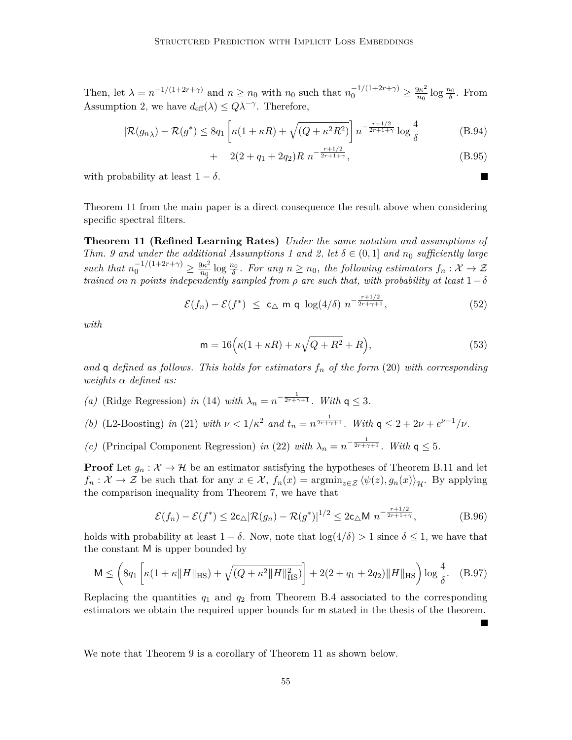Then, let  $\lambda = n^{-1/(1+2r+\gamma)}$  and  $n \geq n_0$  with  $n_0$  such that  $n_0^{-1/(1+2r+\gamma)} \geq \frac{9\kappa^2}{n_0}$  $\frac{\partial \kappa^2}{n_0} \log \frac{n_0}{\delta}$ . From [Assumption 2,](#page-22-1) we have  $d_{\text{eff}}(\lambda) \leq Q\lambda^{-\gamma}$ . Therefore,

$$
|\mathcal{R}(g_{n\lambda}) - \mathcal{R}(g^*)| \le 8q_1 \left[ \kappa (1 + \kappa R) + \sqrt{(Q + \kappa^2 R^2)} \right] n^{-\frac{r + 1/2}{2r + 1 + \gamma}} \log \frac{4}{\delta}
$$
 (B.94)

$$
+ \quad 2(2+q_1+2q_2)R \; n^{-\frac{r+1/2}{2r+1+\gamma}}, \tag{B.95}
$$

 $\blacksquare$ 

**In the Second State** 

with probability at least  $1 - \delta$ .

[Theorem 11](#page-22-0) from the main paper is a direct consequence the result above when considering specific spectral filters.

**Theorem 11 (Refined Learning Rates)** *Under the same notation and assumptions of Thm.* 9 and under the additional [Assumptions 1](#page-21-2) and [2,](#page-22-1) let  $\delta \in (0,1]$  and  $n_0$  sufficiently large *such that*  $n_0^{-1/(1+2r+\gamma)} \geq \frac{9\kappa^2}{n_0}$  $\frac{\partial \kappa^2}{\partial n_0}$  log  $\frac{n_0}{\delta}$ . For any  $n \geq n_0$ , the following estimators  $f_n : \mathcal{X} \to \mathcal{Z}$ *trained on n points independently sampled from ρ are such that, with probability at least* 1−*δ*

$$
\mathcal{E}(f_n) - \mathcal{E}(f^*) \leq c_\triangle \text{ m q } \log(4/\delta) n^{-\frac{r+1/2}{2r+\gamma+1}}, \tag{52}
$$

*with*

$$
\mathsf{m} = 16\Big(\kappa(1+\kappa R) + \kappa\sqrt{Q+R^2} + R\Big),\tag{53}
$$

*and* q *defined as follows. This holds for estimators f<sup>n</sup> of the form* [\(20\)](#page-9-0) *with corresponding weights α defined as:*

*(a)* (Ridge Regression) *in* [\(14\)](#page-6-3) *with*  $\lambda_n = n^{-\frac{1}{2r + \gamma + 1}}$ *. With*  $q \leq 3$ *.* 

(b) (L2-Boosting) in (21) with 
$$
\nu < 1/\kappa^2
$$
 and  $t_n = n^{\frac{1}{2r + \gamma + 1}}$ . With  $\mathsf{q} \leq 2 + 2\nu + e^{\nu - 1}/\nu$ .

*(c)* (Principal Component Regression) *in* [\(22\)](#page-10-1) *with*  $\lambda_n = n^{-\frac{1}{2r + \gamma + 1}}$ *. With*  $\mathsf{q} \leq 5$ *.* 

**Proof** Let  $g_n : \mathcal{X} \to \mathcal{H}$  be an estimator satisfying the hypotheses of [Theorem B.11](#page-53-0) and let  $f_n: \mathcal{X} \to \mathcal{Z}$  be such that for any  $x \in \mathcal{X}$ ,  $f_n(x) = \operatorname{argmin}_{z \in \mathcal{Z}} \langle \psi(z), g_n(x) \rangle_{\mathcal{H}}$ . By applying the comparison inequality from [Theorem 7,](#page-18-1) we have that

$$
\mathcal{E}(f_n) - \mathcal{E}(f^*) \le 2c_{\triangle} |\mathcal{R}(g_n) - \mathcal{R}(g^*)|^{1/2} \le 2c_{\triangle} M n^{-\frac{r+1/2}{2r+1+\gamma}},
$$
 (B.96)

holds with probability at least  $1 - \delta$ . Now, note that  $\log(4/\delta) > 1$  since  $\delta \leq 1$ , we have that the constant M is upper bounded by

$$
\mathsf{M} \le \left( 8q_1 \left[ \kappa (1 + \kappa \|H\|_{\mathrm{HS}}) + \sqrt{(Q + \kappa^2 \|H\|_{\mathrm{HS}}^2)} \right] + 2(2 + q_1 + 2q_2) \|H\|_{\mathrm{HS}} \right) \log \frac{4}{\delta}. \quad \text{(B.97)}
$$

Replacing the quantities  $q_1$  and  $q_2$  from [Theorem B.4](#page-44-0) associated to the corresponding estimators we obtain the required upper bounds for m stated in the thesis of the theorem.

We note that [Theorem 9](#page-20-1) is a corollary of [Theorem 11](#page-22-0) as shown below.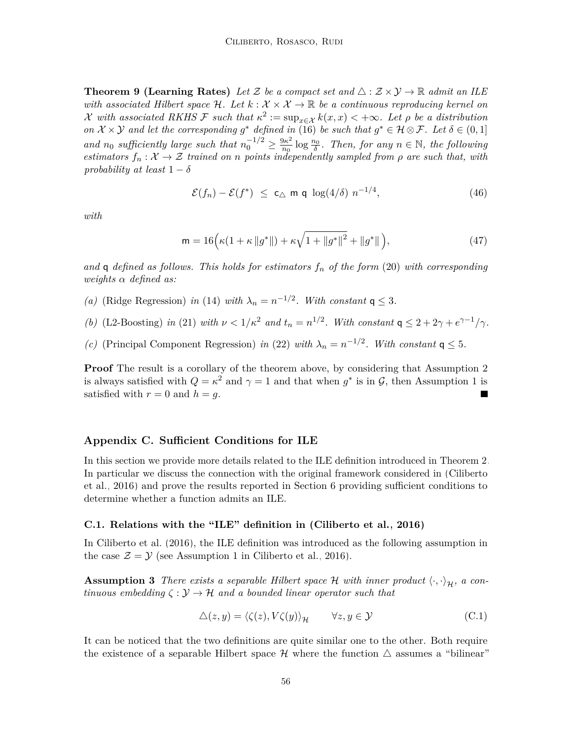**Theorem 9 (Learning Rates)** Let Z be a compact set and  $\triangle$  :  $\mathcal{Z} \times \mathcal{Y} \rightarrow \mathbb{R}$  admit an ILE *with associated Hilbert space* H. Let  $k : \mathcal{X} \times \mathcal{X} \to \mathbb{R}$  *be a continuous reproducing kernel on* X with associated RKHS F such that  $\kappa^2 := \sup_{x \in \mathcal{X}} k(x, x) < +\infty$ . Let  $\rho$  be a distribution *on*  $\mathcal{X} \times \mathcal{Y}$  *and let the corresponding*  $g^*$  *defined in* [\(16\)](#page-7-3) *be such that*  $g^* \in \mathcal{H} \otimes \mathcal{F}$ *. Let*  $\delta \in (0,1]$ *and n*<sup>0</sup> *sufficiently large such that*  $n_0^{-1/2} \ge \frac{9\kappa^2}{n_0}$  $\frac{\partial \kappa^2}{\partial n_0}$  log  $\frac{n_0}{\delta}$ . Then, for any  $n \in \mathbb{N}$ , the following *estimators*  $f_n: \mathcal{X} \to \mathcal{Z}$  *trained on n points independently sampled from*  $\rho$  *are such that, with probability at least*  $1 - \delta$ 

$$
\mathcal{E}(f_n) - \mathcal{E}(f^*) \leq c_\triangle \text{ m q } \log(4/\delta) n^{-1/4}, \tag{46}
$$

*with*

$$
\mathsf{m} = 16 \Big( \kappa (1 + \kappa \left\| g^* \right\|) + \kappa \sqrt{1 + \left\| g^* \right\|^2} + \left\| g^* \right\| \Big), \tag{47}
$$

*and* q *defined as follows. This holds for estimators f<sup>n</sup> of the form* [\(20\)](#page-9-0) *with corresponding weights α defined as:*

- *(a)* (Ridge Regression) *in* [\(14\)](#page-6-3) *with*  $\lambda_n = n^{-1/2}$ *. With constant*  $q \leq 3$ *.*
- *(b)* (L2-Boosting) *in* [\(21\)](#page-9-2) *with*  $\nu < 1/\kappa^2$  *and*  $t_n = n^{1/2}$ *. With constant*  $q \leq 2 + 2\gamma + e^{\gamma 1}/\gamma$ *.*
- *(c)* (Principal Component Regression) *in* [\(22\)](#page-10-1) *with*  $\lambda_n = n^{-1/2}$ *. With constant*  $q \leq 5$ *.*

**Proof** The result is a corollary of the theorem above, by considering that [Assumption 2](#page-22-1) is always satisfied with  $Q = \kappa^2$  and  $\gamma = 1$  and that when  $g^*$  is in  $\mathcal{G}$ , then [Assumption 1](#page-21-2) is satisfied with  $r = 0$  and  $h = g$ .

#### <span id="page-55-0"></span>**Appendix C. Sufficient Conditions for ILE**

In this section we provide more details related to the ILE definition introduced in [Theorem 2.](#page-7-2) In particular we discuss the connection with the original framework considered in [\(Ciliberto](#page-30-3) [et al., 2016\)](#page-30-3) and prove the results reported in [Section 6](#page-24-0) providing sufficient conditions to determine whether a function admits an ILE.

#### **C.1. Relations with the "ILE" definition in [\(Ciliberto et al., 2016\)](#page-30-3)**

In [Ciliberto et al.](#page-30-3) [\(2016\)](#page-30-3), the ILE definition was introduced as the following assumption in the case  $\mathcal{Z} = \mathcal{Y}$  (see Assumption 1 in [Ciliberto et al., 2016\)](#page-30-3).

<span id="page-55-1"></span>**Assumption 3** *There exists a separable Hilbert space*  $H$  *with inner product*  $\langle \cdot, \cdot \rangle_H$ *, a continuous embedding*  $\zeta : \mathcal{Y} \to \mathcal{H}$  *and a bounded linear operator such that* 

$$
\Delta(z, y) = \langle \zeta(z), V\zeta(y) \rangle_{\mathcal{H}} \qquad \forall z, y \in \mathcal{Y}
$$
\n(C.1)

It can be noticed that the two definitions are quite similar one to the other. Both require the existence of a separable Hilbert space  $\mathcal H$  where the function  $\triangle$  assumes a "bilinear"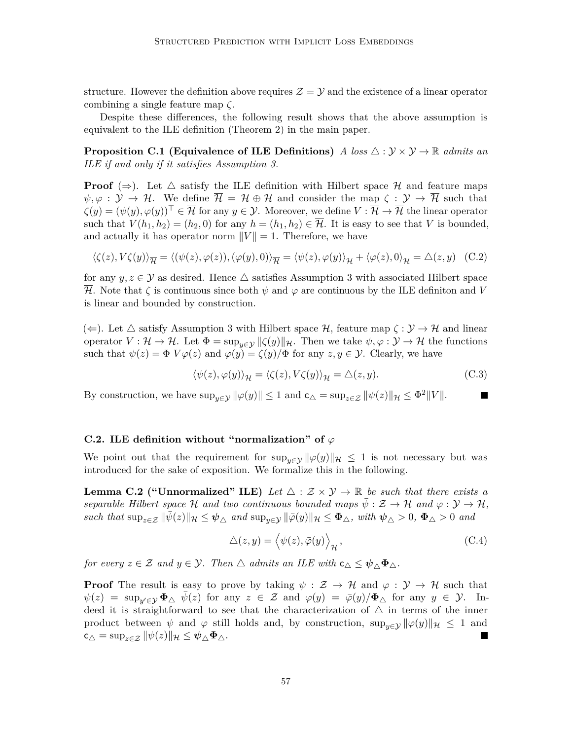structure. However the definition above requires  $\mathcal{Z} = \mathcal{Y}$  and the existence of a linear operator combining a single feature map *ζ*.

Despite these differences, the following result shows that the above assumption is equivalent to the ILE definition [\(Theorem 2\)](#page-7-2) in the main paper.

<span id="page-56-1"></span>**Proposition C.1 (Equivalence of ILE Definitions)** *A loss*  $\triangle$  :  $\mathcal{Y} \times \mathcal{Y} \rightarrow \mathbb{R}$  *admits an ILE if and only if it satisfies [Assumption 3.](#page-55-1)*

**Proof** ( $\Rightarrow$ ). Let  $\triangle$  satisfy the ILE definition with Hilbert space H and feature maps  $\psi, \varphi : \mathcal{Y} \to \mathcal{H}$ . We define  $\overline{\mathcal{H}} = \mathcal{H} \oplus \mathcal{H}$  and consider the map  $\zeta : \mathcal{Y} \to \overline{\mathcal{H}}$  such that  $\zeta(y) = (\psi(y), \varphi(y))^\top \in \overline{\mathcal{H}}$  for any  $y \in \mathcal{Y}$ . Moreover, we define  $V : \overline{\mathcal{H}} \to \overline{\mathcal{H}}$  the linear operator such that  $V(h_1, h_2) = (h_2, 0)$  for any  $h = (h_1, h_2) \in \overline{\mathcal{H}}$ . It is easy to see that *V* is bounded, and actually it has operator norm  $||V|| = 1$ . Therefore, we have

$$
\langle \zeta(z), V\zeta(y) \rangle_{\overline{\mathcal{H}}} = \langle (\psi(z), \varphi(z)), (\varphi(y), 0) \rangle_{\overline{\mathcal{H}}} = \langle \psi(z), \varphi(y) \rangle_{\mathcal{H}} + \langle \varphi(z), 0 \rangle_{\mathcal{H}} = \Delta(z, y) \quad \text{(C.2)}
$$

for any  $y, z \in \mathcal{Y}$  as desired. Hence  $\triangle$  satisfies [Assumption 3](#page-55-1) with associated Hilbert space H. Note that *ζ* is continuous since both *ψ* and *ϕ* are continuous by the ILE definiton and *V* is linear and bounded by construction.

( $\Leftarrow$ ). Let  $\triangle$  satisfy [Assumption 3](#page-55-1) with Hilbert space H, feature map  $\zeta : \mathcal{Y} \to \mathcal{H}$  and linear operator  $V : \mathcal{H} \to \mathcal{H}$ . Let  $\Phi = \sup_{y \in \mathcal{Y}} ||\zeta(y)||_{\mathcal{H}}$ . Then we take  $\psi, \varphi : \mathcal{Y} \to \mathcal{H}$  the functions such that  $\psi(z) = \Phi V \varphi(z)$  and  $\varphi(y) = \zeta(y)/\Phi$  for any  $z, y \in \mathcal{Y}$ . Clearly, we have

$$
\langle \psi(z), \varphi(y) \rangle_{\mathcal{H}} = \langle \zeta(z), V\zeta(y) \rangle_{\mathcal{H}} = \triangle(z, y). \tag{C.3}
$$

By construction, we have  $\sup_{y \in \mathcal{Y}} ||\varphi(y)|| \leq 1$  and  $\mathsf{c}_{\triangle} = \sup_{z \in \mathcal{Z}} ||\psi(z)||_{\mathcal{H}} \leq \Phi^2 ||V||$ .

#### **C.2.** ILE definition without "normalization" of  $\varphi$

We point out that the requirement for  $\sup_{y\in\mathcal{Y}} \|\varphi(y)\|_{\mathcal{H}} \leq 1$  is not necessary but was introduced for the sake of exposition. We formalize this in the following.

<span id="page-56-0"></span>**Lemma C.2 ("Unnormalized" ILE)** Let  $\triangle$  :  $\mathcal{Z} \times \mathcal{Y} \rightarrow \mathbb{R}$  be such that there exists a *separable Hilbert space* H *and two continuous bounded maps*  $\psi : \mathcal{Z} \to \mathcal{H}$  *and*  $\bar{\varphi} : \mathcal{Y} \to \mathcal{H}$ ,  $\int$ *such that*  $\sup_{z \in \mathcal{Z}} \|\bar{\psi}(z)\|_{\mathcal{H}} \leq \psi_{\Delta}$  *and*  $\sup_{y \in \mathcal{Y}} \|\bar{\varphi}(y)\|_{\mathcal{H}} \leq \Phi_{\Delta}$ *, with*  $\psi_{\Delta} > 0$ ,  $\Phi_{\Delta} > 0$  *and* 

$$
\Delta(z, y) = \left\langle \bar{\psi}(z), \bar{\varphi}(y) \right\rangle_{\mathcal{H}},\tag{C.4}
$$

*for every*  $z \in \mathcal{Z}$  *and*  $y \in \mathcal{Y}$ *. Then*  $\triangle$  *admits an ILE with*  $c_{\triangle} \leq \psi_{\triangle} \Phi_{\triangle}$ *.* 

**Proof** The result is easy to prove by taking  $\psi : \mathcal{Z} \to \mathcal{H}$  and  $\varphi : \mathcal{Y} \to \mathcal{H}$  such that  $\psi(z) = \sup_{y' \in \mathcal{Y}} \Phi_{\triangle} \bar{\psi}(z)$  for any  $z \in \mathcal{Z}$  and  $\varphi(y) = \bar{\varphi}(y)/\Phi_{\triangle}$  for any  $y \in \mathcal{Y}$ . Indeed it is straightforward to see that the characterization of  $\Delta$  in terms of the inner product between  $\psi$  and  $\varphi$  still holds and, by construction,  $\sup_{u\in\mathcal{V}} ||\varphi(y)||_{\mathcal{H}} \leq 1$  and  $c_{\triangle} = \sup_{z \in \mathcal{Z}} ||\psi(z)||_{\mathcal{H}} \leq \psi_{\triangle} \Phi_{\triangle}.$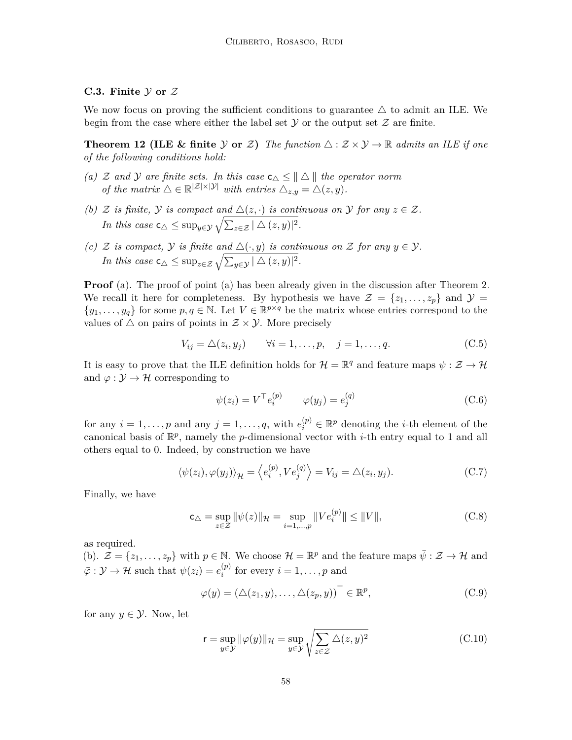# C.3. Finite  $\mathcal Y$  or  $\mathcal Z$

We now focus on proving the sufficient conditions to guarantee  $\triangle$  to admit an ILE. We begin from the case where either the label set  $Y$  or the output set  $Z$  are finite.

**Theorem 12 (ILE & finite** Y or Z) The function  $\triangle$  :  $\mathcal{Z} \times \mathcal{Y} \rightarrow \mathbb{R}$  admits an ILE if one *of the following conditions hold:*

- *(a)*  $\mathcal Z$  *and*  $\mathcal Y$  *are finite sets. In this case*  $c_{\triangle} \leq || \triangle ||$  *the operator norm of the matrix*  $\triangle \in \mathbb{R}^{|\mathcal{Z}| \times |\mathcal{Y}|}$  *with entries*  $\triangle_{z,y} = \triangle(z, y)$ *.*
- *(b)*  $\mathcal{Z}$  *is finite,*  $\mathcal{Y}$  *is compact and*  $\Delta(z, \cdot)$  *is continuous on*  $\mathcal{Y}$  *for any*  $z \in \mathcal{Z}$ *. In this case*  $\mathsf{c}_{\triangle} \leq \sup_{y \in \mathcal{Y}} \sqrt{\sum_{z \in \mathcal{Z}} |\triangle(z, y)|^2}$ .
- *(c)* Z *is compact,*  $\mathcal{Y}$  *is finite and*  $\Delta(\cdot, y)$  *is continuous on* Z *for any*  $y \in \mathcal{Y}$ *. In this case*  $\mathsf{c}_{\triangle} \leq \sup_{z \in \mathcal{Z}} \sqrt{\sum_{y \in \mathcal{Y}} |\triangle(z, y)|^2}$ .

**Proof** (a). The proof of point (a) has been already given in the discussion after [Theorem 2.](#page-7-2) We recall it here for completeness. By hypothesis we have  $\mathcal{Z} = \{z_1, \ldots, z_p\}$  and  $\mathcal{Y} =$  $\{y_1, \ldots, y_q\}$  for some  $p, q \in \mathbb{N}$ . Let  $V \in \mathbb{R}^{p \times q}$  be the matrix whose entries correspond to the values of  $\triangle$  on pairs of points in  $\mathcal{Z} \times \mathcal{Y}$ . More precisely

$$
V_{ij} = \triangle(z_i, y_j) \qquad \forall i = 1, \dots, p, \quad j = 1, \dots, q.
$$
 (C.5)

It is easy to prove that the ILE definition holds for  $\mathcal{H} = \mathbb{R}^q$  and feature maps  $\psi : \mathcal{Z} \to \mathcal{H}$ and  $\varphi : \mathcal{Y} \to \mathcal{H}$  corresponding to

$$
\psi(z_i) = V^\top e_i^{(p)} \qquad \varphi(y_j) = e_j^{(q)} \tag{C.6}
$$

for any  $i = 1, \ldots, p$  and any  $j = 1, \ldots, q$ , with  $e_i^{(p)} \in \mathbb{R}^p$  denoting the *i*-th element of the canonical basis of R *p* , namely the *p*-dimensional vector with *i*-th entry equal to 1 and all others equal to 0. Indeed, by construction we have

$$
\langle \psi(z_i), \varphi(y_j) \rangle_{\mathcal{H}} = \langle e_i^{(p)}, V e_j^{(q)} \rangle = V_{ij} = \Delta(z_i, y_j). \tag{C.7}
$$

Finally, we have

$$
c_{\triangle} = \sup_{z \in \mathcal{Z}} \|\psi(z)\|_{\mathcal{H}} = \sup_{i=1,\dots,p} \|Ve_i^{(p)}\| \le \|V\|,\tag{C.8}
$$

as required.

(b).  $\mathcal{Z} = \{z_1, \ldots, z_p\}$  with  $p \in \mathbb{N}$ . We choose  $\mathcal{H} = \mathbb{R}^p$  and the feature maps  $\bar{\psi}: \mathcal{Z} \to \mathcal{H}$  and  $\bar{\varphi}: \mathcal{Y} \to \mathcal{H}$  such that  $\psi(z_i) = e_i^{(p)}$  $i^{(p)}$  for every  $i = 1, \ldots, p$  and

$$
\varphi(y) = (\triangle(z_1, y), \dots, \triangle(z_p, y))^\top \in \mathbb{R}^p,
$$
\n(C.9)

for any  $y \in \mathcal{Y}$ . Now, let

$$
\mathbf{r} = \sup_{y \in \mathcal{Y}} \|\varphi(y)\|_{\mathcal{H}} = \sup_{y \in \mathcal{Y}} \sqrt{\sum_{z \in \mathcal{Z}} \Delta(z, y)^2}
$$
(C.10)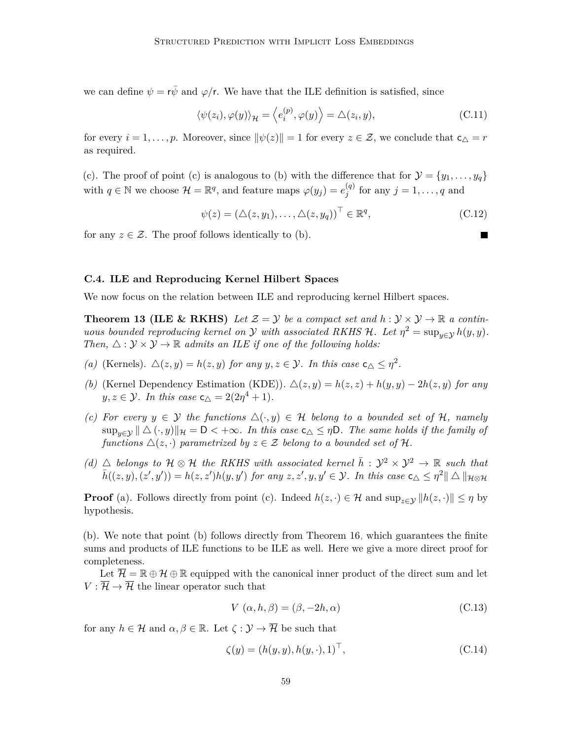we can define  $\psi = r\bar{\psi}$  and  $\varphi/r$ . We have that the ILE definition is satisfied, since

$$
\langle \psi(z_i), \varphi(y) \rangle_{\mathcal{H}} = \langle e_i^{(p)}, \varphi(y) \rangle = \Delta(z_i, y), \tag{C.11}
$$

for every  $i = 1, \ldots, p$ . Moreover, since  $\|\psi(z)\| = 1$  for every  $z \in \mathcal{Z}$ , we conclude that  $c_{\Delta} = r$ as required.

(c). The proof of point (c) is analogous to (b) with the difference that for  $\mathcal{Y} = \{y_1, \ldots, y_q\}$ with  $q \in \mathbb{N}$  we choose  $\mathcal{H} = \mathbb{R}^q$ , and feature maps  $\varphi(y_j) = e_j^{(q)}$  $j^{(q)}$  for any  $j = 1, \ldots, q$  and

$$
\psi(z) = (\triangle(z, y_1), \dots, \triangle(z, y_q))^\top \in \mathbb{R}^q,
$$
\n(C.12)

for any  $z \in \mathcal{Z}$ . The proof follows identically to (b).

#### **C.4. ILE and Reproducing Kernel Hilbert Spaces**

We now focus on the relation between ILE and reproducing kernel Hilbert spaces.

**Theorem 13 (ILE & RKHS)** Let  $\mathcal{Z} = \mathcal{Y}$  be a compact set and  $h : \mathcal{Y} \times \mathcal{Y} \to \mathbb{R}$  a contin*uous bounded reproducing kernel on*  $\mathcal Y$  *with associated RKHS*  $\mathcal H$ *. Let*  $\eta^2 = \sup_{y \in \mathcal Y} h(y, y)$ *. Then,*  $\triangle$ :  $\mathcal{Y} \times \mathcal{Y} \rightarrow \mathbb{R}$  *admits an ILE if one of the following holds:* 

- *(a)* (Kernels).  $\Delta(z, y) = h(z, y)$  *for any*  $y, z \in \mathcal{Y}$ *. In this case*  $c_{\Delta} \leq \eta^2$ *.*
- *(b)* (Kernel Dependency Estimation (KDE)).  $\Delta(z, y) = h(z, z) + h(y, y) 2h(z, y)$  for any  $y, z \in \mathcal{Y}$ *. In this case*  $c_{\triangle} = 2(2\eta^4 + 1)$ *.*
- *(c)* For every  $y \in Y$  the functions  $\Delta(\cdot, y) \in \mathcal{H}$  belong to a bounded set of H, namely  $\sup_{y \in \mathcal{Y}} || \triangle (\cdot, y) ||_{\mathcal{H}} = \mathsf{D} < +\infty$ *. In this case*  $\mathsf{c}_{\triangle} \leq \eta \mathsf{D}$ *. The same holds if the family of functions*  $\Delta(z, \cdot)$  *parametrized by*  $z \in \mathcal{Z}$  *belong to a bounded set of* H.
- *(d)*  $\triangle$  *belongs to*  $\mathcal{H} \otimes \mathcal{H}$  *the RKHS with associated kernel*  $\bar{h}: \mathcal{Y}^2 \times \mathcal{Y}^2 \rightarrow \mathbb{R}$  *such that*  $\bar{h}((z, y), (z', y')) = h(z, z')h(y, y')$  for any  $z, z', y, y' \in \mathcal{Y}$ . In this case  $\mathsf{c}_{\triangle} \leq \eta^2 || \triangle ||_{\mathcal{H} \otimes \mathcal{H}}$

**Proof** (a). Follows directly from point (c). Indeed  $h(z, \cdot) \in \mathcal{H}$  and  $\sup_{z \in \mathcal{Y}} ||h(z, \cdot)|| \leq \eta$  by hypothesis.

(b). We note that point (b) follows directly from [Theorem 16,](#page-27-0) which guarantees the finite sums and products of ILE functions to be ILE as well. Here we give a more direct proof for completeness.

Let  $\overline{\mathcal{H}} = \mathbb{R} \oplus \mathcal{H} \oplus \mathbb{R}$  equipped with the canonical inner product of the direct sum and let  $V : \overline{\mathcal{H}} \to \overline{\mathcal{H}}$  the linear operator such that

$$
V(\alpha, h, \beta) = (\beta, -2h, \alpha) \tag{C.13}
$$

for any  $h \in \mathcal{H}$  and  $\alpha, \beta \in \mathbb{R}$ . Let  $\zeta : \mathcal{Y} \to \overline{\mathcal{H}}$  be such that

$$
\zeta(y) = (h(y, y), h(y, \cdot), 1)^\top,\tag{C.14}
$$

 $\blacksquare$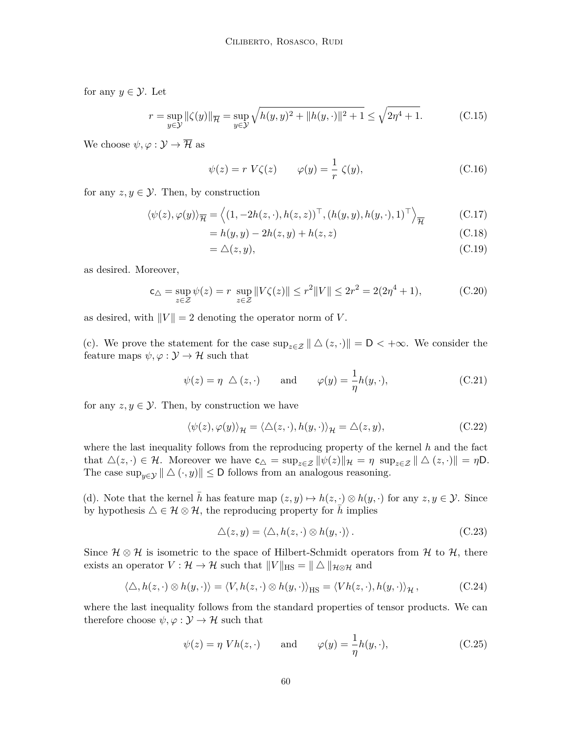for any  $y \in \mathcal{Y}$ . Let

$$
r = \sup_{y \in \mathcal{Y}} ||\zeta(y)||_{\overline{\mathcal{H}}} = \sup_{y \in \mathcal{Y}} \sqrt{h(y, y)^2 + ||h(y, \cdot)||^2 + 1} \le \sqrt{2\eta^4 + 1}.
$$
 (C.15)

We choose  $\psi, \varphi : \mathcal{Y} \to \overline{\mathcal{H}}$  as

$$
\psi(z) = r V \zeta(z) \qquad \varphi(y) = \frac{1}{r} \zeta(y), \tag{C.16}
$$

for any  $z, y \in \mathcal{Y}$ . Then, by construction

$$
\langle \psi(z), \varphi(y) \rangle_{\overline{\mathcal{H}}} = \langle (1, -2h(z, \cdot), h(z, z))^{\top}, (h(y, y), h(y, \cdot), 1)^{\top} \rangle_{\overline{\mathcal{H}}} \tag{C.17}
$$

$$
= h(y, y) - 2h(z, y) + h(z, z)
$$
\n(C.18)

$$
=\triangle(z,y),\tag{C.19}
$$

as desired. Moreover,

$$
\mathsf{c}_{\triangle} = \sup_{z \in \mathcal{Z}} \psi(z) = r \sup_{z \in \mathcal{Z}} \|V\zeta(z)\| \le r^2 \|V\| \le 2r^2 = 2(2\eta^4 + 1),\tag{C.20}
$$

as desired, with  $||V|| = 2$  denoting the operator norm of *V*.

(c). We prove the statement for the case  $\sup_{z \in \mathcal{Z}} || \Delta(z, \cdot) || = \mathsf{D} < +\infty$ . We consider the feature maps  $\psi, \varphi : \mathcal{Y} \to \mathcal{H}$  such that

$$
\psi(z) = \eta \triangle (z, \cdot)
$$
 and  $\varphi(y) = \frac{1}{\eta} h(y, \cdot),$  (C.21)

for any  $z, y \in \mathcal{Y}$ . Then, by construction we have

$$
\langle \psi(z), \varphi(y) \rangle_{\mathcal{H}} = \langle \Delta(z, \cdot), h(y, \cdot) \rangle_{\mathcal{H}} = \Delta(z, y), \tag{C.22}
$$

where the last inequality follows from the reproducing property of the kernel *h* and the fact that  $\Delta(z, \cdot) \in \mathcal{H}$ . Moreover we have  $c_{\Delta} = \sup_{z \in \mathcal{Z}} ||\psi(z)||_{\mathcal{H}} = \eta \sup_{z \in \mathcal{Z}} ||\Delta(z, \cdot)|| = \eta \mathsf{D}$ . The case  $\sup_{y \in \mathcal{Y}} || \Delta (\cdot, y) || \leq D$  follows from an analogous reasoning.

(d). Note that the kernel *h* has feature map  $(z, y) \mapsto h(z, \cdot) \otimes h(y, \cdot)$  for any  $z, y \in \mathcal{Y}$ . Since by hypothesis  $\Delta \in \mathcal{H} \otimes \mathcal{H}$ , the reproducing property for *h* implies

$$
\Delta(z, y) = \langle \Delta, h(z, \cdot) \otimes h(y, \cdot) \rangle. \tag{C.23}
$$

Since  $\mathcal{H} \otimes \mathcal{H}$  is isometric to the space of Hilbert-Schmidt operators from  $\mathcal{H}$  to  $\mathcal{H}$ , there exists an operator  $V : \mathcal{H} \to \mathcal{H}$  such that  $||V||_{\text{HS}} = ||\Delta||_{\mathcal{H}\otimes\mathcal{H}}$  and

$$
\langle \triangle, h(z, \cdot) \otimes h(y, \cdot) \rangle = \langle V, h(z, \cdot) \otimes h(y, \cdot) \rangle_{\text{HS}} = \langle Vh(z, \cdot), h(y, \cdot) \rangle_{\mathcal{H}},
$$
 (C.24)

where the last inequality follows from the standard properties of tensor products. We can therefore choose  $\psi, \varphi : \mathcal{Y} \to \mathcal{H}$  such that

$$
\psi(z) = \eta V h(z, \cdot) \quad \text{and} \quad \varphi(y) = \frac{1}{\eta} h(y, \cdot), \tag{C.25}
$$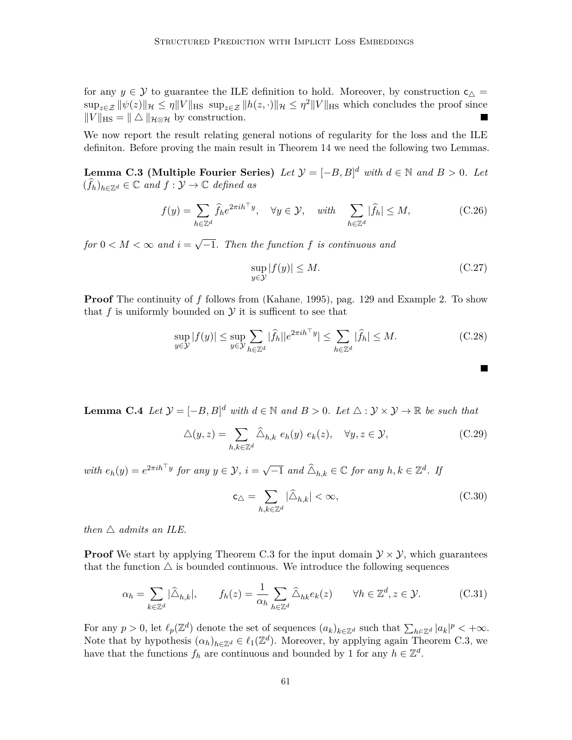for any  $y \in Y$  to guarantee the ILE definition to hold. Moreover, by construction  $c_{\Delta} =$  $\sup_{z \in \mathcal{Z}} ||\psi(z)||_{\mathcal{H}} \le \eta ||V||_{\text{HS}} \sup_{z \in \mathcal{Z}} ||h(z, \cdot)||_{\mathcal{H}} \le \eta^2 ||V||_{\text{HS}}$  which concludes the proof since  $||V||_{\text{HS}} = ||\Delta||_{\mathcal{H}\otimes\mathcal{H}}$  by construction. П

We now report the result relating general notions of regularity for the loss and the ILE definiton. Before proving the main result in [Theorem 14](#page-26-0) we need the following two Lemmas.

<span id="page-60-0"></span>**Lemma C.3 (Multiple Fourier Series)** *Let*  $\mathcal{Y} = [-B, B]^d$  *with*  $d \in \mathbb{N}$  *and*  $B > 0$ *. Let*  $(\widehat{f}_h)_{h \in \mathbb{Z}^d} \in \mathbb{C}$  and  $f : \mathcal{Y} \to \mathbb{C}$  defined as

$$
f(y) = \sum_{h \in \mathbb{Z}^d} \hat{f}_h e^{2\pi i h^\top y}, \quad \forall y \in \mathcal{Y}, \quad \text{with} \quad \sum_{h \in \mathbb{Z}^d} |\hat{f}_h| \le M,\tag{C.26}
$$

*for*  $0 < M < \infty$  and  $i =$ √ −1*. Then the function f is continuous and*

$$
\sup_{y \in \mathcal{Y}} |f(y)| \le M. \tag{C.27}
$$

 $\blacksquare$ 

**Proof** The continuity of *f* follows from [\(Kahane, 1995\)](#page-31-14), pag. 129 and Example 2. To show that  $f$  is uniformly bounded on  $\mathcal Y$  it is sufficent to see that

$$
\sup_{y \in \mathcal{Y}} |f(y)| \le \sup_{y \in \mathcal{Y}} \sum_{h \in \mathbb{Z}^d} |\widehat{f}_h||e^{2\pi i h^\top y}| \le \sum_{h \in \mathbb{Z}^d} |\widehat{f}_h| \le M. \tag{C.28}
$$

<span id="page-60-1"></span>**Lemma C.4** *Let*  $\mathcal{Y} = [-B, B]^d$  *with*  $d \in \mathbb{N}$  *and*  $B > 0$ *. Let*  $\triangle : \mathcal{Y} \times \mathcal{Y} \to \mathbb{R}$  *be such that* 

$$
\triangle(y, z) = \sum_{h,k \in \mathbb{Z}^d} \widehat{\triangle}_{h,k} \ e_h(y) \ e_k(z), \quad \forall y, z \in \mathcal{Y}, \tag{C.29}
$$

*with*  $e_h(y) = e^{2\pi i h^\top y}$  *for any*  $y \in \mathcal{Y}$ ,  $i =$ √  $\overline{-1}$  and  $\widehat{\Delta}_{h,k} \in \mathbb{C}$  for any  $h, k \in \mathbb{Z}^d$ . If

$$
\mathsf{c}_{\triangle} = \sum_{h,k \in \mathbb{Z}^d} |\widehat{\triangle}_{h,k}| < \infty,\tag{C.30}
$$

*then*  $\triangle$  *admits an ILE.* 

**Proof** We start by applying [Theorem C.3](#page-60-0) for the input domain  $\mathcal{Y} \times \mathcal{Y}$ , which guarantees that the function  $\Delta$  is bounded continuous. We introduce the following sequences

$$
\alpha_h = \sum_{k \in \mathbb{Z}^d} |\widehat{\Delta}_{h,k}|, \qquad f_h(z) = \frac{1}{\alpha_h} \sum_{h \in \mathbb{Z}^d} \widehat{\Delta}_{hk} e_k(z) \qquad \forall h \in \mathbb{Z}^d, z \in \mathcal{Y}.
$$
 (C.31)

For any  $p > 0$ , let  $\ell_p(\mathbb{Z}^d)$  denote the set of sequences  $(a_k)_{k \in \mathbb{Z}^d}$  such that  $\sum_{h \in \mathbb{Z}^d} |a_k|^p < +\infty$ . Note that by hypothesis  $(\alpha_h)_{h \in \mathbb{Z}^d} \in \ell_1(\mathbb{Z}^d)$ . Moreover, by applying again [Theorem C.3,](#page-60-0) we have that the functions  $f_h$  are continuous and bounded by 1 for any  $h \in \mathbb{Z}^d$ .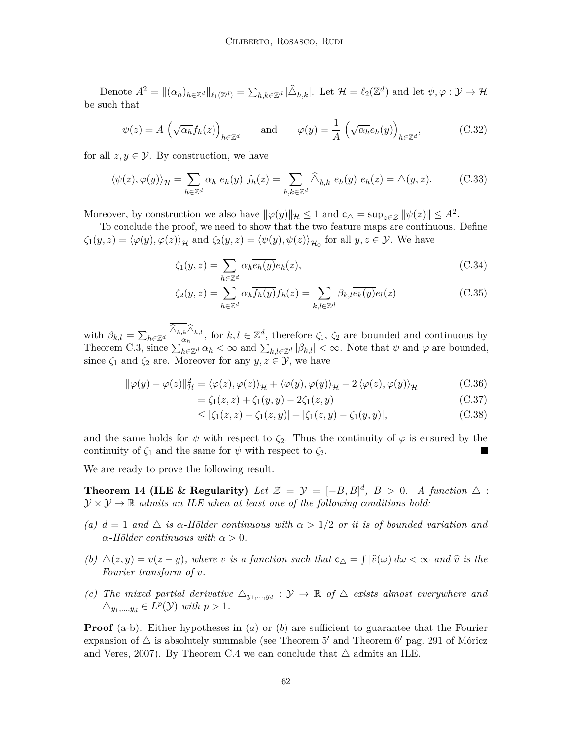Denote  $A^2 = ||(\alpha_h)_{h \in \mathbb{Z}^d}||_{\ell_1(\mathbb{Z}^d)} = \sum_{h,k \in \mathbb{Z}^d} |\widehat{\triangle}_{h,k}|$ . Let  $\mathcal{H} = \ell_2(\mathbb{Z}^d)$  and let  $\psi, \varphi : \mathcal{Y} \to \mathcal{H}$ be such that

$$
\psi(z) = A \left( \sqrt{\alpha_h} f_h(z) \right)_{h \in \mathbb{Z}^d} \quad \text{and} \quad \varphi(y) = \frac{1}{A} \left( \sqrt{\alpha_h} e_h(y) \right)_{h \in \mathbb{Z}^d}, \tag{C.32}
$$

for all  $z, y \in \mathcal{Y}$ . By construction, we have

$$
\langle \psi(z), \varphi(y) \rangle_{\mathcal{H}} = \sum_{h \in \mathbb{Z}^d} \alpha_h \ e_h(y) \ f_h(z) = \sum_{h,k \in \mathbb{Z}^d} \widehat{\Delta}_{h,k} \ e_h(y) \ e_h(z) = \Delta(y, z). \tag{C.33}
$$

Moreover, by construction we also have  $\|\varphi(y)\|_{\mathcal{H}} \leq 1$  and  $\mathsf{c}_{\triangle} = \sup_{z \in \mathcal{Z}} \|\psi(z)\| \leq A^2$ .

To conclude the proof, we need to show that the two feature maps are continuous. Define  $\zeta_1(y, z) = \langle \varphi(y), \varphi(z) \rangle_{\mathcal{H}}$  and  $\zeta_2(y, z) = \langle \psi(y), \psi(z) \rangle_{\mathcal{H}_0}$  for all  $y, z \in \mathcal{Y}$ . We have

$$
\zeta_1(y,z) = \sum_{h \in \mathbb{Z}^d} \alpha_h \overline{e_h(y)} e_h(z),\tag{C.34}
$$

$$
\zeta_2(y, z) = \sum_{h \in \mathbb{Z}^d} \alpha_h \overline{f_h(y)} f_h(z) = \sum_{k,l \in \mathbb{Z}^d} \beta_{k,l} \overline{e_k(y)} e_l(z)
$$
(C.35)

with  $\beta_{k,l} = \sum_{h \in \mathbb{Z}^d} \frac{\Delta_{h,k} \Delta_{h,l}}{\alpha_h}$ , for  $k, l \in \mathbb{Z}^d$ , therefore  $\zeta_1, \zeta_2$  are bounded and continuous by [Theorem C.3,](#page-60-0) since  $\sum_{h \in \mathbb{Z}^d} \alpha_h < \infty$  and  $\sum_{k,l \in \mathbb{Z}^d} |\beta_{k,l}| < \infty$ . Note that  $\psi$  and  $\varphi$  are bounded, since  $\zeta_1$  and  $\zeta_2$  are. Moreover for any  $y, z \in \mathcal{Y}$ , we have

$$
\|\varphi(y) - \varphi(z)\|_{\mathcal{H}}^2 = \langle \varphi(z), \varphi(z) \rangle_{\mathcal{H}} + \langle \varphi(y), \varphi(y) \rangle_{\mathcal{H}} - 2 \langle \varphi(z), \varphi(y) \rangle_{\mathcal{H}}
$$
(C.36)

$$
= \zeta_1(z, z) + \zeta_1(y, y) - 2\zeta_1(z, y) \tag{C.37}
$$

$$
\leq |\zeta_1(z, z) - \zeta_1(z, y)| + |\zeta_1(z, y) - \zeta_1(y, y)|,\tag{C.38}
$$

and the same holds for  $\psi$  with respect to  $\zeta_2$ . Thus the continuity of  $\varphi$  is ensured by the continuity of  $\zeta_1$  and the same for  $\psi$  with respect to  $\zeta_2$ .

We are ready to prove the following result.

**Theorem 14 (ILE & Regularity)** Let  $\mathcal{Z} = \mathcal{Y} = [-B, B]^d$ ,  $B > 0$ . A function  $\Delta$ :  $\mathcal{Y} \times \mathcal{Y} \rightarrow \mathbb{R}$  *admits an ILE when at least one of the following conditions hold:* 

- *(a)*  $d = 1$  *and*  $\triangle$  *is*  $\alpha$ -Hölder continuous with  $\alpha > 1/2$  or it is of bounded variation and  $\alpha$ *-Hölder continuous with*  $\alpha > 0$ *.*
- *(b)*  $\Delta(z, y) = v(z y)$ *, where v is a function such that*  $c_{\Delta} = \int |\hat{v}(\omega)| d\omega < \infty$  *and*  $\hat{v}$  *is the Fourier transform of v.*
- *(c)* The mixed partial derivative  $\Delta_{y_1,\dots,y_d} : \mathcal{Y} \to \mathbb{R}$  of  $\Delta$  exists almost everywhere and  $\triangle_{y_1,\dots,y_d} \in L^p(\mathcal{Y})$  *with*  $p > 1$ *.*

**Proof** (a-b). Either hypotheses in (*a*) or (*b*) are sufficient to guarantee that the Fourier expansion of  $\triangle$  is absolutely summable (see Theorem 5' and Theorem 6' pag. 291 of [Móricz](#page-32-13) [and Veres, 2007\)](#page-32-13). By [Theorem C.4](#page-60-1) we can conclude that  $\triangle$  admits an ILE.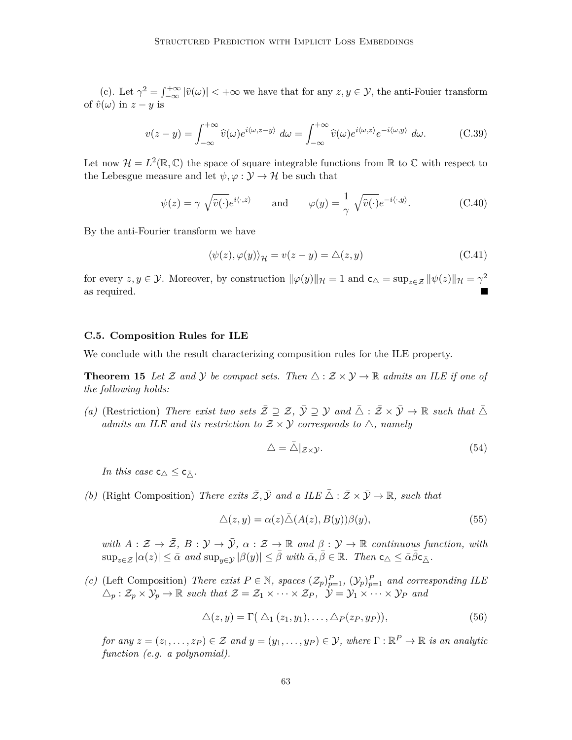(c). Let  $\gamma^2 = \int_{-\infty}^{+\infty} |\hat{v}(\omega)| < +\infty$  we have that for any  $z, y \in \mathcal{Y}$ , the anti-Fouier transform of  $\hat{v}(\omega)$  in  $z - y$  is

$$
v(z - y) = \int_{-\infty}^{+\infty} \widehat{v}(\omega) e^{i\langle \omega, z - y \rangle} d\omega = \int_{-\infty}^{+\infty} \widehat{v}(\omega) e^{i\langle \omega, z \rangle} e^{-i\langle \omega, y \rangle} d\omega.
$$
 (C.39)

Let now  $\mathcal{H} = L^2(\mathbb{R}, \mathbb{C})$  the space of square integrable functions from  $\mathbb{R}$  to  $\mathbb{C}$  with respect to the Lebesgue measure and let  $\psi, \varphi : \mathcal{Y} \to \mathcal{H}$  be such that

$$
\psi(z) = \gamma \sqrt{\widehat{v}(\cdot)} e^{i\langle \cdot, z \rangle} \quad \text{and} \quad \varphi(y) = \frac{1}{\gamma} \sqrt{\widehat{v}(\cdot)} e^{-i\langle \cdot, y \rangle}.
$$
 (C.40)

By the anti-Fourier transform we have

$$
\langle \psi(z), \varphi(y) \rangle_{\mathcal{H}} = v(z - y) = \Delta(z, y)
$$
\n(C.41)

for every  $z, y \in \mathcal{Y}$ . Moreover, by construction  $\|\varphi(y)\|_{\mathcal{H}} = 1$  and  $\mathsf{c}_{\triangle} = \sup_{z \in \mathcal{Z}} \|\psi(z)\|_{\mathcal{H}} = \gamma^2$ as required.

#### **C.5. Composition Rules for ILE**

We conclude with the result characterizing composition rules for the ILE property.

**Theorem 15** Let Z and Y be compact sets. Then  $\triangle : \mathcal{Z} \times \mathcal{Y} \rightarrow \mathbb{R}$  admits an ILE if one of *the following holds:*

*(a)* (Restriction) *There exist two sets*  $\overline{Z} \supseteq Z$ ,  $\overline{Y} \supseteq Y$  and  $\overline{\triangle} : \overline{Z} \times \overline{Y} \to \mathbb{R}$  *such that*  $\overline{\triangle}$ *admits an ILE and its restriction to*  $Z \times Y$  *corresponds to*  $\triangle$ *, namely* 

$$
\Delta = \bar{\Delta}|_{\mathcal{Z}\times\mathcal{Y}}.\tag{54}
$$

*In this case*  $c_{\triangle} \leq c_{\overline{\triangle}}$ .

*(b)* (Right Composition) *There exits*  $\overline{Z}$ ,  $\overline{Y}$  *and a ILE*  $\overline{\triangle}$  :  $\overline{Z} \times \overline{Y} \to \mathbb{R}$ *, such that* 

$$
\Delta(z, y) = \alpha(z)\bar{\Delta}(A(z), B(y))\beta(y),\tag{55}
$$

*with*  $A: \mathcal{Z} \to \overline{\mathcal{Z}}, B: \mathcal{Y} \to \overline{\mathcal{Y}}, \alpha: \mathcal{Z} \to \mathbb{R}$  and  $\beta: \mathcal{Y} \to \mathbb{R}$  continuous function, with  $\sup_{z \in \mathcal{Z}} |\alpha(z)| \leq \bar{\alpha} \text{ and } \sup_{y \in \mathcal{Y}} |\beta(y)| \leq \bar{\beta} \text{ with } \bar{\alpha}, \bar{\beta} \in \mathbb{R}$ . Then  $c_{\Delta} \leq \bar{\alpha} \bar{\beta} c_{\bar{\Delta}}$ .

*(c)* (Left Composition) *There exist*  $P \in \mathbb{N}$ *, spaces*  $(\mathcal{Z}_p)_{p=1}^P$ *,*  $(\mathcal{Y}_p)_{p=1}^P$  *and corresponding ILE*  $\Delta_p : \mathcal{Z}_p \times \mathcal{Y}_p \to \mathbb{R}$  such that  $\mathcal{Z} = \mathcal{Z}_1 \times \cdots \times \mathcal{Z}_P$ ,  $\mathcal{Y} = \mathcal{Y}_1 \times \cdots \times \mathcal{Y}_P$  and

$$
\Delta(z, y) = \Gamma(\Delta_1(z_1, y_1), \dots, \Delta_P(z_P, y_P)), \tag{56}
$$

*for any*  $z = (z_1, \ldots, z_P) \in \mathcal{Z}$  *and*  $y = (y_1, \ldots, y_P) \in \mathcal{Y}$ *, where*  $\Gamma : \mathbb{R}^P \to \mathbb{R}$  *is an analytic function (e.g. a polynomial).*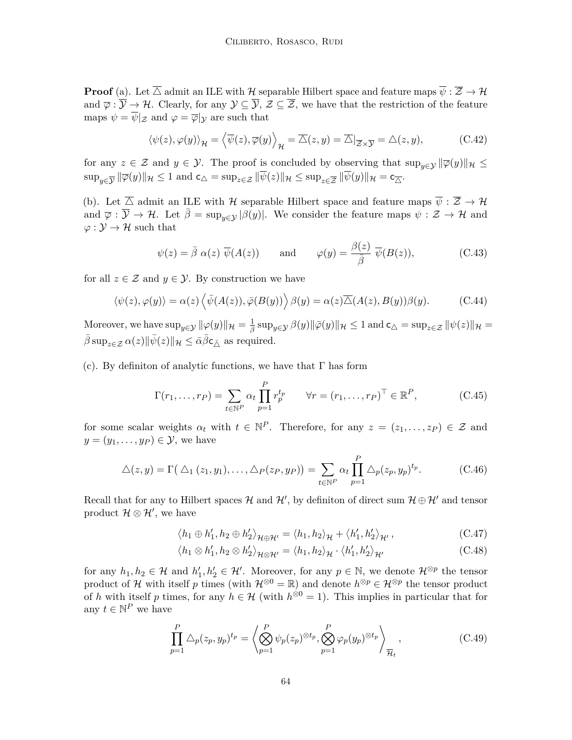**Proof** (a). Let  $\overline{\triangle}$  admit an ILE with H separable Hilbert space and feature maps  $\overline{\psi} : \overline{\mathcal{Z}} \to \mathcal{H}$ and  $\overline{\varphi}$  :  $\overline{\mathcal{Y}}$   $\rightarrow$  *H*. Clearly, for any  $\mathcal{Y} \subseteq \overline{\mathcal{Y}}, \mathcal{Z} \subseteq \overline{\mathcal{Z}}$ , we have that the restriction of the feature maps  $\psi = \overline{\psi}|_{\mathcal{Z}}$  and  $\varphi = \overline{\varphi}|_{\mathcal{Y}}$  are such that

$$
\langle \psi(z), \varphi(y) \rangle_{\mathcal{H}} = \langle \overline{\psi}(z), \overline{\varphi}(y) \rangle_{\mathcal{H}} = \overline{\Delta}(z, y) = \overline{\Delta}|_{\overline{\mathcal{Z}} \times \overline{\mathcal{Y}}} = \Delta(z, y), \tag{C.42}
$$

for any  $z \in \mathcal{Z}$  and  $y \in \mathcal{Y}$ . The proof is concluded by observing that  $\sup_{y \in \mathcal{Y}} ||\overline{\varphi}(y)||_{\mathcal{H}} \leq$  $\sup_{y \in \overline{\mathcal{Y}}} \|\overline{\varphi}(y)\|_{\mathcal{H}} \leq 1$  and  $\mathsf{c}_{\triangle} = \sup_{z \in \mathcal{Z}} \|\psi(z)\|_{\mathcal{H}} \leq \sup_{z \in \overline{\mathcal{Z}}} \|\psi(y)\|_{\mathcal{H}} = \mathsf{c}_{\overline{\triangle}}.$ 

(b). Let  $\overline{\triangle}$  admit an ILE with H separable Hilbert space and feature maps  $\overline{\psi} : \overline{\mathcal{Z}} \to \mathcal{H}$ and  $\overline{\varphi}: \overline{\mathcal{Y}} \to \mathcal{H}$ . Let  $\overline{\beta} = \sup_{y \in \mathcal{Y}} |\beta(y)|$ . We consider the feature maps  $\psi: \mathcal{Z} \to \mathcal{H}$  and  $\varphi : \mathcal{Y} \to \mathcal{H}$  such that

$$
\psi(z) = \bar{\beta} \alpha(z) \overline{\psi}(A(z)) \quad \text{and} \quad \varphi(y) = \frac{\beta(z)}{\bar{\beta}} \overline{\psi}(B(z)), \quad (C.43)
$$

for all  $z \in \mathcal{Z}$  and  $y \in \mathcal{Y}$ . By construction we have

$$
\langle \psi(z), \varphi(y) \rangle = \alpha(z) \langle \bar{\psi}(A(z)), \bar{\varphi}(B(y)) \rangle \beta(y) = \alpha(z) \overline{\Delta}(A(z), B(y)) \beta(y). \tag{C.44}
$$

 $\mathbb{M}$ oreover, we have  $\sup_{y \in \mathcal{Y}} \|\varphi(y)\|_{\mathcal{H}} = \frac{1}{\beta} \sup_{y \in \mathcal{Y}} \beta(y) \|\bar{\varphi}(y)\|_{\mathcal{H}} \leq 1$  and  $\mathsf{c}_{\triangle} = \sup_{z \in \mathcal{Z}} \|\psi(z)\|_{\mathcal{H}} = 1$  $\bar{\beta}$  sup<sub>z∈Z</sub>  $\alpha(z)$ || $\bar{\psi}(z)$ || $\mathcal{H} \leq \bar{\alpha}\bar{\beta}c_{\bar{\wedge}}$  as required.

(c). By definition of analytic functions, we have that  $\Gamma$  has form

$$
\Gamma(r_1, \dots, r_P) = \sum_{t \in \mathbb{N}^P} \alpha_t \prod_{p=1}^P r_p^{t_p} \qquad \forall r = (r_1, \dots, r_P)^\top \in \mathbb{R}^P,
$$
\n(C.45)

for some scalar weights  $\alpha_t$  with  $t \in \mathbb{N}^P$ . Therefore, for any  $z = (z_1, \ldots, z_P) \in \mathcal{Z}$  and  $y = (y_1, \ldots, y_P) \in \mathcal{Y}$ , we have

$$
\Delta(z,y) = \Gamma\big(\Delta_1(z_1,y_1),\ldots,\Delta_P(z_P,y_P)\big) = \sum_{t \in \mathbb{N}^P} \alpha_t \prod_{p=1}^P \Delta_p(z_p,y_p)^{t_p}.
$$
 (C.46)

Recall that for any to Hilbert spaces H and H', by definiton of direct sum  $\mathcal{H} \oplus \mathcal{H}'$  and tensor product  $\mathcal{H} \otimes \mathcal{H}'$ , we have

$$
\langle h_1 \oplus h'_1, h_2 \oplus h'_2 \rangle_{\mathcal{H} \oplus \mathcal{H}'} = \langle h_1, h_2 \rangle_{\mathcal{H}} + \langle h'_1, h'_2 \rangle_{\mathcal{H}'},
$$
\n(C.47)

$$
\langle h_1 \otimes h_1', h_2 \otimes h_2' \rangle_{\mathcal{H} \otimes \mathcal{H}'} = \langle h_1, h_2 \rangle_{\mathcal{H}} \cdot \langle h_1', h_2' \rangle_{\mathcal{H}'}
$$
\n(C.48)

for any  $h_1, h_2 \in \mathcal{H}$  and  $h'_1, h'_2 \in \mathcal{H}'$ . Moreover, for any  $p \in \mathbb{N}$ , we denote  $\mathcal{H}^{\otimes p}$  the tensor product of H with itself p times (with  $\mathcal{H}^{\otimes 0} = \mathbb{R}$ ) and denote  $h^{\otimes p} \in \mathcal{H}^{\otimes p}$  the tensor product of *h* with itself *p* times, for any  $h \in \mathcal{H}$  (with  $h^{\otimes 0} = 1$ ). This implies in particular that for any  $t \in \mathbb{N}^P$  we have

$$
\prod_{p=1}^{P} \Delta_p(z_p, y_p)^{t_p} = \left\langle \bigotimes_{p=1}^{P} \psi_p(z_p)^{\otimes t_p}, \bigotimes_{p=1}^{P} \varphi_p(y_p)^{\otimes t_p} \right\rangle_{\overline{\mathcal{H}}_t},
$$
\n(C.49)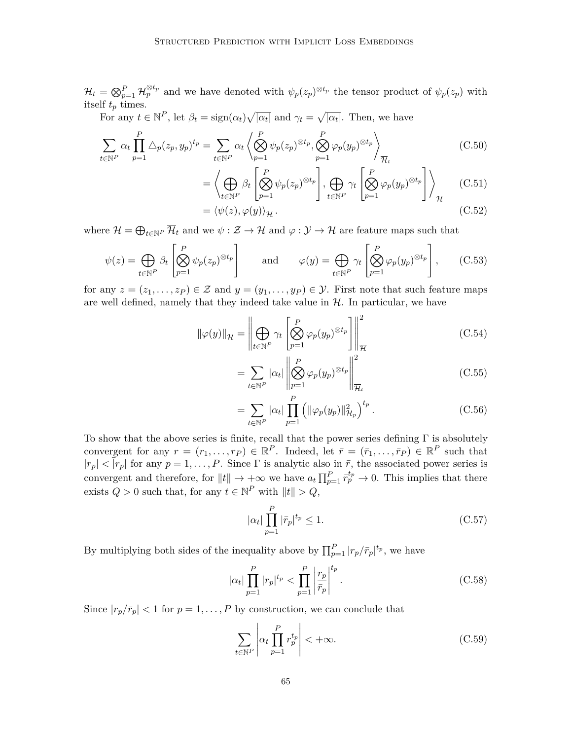$\mathcal{H}_t = \bigotimes_{p=1}^P \mathcal{H}_p^{\otimes t_p}$  and we have denoted with  $\psi_p(z_p)^{\otimes t_p}$  the tensor product of  $\psi_p(z_p)$  with itself *t<sup>p</sup>* times.

For any  $t \in \mathbb{N}^P$ , let  $\beta_t = \text{sign}(\alpha_t) \sqrt{|\alpha_t|}$  and  $\gamma_t = \sqrt{|\alpha_t|}$ . Then, we have

$$
\sum_{t \in \mathbb{N}^P} \alpha_t \prod_{p=1}^P \Delta_p(z_p, y_p)^{t_p} = \sum_{t \in \mathbb{N}^P} \alpha_t \left\langle \bigotimes_{p=1}^P \psi_p(z_p)^{\otimes t_p}, \bigotimes_{p=1}^P \varphi_p(y_p)^{\otimes t_p} \right\rangle_{\overline{\mathcal{H}}_t}
$$
(C.50)

$$
= \left\langle \bigoplus_{t \in \mathbb{N}^P} \beta_t \left[ \bigotimes_{p=1}^P \psi_p(z_p)^{\otimes t_p} \right], \bigoplus_{t \in \mathbb{N}^P} \gamma_t \left[ \bigotimes_{p=1}^P \varphi_p(y_p)^{\otimes t_p} \right] \right\rangle_{\mathcal{H}} \qquad (C.51)
$$

$$
= \langle \psi(z), \varphi(y) \rangle_{\mathcal{H}}. \tag{C.52}
$$

where  $\mathcal{H} = \bigoplus_{t \in \mathbb{N}^P} \mathcal{H}_t$  and we  $\psi : \mathcal{Z} \to \mathcal{H}$  and  $\varphi : \mathcal{Y} \to \mathcal{H}$  are feature maps such that

$$
\psi(z) = \bigoplus_{t \in \mathbb{N}^P} \beta_t \left[ \bigotimes_{p=1}^P \psi_p(z_p)^{\otimes t_p} \right] \quad \text{and} \quad \varphi(y) = \bigoplus_{t \in \mathbb{N}^P} \gamma_t \left[ \bigotimes_{p=1}^P \varphi_p(y_p)^{\otimes t_p} \right], \quad (C.53)
$$

for any  $z = (z_1, \ldots, z_P) \in \mathcal{Z}$  and  $y = (y_1, \ldots, y_P) \in \mathcal{Y}$ . First note that such feature maps are well defined, namely that they indeed take value in  $H$ . In particular, we have

$$
\|\varphi(y)\|_{\mathcal{H}} = \left\|\bigoplus_{t \in \mathbb{N}^P} \gamma_t \left[\bigotimes_{p=1}^P \varphi_p(y_p)^{\otimes t_p}\right]\right\|_{\overline{\mathcal{H}}}^2
$$
\n(C.54)

$$
= \sum_{t \in \mathbb{N}^P} |\alpha_t| \left\| \bigotimes_{p=1}^P \varphi_p(y_p)^{\otimes t_p} \right\|_{\overline{\mathcal{H}}_t}^2 \tag{C.55}
$$

$$
= \sum_{t \in \mathbb{N}^P} |\alpha_t| \prod_{p=1}^P (||\varphi_p(y_p)||_{\mathcal{H}_p}^2)^{t_p} . \tag{C.56}
$$

To show that the above series is finite, recall that the power series defining  $\Gamma$  is absolutely convergent for any  $r = (r_1, \ldots, r_P) \in \mathbb{R}^P$ . Indeed, let  $\bar{r} = (\bar{r}_1, \ldots, \bar{r}_P) \in \mathbb{R}^P$  such that  $|r_p| < |r_p|$  for any  $p = 1, ..., P$ . Since  $\Gamma$  is analytic also in  $\bar{r}$ , the associated power series is convergent and therefore, for  $||t|| \to +\infty$  we have  $a_t \prod_{p=1}^P \overline{r}_p^{t_p} \to 0$ . This implies that there exists  $Q > 0$  such that, for any  $t \in \mathbb{N}^P$  with  $||t|| > Q$ ,

$$
|\alpha_t| \prod_{p=1}^P |\bar{r}_p|^{t_p} \le 1. \tag{C.57}
$$

By multiplying both sides of the inequality above by  $\prod_{p=1}^{P} |r_p/\bar{r}_p|^{t_p}$ , we have

$$
|\alpha_t| \prod_{p=1}^P |r_p|^{t_p} < \prod_{p=1}^P \left| \frac{r_p}{\bar{r}_p} \right|^{t_p} . \tag{C.58}
$$

Since  $|r_p/\bar{r}_p|$  < 1 for  $p = 1, ..., P$  by construction, we can conclude that

$$
\sum_{t \in \mathbb{N}^P} \left| \alpha_t \prod_{p=1}^P r_p^{t_p} \right| < +\infty. \tag{C.59}
$$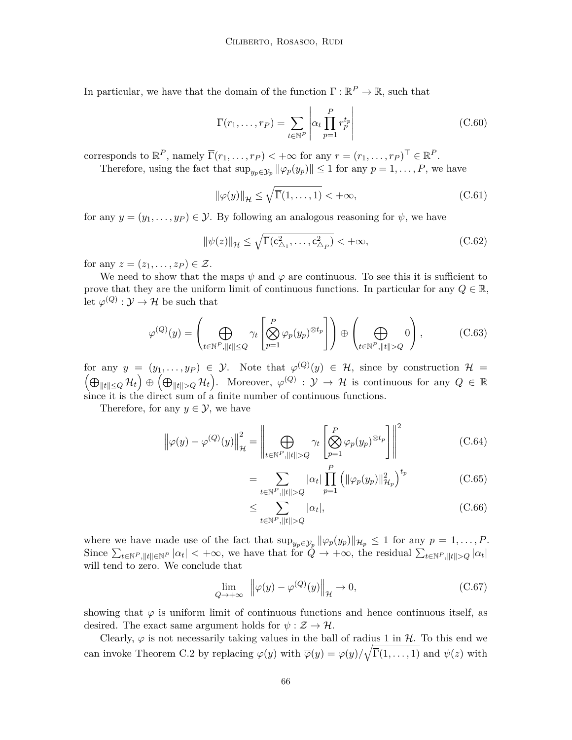In particular, we have that the domain of the function  $\overline{\Gamma}: \mathbb{R}^P \to \mathbb{R}$ , such that

$$
\overline{\Gamma}(r_1,\ldots,r_P) = \sum_{t \in \mathbb{N}^P} \left| \alpha_t \prod_{p=1}^P r_p^{t_p} \right| \tag{C.60}
$$

corresponds to  $\mathbb{R}^P$ , namely  $\overline{\Gamma}(r_1,\ldots,r_P) < +\infty$  for any  $r = (r_1,\ldots,r_P)^\top \in \mathbb{R}^P$ .

Therefore, using the fact that  $\sup_{y_p \in \mathcal{Y}_p} ||\varphi_p(y_p)|| \leq 1$  for any  $p = 1, \ldots, P$ , we have

$$
\|\varphi(y)\|_{\mathcal{H}} \le \sqrt{\overline{\Gamma}(1,\ldots,1)} < +\infty,
$$
\n(C.61)

for any  $y = (y_1, \ldots, y_P) \in \mathcal{Y}$ . By following an analogous reasoning for  $\psi$ , we have

$$
\|\psi(z)\|_{\mathcal{H}} \le \sqrt{\overline{\Gamma}(c_{\triangle_1}^2, \dots, c_{\triangle_P}^2)} < +\infty,
$$
\n(C.62)

for any  $z = (z_1, \ldots, z_P) \in \mathcal{Z}$ .

We need to show that the maps  $\psi$  and  $\varphi$  are continuous. To see this it is sufficient to prove that they are the uniform limit of continuous functions. In particular for any  $Q \in \mathbb{R}$ , let  $\varphi^{(Q)}: \mathcal{Y} \to \mathcal{H}$  be such that

$$
\varphi^{(Q)}(y) = \left(\bigoplus_{t \in \mathbb{N}^P, ||t|| \le Q} \gamma_t \left[\bigotimes_{p=1}^P \varphi_p(y_p)^{\otimes t_p}\right]\right) \oplus \left(\bigoplus_{t \in \mathbb{N}^P, ||t|| > Q} 0\right),\tag{C.63}
$$

for any  $y = (y_1, \ldots, y_P) \in \mathcal{Y}$ . Note that  $\varphi^{(Q)}(y) \in \mathcal{H}$ , since by construction  $\mathcal{H} =$  $L(\bigoplus_{\|t\|\leq Q}\mathcal{H}_t) \oplus (\bigoplus_{\|t\|>Q}\mathcal{H}_t)$ . Moreover,  $\varphi^{(Q)}: \mathcal{Y} \to \mathcal{H}$  is continuous for any  $Q \in \mathbb{R}$ since it is the direct sum of a finite number of continuous functions.

Therefore, for any  $y \in \mathcal{Y}$ , we have

$$
\left\|\varphi(y) - \varphi^{(Q)}(y)\right\|_{\mathcal{H}}^{2} = \left\|\bigoplus_{t \in \mathbb{N}^{P}, \|t\| > Q} \gamma_{t} \left[\bigotimes_{p=1}^{P} \varphi_{p}(y_{p})^{\otimes t_{p}}\right]\right\|^{2}
$$
(C.64)

$$
= \sum_{t \in \mathbb{N}^P, ||t|| > Q} |\alpha_t| \prod_{p=1}^P (||\varphi_p(y_p)||_{\mathcal{H}_p}^2)^{t_p}
$$
 (C.65)

$$
\leq \sum_{t \in \mathbb{N}^P, ||t|| > Q} |\alpha_t|,\tag{C.66}
$$

where we have made use of the fact that  $\sup_{y_p \in \mathcal{Y}_p} ||\varphi_p(y_p)||_{\mathcal{H}_p} \leq 1$  for any  $p = 1, \ldots, P$ . Since  $\sum_{t \in \mathbb{N}^P, \|t\| \in \mathbb{N}^P} |\alpha_t| < +\infty$ , we have that for  $Q \to +\infty$ , the residual  $\sum_{t \in \mathbb{N}^P, \|t\| > Q} |\alpha_t|$ will tend to zero. We conclude that

$$
\lim_{Q \to +\infty} \left\| \varphi(y) - \varphi^{(Q)}(y) \right\|_{\mathcal{H}} \to 0, \tag{C.67}
$$

showing that  $\varphi$  is uniform limit of continuous functions and hence continuous itself, as desired. The exact same argument holds for  $\psi : \mathcal{Z} \to \mathcal{H}$ .

Clearly,  $\varphi$  is not necessarily taking values in the ball of radius 1 in H. To this end we can invoke [Theorem C.2](#page-56-0) by replacing  $\varphi(y)$  with  $\overline{\varphi}(y) = \varphi(y)/\sqrt{\overline{\Gamma}(1,\ldots,1)}$  and  $\psi(z)$  with